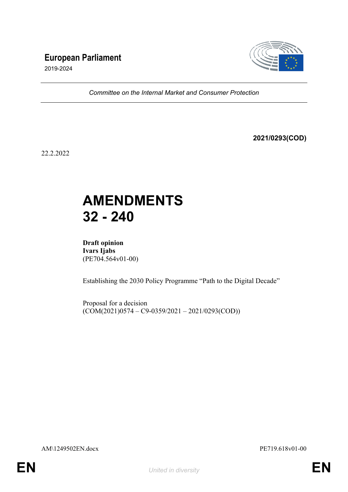### **European Parliament**



2019-2024

*Committee on the Internal Market and Consumer Protection*

**2021/0293(COD)**

22.2.2022

## **AMENDMENTS 32 - 240**

**Draft opinion Ivars Ijabs** (PE704.564v01-00)

Establishing the 2030 Policy Programme "Path to the Digital Decade"

Proposal for a decision  $(COM(2021)0574 - C9-0359/2021 - 2021/0293(COD))$ 

AM\1249502EN.docx PE719.618v01-00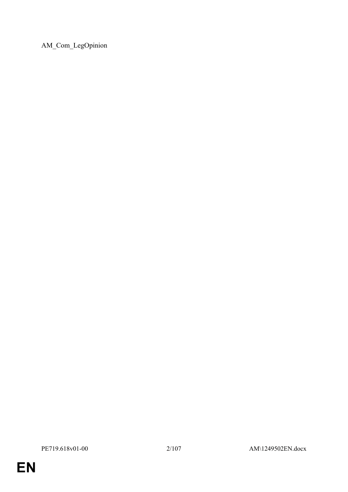AM\_Com\_LegOpinion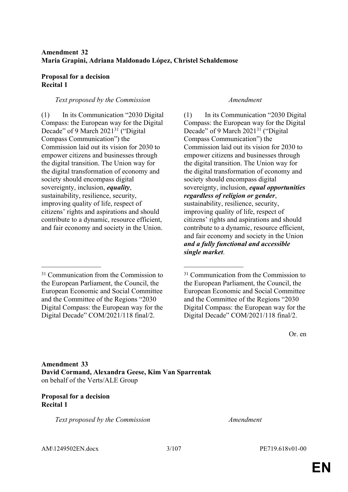### **Amendment 32 Maria Grapini, Adriana Maldonado López, Christel Schaldemose**

#### **Proposal for a decision Recital 1**

#### *Text proposed by the Commission Amendment*

(1) In its Communication "2030 Digital Compass: the European way for the Digital Decade" of 9 March 2021<sup>31</sup> ("Digital Compass Communication") the Commission laid out its vision for 2030 to empower citizens and businesses through the digital transition. The Union way for the digital transformation of economy and society should encompass digital sovereignty, inclusion, *equality*, sustainability, resilience, security, improving quality of life, respect of citizens' rights and aspirations and should contribute to a dynamic, resource efficient, and fair economy and society in the Union.

(1) In its Communication "2030 Digital Compass: the European way for the Digital Decade" of 9 March 2021<sup>31</sup> ("Digital Compass Communication") the Commission laid out its vision for 2030 to empower citizens and businesses through the digital transition. The Union way for the digital transformation of economy and society should encompass digital sovereignty, inclusion, *equal opportunities regardless of religion or gender*, sustainability, resilience, security, improving quality of life, respect of citizens' rights and aspirations and should contribute to a dynamic, resource efficient, and fair economy and society in the Union *and a fully functional and accessible single market*.

Or. en

**Amendment 33 David Cormand, Alexandra Geese, Kim Van Sparrentak** on behalf of the Verts/ALE Group

 $\mathcal{L}_\text{max}$  and  $\mathcal{L}_\text{max}$  and  $\mathcal{L}_\text{max}$  and  $\mathcal{L}_\text{max}$ 

### **Proposal for a decision Recital 1**

*Text proposed by the Commission Amendment*

AM\1249502EN.docx 3/107 PE719.618v01-00

<sup>&</sup>lt;sup>31</sup> Communication from the Commission to the European Parliament, the Council, the European Economic and Social Committee and the Committee of the Regions "2030 Digital Compass: the European way for the Digital Decade" COM/2021/118 final/2.

<sup>31</sup> Communication from the Commission to the European Parliament, the Council, the European Economic and Social Committee and the Committee of the Regions "2030 Digital Compass: the European way for the Digital Decade" COM/2021/118 final/2.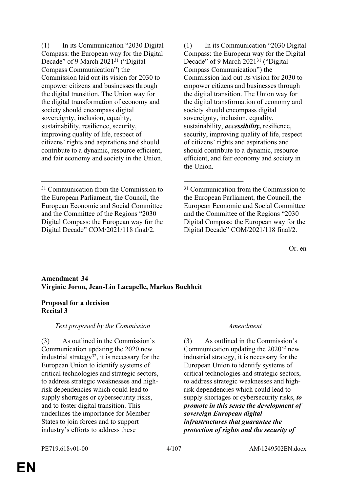(1) In its Communication "2030 Digital Compass: the European way for the Digital Decade" of 9 March 2021<sup>31</sup> ("Digital Compass Communication") the Commission laid out its vision for 2030 to empower citizens and businesses through the digital transition. The Union way for the digital transformation of economy and society should encompass digital sovereignty, inclusion, equality, sustainability, resilience, security, improving quality of life, respect of citizens' rights and aspirations and should contribute to a dynamic, resource efficient, and fair economy and society in the Union.

(1) In its Communication "2030 Digital Compass: the European way for the Digital Decade" of 9 March 2021<sup>31</sup> ("Digital Compass Communication") the Commission laid out its vision for 2030 to empower citizens and businesses through the digital transition. The Union way for the digital transformation of economy and society should encompass digital sovereignty, inclusion, equality, sustainability, *accessibility,* resilience, security, improving quality of life, respect of citizens' rights and aspirations and should contribute to a dynamic, resource efficient, and fair economy and society in the Union.

Or. en

### **Amendment 34 Virginie Joron, Jean-Lin Lacapelle, Markus Buchheit**

\_\_\_\_\_\_\_\_\_\_\_\_\_\_\_\_\_ \_\_\_\_\_\_\_\_\_\_\_\_\_\_\_\_\_

### **Proposal for a decision Recital 3**

### *Text proposed by the Commission Amendment*

(3) As outlined in the Commission's Communication updating the 2020 new industrial strategy $32$ , it is necessary for the European Union to identify systems of critical technologies and strategic sectors, to address strategic weaknesses and highrisk dependencies which could lead to supply shortages or cybersecurity risks, and to foster digital transition. This underlines the importance for Member States to join forces and to support industry's efforts to address these

(3) As outlined in the Commission's Communication updating the 2020<sup>32</sup> new industrial strategy, it is necessary for the European Union to identify systems of critical technologies and strategic sectors, to address strategic weaknesses and highrisk dependencies which could lead to supply shortages or cybersecurity risks, *to promote in this sense the development of sovereign European digital infrastructures that guarantee the protection of rights and the security of* 

<sup>&</sup>lt;sup>31</sup> Communication from the Commission to the European Parliament, the Council, the European Economic and Social Committee and the Committee of the Regions "2030 Digital Compass: the European way for the Digital Decade" COM/2021/118 final/2.

<sup>&</sup>lt;sup>31</sup> Communication from the Commission to the European Parliament, the Council, the European Economic and Social Committee and the Committee of the Regions "2030 Digital Compass: the European way for the Digital Decade" COM/2021/118 final/2.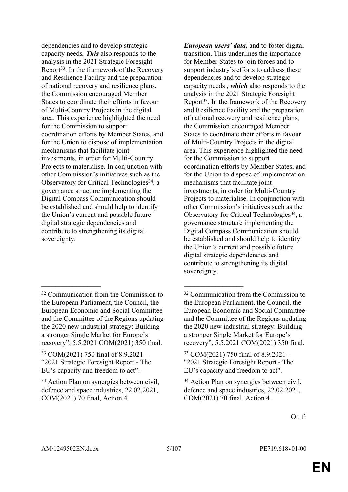dependencies and to develop strategic capacity needs*. This* also responds to the analysis in the 2021 Strategic Foresight Report<sup>33</sup>. In the framework of the Recovery and Resilience Facility and the preparation of national recovery and resilience plans, the Commission encouraged Member States to coordinate their efforts in favour of Multi-Country Projects in the digital area. This experience highlighted the need for the Commission to support coordination efforts by Member States, and for the Union to dispose of implementation mechanisms that facilitate joint investments, in order for Multi-Country Projects to materialise. In conjunction with other Commission's initiatives such as the Observatory for Critical Technologies<sup>34</sup>, a governance structure implementing the Digital Compass Communication should be established and should help to identify the Union's current and possible future digital strategic dependencies and contribute to strengthening its digital sovereignty.

 $\mathcal{L}_\text{max}$  and  $\mathcal{L}_\text{max}$  and  $\mathcal{L}_\text{max}$  and  $\mathcal{L}_\text{max}$ 

*European users' data,* and to foster digital transition. This underlines the importance for Member States to join forces and to support industry's efforts to address these dependencies and to develop strategic capacity needs *, which* also responds to the analysis in the 2021 Strategic Foresight Report<sup>33</sup>. In the framework of the Recovery and Resilience Facility and the preparation of national recovery and resilience plans, the Commission encouraged Member States to coordinate their efforts in favour of Multi-Country Projects in the digital area. This experience highlighted the need for the Commission to support coordination efforts by Member States, and for the Union to dispose of implementation mechanisms that facilitate joint investments, in order for Multi-Country Projects to materialise. In conjunction with other Commission's initiatives such as the Observatory for Critical Technologies<sup>34</sup>, a governance structure implementing the Digital Compass Communication should be established and should help to identify the Union's current and possible future digital strategic dependencies and contribute to strengthening its digital sovereignty.

<sup>32</sup> Communication from the Commission to the European Parliament, the Council, the European Economic and Social Committee and the Committee of the Regions updating the 2020 new industrial strategy: Building a stronger Single Market for Europe's recovery", 5.5.2021 COM(2021) 350 final.

<sup>33</sup> COM(2021) 750 final of 8.9.2021 – "2021 Strategic Foresight Report - The EU's capacity and freedom to act".

<sup>34</sup> Action Plan on synergies between civil, defence and space industries, 22.02.2021, COM(2021) 70 final, Action 4.

<sup>32</sup> Communication from the Commission to the European Parliament, the Council, the European Economic and Social Committee and the Committee of the Regions updating the 2020 new industrial strategy: Building a stronger Single Market for Europe's recovery", 5.5.2021 COM(2021) 350 final.

<sup>33</sup> COM(2021) 750 final of 8.9.2021 – "2021 Strategic Foresight Report - The EU's capacity and freedom to act".

<sup>34</sup> Action Plan on synergies between civil, defence and space industries, 22.02.2021, COM(2021) 70 final, Action 4.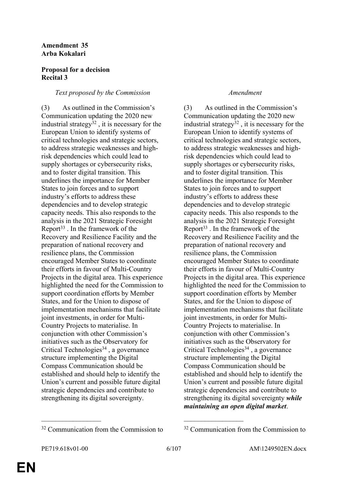#### **Amendment 35 Arba Kokalari**

#### **Proposal for a decision Recital 3**

#### *Text proposed by the Commission Amendment*

(3) As outlined in the Commission's Communication updating the 2020 new industrial strategy $32$ , it is necessary for the European Union to identify systems of critical technologies and strategic sectors, to address strategic weaknesses and highrisk dependencies which could lead to supply shortages or cybersecurity risks, and to foster digital transition. This underlines the importance for Member States to join forces and to support industry's efforts to address these dependencies and to develop strategic capacity needs. This also responds to the analysis in the 2021 Strategic Foresight Report<sup>33</sup>. In the framework of the Recovery and Resilience Facility and the preparation of national recovery and resilience plans, the Commission encouraged Member States to coordinate their efforts in favour of Multi-Country Projects in the digital area. This experience highlighted the need for the Commission to support coordination efforts by Member States, and for the Union to dispose of implementation mechanisms that facilitate joint investments, in order for Multi-Country Projects to materialise. In conjunction with other Commission's initiatives such as the Observatory for Critical Technologies<sup>34</sup>, a governance structure implementing the Digital Compass Communication should be established and should help to identify the Union's current and possible future digital strategic dependencies and contribute to strengthening its digital sovereignty.

(3) As outlined in the Commission's Communication updating the 2020 new industrial strategy $32$ , it is necessary for the European Union to identify systems of critical technologies and strategic sectors, to address strategic weaknesses and highrisk dependencies which could lead to supply shortages or cybersecurity risks, and to foster digital transition. This underlines the importance for Member States to join forces and to support industry's efforts to address these dependencies and to develop strategic capacity needs. This also responds to the analysis in the 2021 Strategic Foresight Report<sup>33</sup> . In the framework of the Recovery and Resilience Facility and the preparation of national recovery and resilience plans, the Commission encouraged Member States to coordinate their efforts in favour of Multi-Country Projects in the digital area. This experience highlighted the need for the Commission to support coordination efforts by Member States, and for the Union to dispose of implementation mechanisms that facilitate joint investments, in order for Multi-Country Projects to materialise. In conjunction with other Commission's initiatives such as the Observatory for Critical Technologies<sup>34</sup>, a governance structure implementing the Digital Compass Communication should be established and should help to identify the Union's current and possible future digital strategic dependencies and contribute to strengthening its digital sovereignty *while maintaining an open digital market*.

\_\_\_\_\_\_\_\_\_\_\_\_\_\_\_\_\_ \_\_\_\_\_\_\_\_\_\_\_\_\_\_\_\_\_

 $32$  Communication from the Commission to  $32$  Communication from the Commission to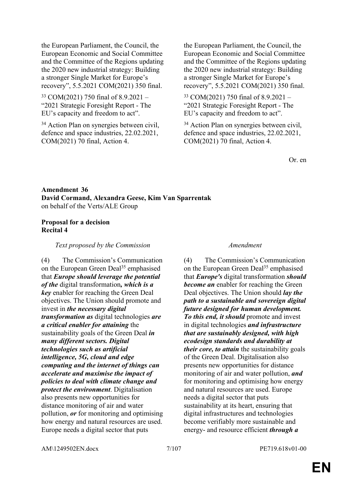the European Parliament, the Council, the European Economic and Social Committee and the Committee of the Regions updating the 2020 new industrial strategy: Building a stronger Single Market for Europe's recovery", 5.5.2021 COM(2021) 350 final.

<sup>33</sup> COM(2021) 750 final of 8.9.2021 – "2021 Strategic Foresight Report - The EU's capacity and freedom to act".

<sup>34</sup> Action Plan on synergies between civil, defence and space industries, 22.02.2021, COM(2021) 70 final, Action 4.

the European Parliament, the Council, the European Economic and Social Committee and the Committee of the Regions updating the 2020 new industrial strategy: Building a stronger Single Market for Europe's recovery", 5.5.2021 COM(2021) 350 final.

<sup>33</sup> COM(2021) 750 final of 8.9.2021 – "2021 Strategic Foresight Report - The EU's capacity and freedom to act".

<sup>34</sup> Action Plan on synergies between civil, defence and space industries, 22.02.2021, COM(2021) 70 final, Action 4.

Or. en

### **Amendment 36 David Cormand, Alexandra Geese, Kim Van Sparrentak** on behalf of the Verts/ALE Group

#### **Proposal for a decision Recital 4**

*Text proposed by the Commission Amendment*

(4) The Commission's Communication on the European Green Deal<sup>35</sup> emphasised that *Europe should leverage the potential of the* digital transformation*, which is a key* enabler for reaching the Green Deal objectives. The Union should promote and invest in *the necessary digital transformation as* digital technologies *are a critical enabler for attaining* the sustainability goals of the Green Deal *in many different sectors. Digital technologies such as artificial intelligence, 5G, cloud and edge computing and the internet of things can accelerate and maximise the impact of policies to deal with climate change and protect the environment*. Digitalisation also presents new opportunities for distance monitoring of air and water pollution, *or* for monitoring and optimising how energy and natural resources are used. Europe needs a digital sector that puts

(4) The Commission's Communication on the European Green Deal<sup>35</sup> emphasised that *Europe's* digital transformation *should become an* enabler for reaching the Green Deal objectives. The Union should *lay the path to a sustainable and sovereign digital future designed for human development. To this end, it should* promote and invest in digital technologies *and infrastructure that are sustainably designed, with high ecodesign standards and durability at their core, to attain* the sustainability goals of the Green Deal. Digitalisation also presents new opportunities for distance monitoring of air and water pollution, *and* for monitoring and optimising how energy and natural resources are used. Europe needs a digital sector that puts sustainability at its heart, ensuring that digital infrastructures and technologies become verifiably more sustainable and energy- and resource efficient *through a* 

AM\1249502EN.docx 7/107 PE719.618v01-00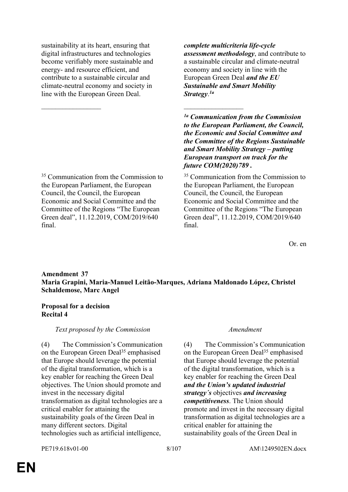sustainability at its heart, ensuring that digital infrastructures and technologies become verifiably more sustainable and energy- and resource efficient, and contribute to a sustainable circular and climate-neutral economy and society in line with the European Green Deal.

\_\_\_\_\_\_\_\_\_\_\_\_\_\_\_\_\_ \_\_\_\_\_\_\_\_\_\_\_\_\_\_\_\_\_

<sup>35</sup> Communication from the Commission to the European Parliament, the European Council, the Council, the European Economic and Social Committee and the Committee of the Regions "The European Green deal", 11.12.2019, COM/2019/640 final.

*complete multicriteria life-cycle assessment methodology*, and contribute to a sustainable circular and climate-neutral economy and society in line with the European Green Deal *and the EU Sustainable and Smart Mobility Strategy*. *1a*

*1a Communication from the Commission to the European Parliament, the Council, the Economic and Social Committee and the Committee of the Regions Sustainable and Smart Mobility Strategy – putting European transport on track for the future COM(2020)789 .*

<sup>35</sup> Communication from the Commission to the European Parliament, the European Council, the Council, the European Economic and Social Committee and the Committee of the Regions "The European Green deal", 11.12.2019, COM/2019/640 final.

Or. en

### **Amendment 37 Maria Grapini, Maria-Manuel Leitão-Marques, Adriana Maldonado López, Christel Schaldemose, Marc Angel**

### **Proposal for a decision Recital 4**

### *Text proposed by the Commission Amendment*

(4) The Commission's Communication on the European Green Deal<sup>35</sup> emphasised that Europe should leverage the potential of the digital transformation, which is a key enabler for reaching the Green Deal objectives. The Union should promote and invest in the necessary digital transformation as digital technologies are a critical enabler for attaining the sustainability goals of the Green Deal in many different sectors. Digital technologies such as artificial intelligence,

(4) The Commission's Communication on the European Green Deal<sup>35</sup> emphasised that Europe should leverage the potential of the digital transformation, which is a key enabler for reaching the Green Deal *and the Union's updated industrial strategy´s* objectives *and increasing competitiveness*. The Union should promote and invest in the necessary digital transformation as digital technologies are a critical enabler for attaining the sustainability goals of the Green Deal in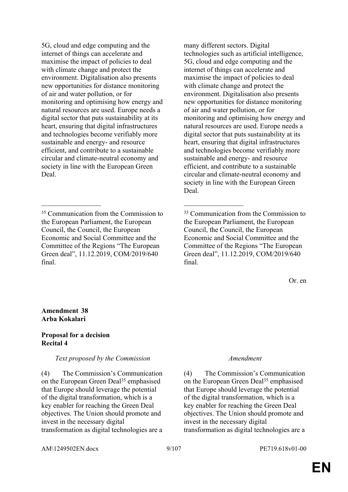5G, cloud and edge computing and the internet of things can accelerate and maximise the impact of policies to deal with climate change and protect the environment. Digitalisation also presents new opportunities for distance monitoring of air and water pollution, or for monitoring and optimising how energy and natural resources are used. Europe needs a digital sector that puts sustainability at its heart, ensuring that digital infrastructures and technologies become verifiably more sustainable and energy- and resource efficient, and contribute to a sustainable circular and climate-neutral economy and society in line with the European Green Deal.

\_\_\_\_\_\_\_\_\_\_\_\_\_\_\_\_\_ \_\_\_\_\_\_\_\_\_\_\_\_\_\_\_\_\_

many different sectors. Digital technologies such as artificial intelligence, 5G, cloud and edge computing and the internet of things can accelerate and maximise the impact of policies to deal with climate change and protect the environment. Digitalisation also presents new opportunities for distance monitoring of air and water pollution, or for monitoring and optimising how energy and natural resources are used. Europe needs a digital sector that puts sustainability at its heart, ensuring that digital infrastructures and technologies become verifiably more sustainable and energy- and resource efficient, and contribute to a sustainable circular and climate-neutral economy and society in line with the European Green Deal.

Or. en

#### **Amendment 38 Arba Kokalari**

#### **Proposal for a decision Recital 4**

### *Text proposed by the Commission Amendment*

(4) The Commission's Communication on the European Green Deal<sup>35</sup> emphasised that Europe should leverage the potential of the digital transformation, which is a key enabler for reaching the Green Deal objectives. The Union should promote and invest in the necessary digital transformation as digital technologies are a

(4) The Commission's Communication on the European Green Deal<sup>35</sup> emphasised that Europe should leverage the potential of the digital transformation, which is a key enabler for reaching the Green Deal objectives. The Union should promote and invest in the necessary digital transformation as digital technologies are a

AM\1249502EN.docx 9/107 PE719.618v01-00

<sup>&</sup>lt;sup>35</sup> Communication from the Commission to the European Parliament, the European Council, the Council, the European Economic and Social Committee and the Committee of the Regions "The European Green deal", 11.12.2019, COM/2019/640 final.

<sup>35</sup> Communication from the Commission to the European Parliament, the European Council, the Council, the European Economic and Social Committee and the Committee of the Regions "The European Green deal", 11.12.2019, COM/2019/640 final.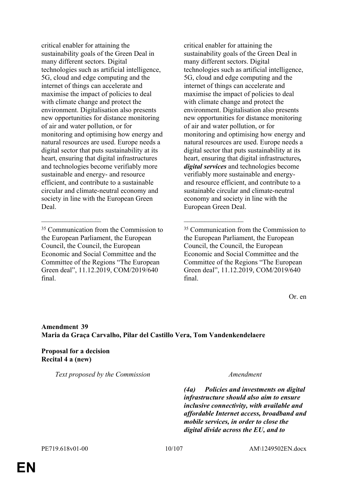critical enabler for attaining the sustainability goals of the Green Deal in many different sectors. Digital technologies such as artificial intelligence, 5G, cloud and edge computing and the internet of things can accelerate and maximise the impact of policies to deal with climate change and protect the environment. Digitalisation also presents new opportunities for distance monitoring of air and water pollution, or for monitoring and optimising how energy and natural resources are used. Europe needs a digital sector that puts sustainability at its heart, ensuring that digital infrastructures and technologies become verifiably more sustainable and energy- and resource efficient, and contribute to a sustainable circular and climate-neutral economy and society in line with the European Green Deal.

critical enabler for attaining the sustainability goals of the Green Deal in many different sectors. Digital technologies such as artificial intelligence, 5G, cloud and edge computing and the internet of things can accelerate and maximise the impact of policies to deal with climate change and protect the environment. Digitalisation also presents new opportunities for distance monitoring of air and water pollution, or for monitoring and optimising how energy and natural resources are used. Europe needs a digital sector that puts sustainability at its heart, ensuring that digital infrastructures*, digital services* and technologies become verifiably more sustainable and energyand resource efficient, and contribute to a sustainable circular and climate-neutral economy and society in line with the European Green Deal.

Or. en

### **Amendment 39 Maria da Graça Carvalho, Pilar del Castillo Vera, Tom Vandenkendelaere**

\_\_\_\_\_\_\_\_\_\_\_\_\_\_\_\_\_ \_\_\_\_\_\_\_\_\_\_\_\_\_\_\_\_\_

**Proposal for a decision Recital 4 a (new)**

*Text proposed by the Commission Amendment*

*(4a) Policies and investments on digital infrastructure should also aim to ensure inclusive connectivity, with available and affordable Internet access, broadband and mobile services, in order to close the digital divide across the EU, and to* 

<sup>&</sup>lt;sup>35</sup> Communication from the Commission to the European Parliament, the European Council, the Council, the European Economic and Social Committee and the Committee of the Regions "The European Green deal", 11.12.2019, COM/2019/640 final.

<sup>35</sup> Communication from the Commission to the European Parliament, the European Council, the Council, the European Economic and Social Committee and the Committee of the Regions "The European Green deal", 11.12.2019, COM/2019/640 final.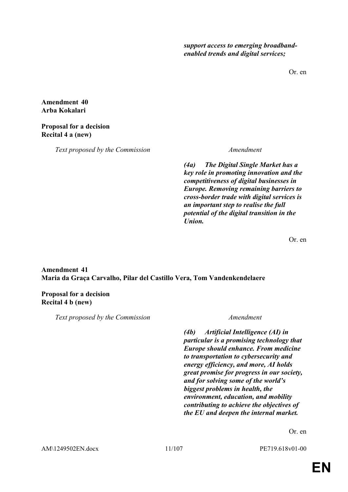*support access to emerging broadbandenabled trends and digital services;*

Or. en

**Amendment 40 Arba Kokalari**

#### **Proposal for a decision Recital 4 a (new)**

*Text proposed by the Commission Amendment*

*(4a) The Digital Single Market has a key role in promoting innovation and the competitiveness of digital businesses in Europe. Removing remaining barriers to cross-border trade with digital services is an important step to realise the full potential of the digital transition in the Union.*

Or. en

### **Amendment 41 Maria da Graça Carvalho, Pilar del Castillo Vera, Tom Vandenkendelaere**

### **Proposal for a decision Recital 4 b (new)**

*Text proposed by the Commission Amendment*

*(4b) Artificial Intelligence (AI) in particular is a promising technology that Europe should enhance. From medicine to transportation to cybersecurity and energy efficiency, and more, AI holds great promise for progress in our society, and for solving some of the world's biggest problems in health, the environment, education, and mobility contributing to achieve the objectives of the EU and deepen the internal market.*

Or. en

AM\1249502EN.docx 11/107 PE719.618v01-00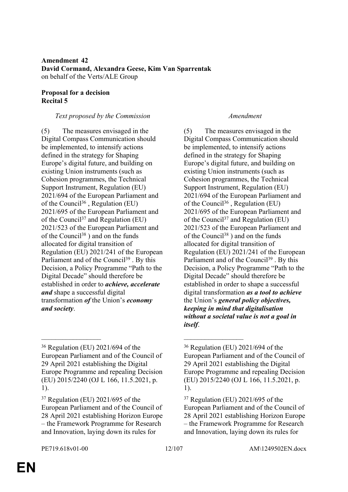### **Amendment 42 David Cormand, Alexandra Geese, Kim Van Sparrentak** on behalf of the Verts/ALE Group

### **Proposal for a decision Recital 5**

### *Text proposed by the Commission Amendment*

(5) The measures envisaged in the Digital Compass Communication should be implemented, to intensify actions defined in the strategy for Shaping Europe's digital future, and building on existing Union instruments (such as Cohesion programmes, the Technical Support Instrument, Regulation (EU) 2021/694 of the European Parliament and of the Council<sup>36</sup>, Regulation (EU) 2021/695 of the European Parliament and of the Council<sup>37</sup> and Regulation (EU) 2021/523 of the European Parliament and of the Council<sup>38</sup> ) and on the funds allocated for digital transition of Regulation (EU) 2021/241 of the European Parliament and of the Council<sup>39</sup>. By this Decision, a Policy Programme "Path to the Digital Decade" should therefore be established in order to *achieve, accelerate and* shape a successful digital transformation *of* the Union's *economy and society*.

\_\_\_\_\_\_\_\_\_\_\_\_\_\_\_\_\_ \_\_\_\_\_\_\_\_\_\_\_\_\_\_\_\_\_

(5) The measures envisaged in the Digital Compass Communication should be implemented, to intensify actions defined in the strategy for Shaping Europe's digital future, and building on existing Union instruments (such as Cohesion programmes, the Technical Support Instrument, Regulation (EU) 2021/694 of the European Parliament and of the Council<sup>36</sup>, Regulation (EU) 2021/695 of the European Parliament and of the Council<sup>37</sup> and Regulation (EU) 2021/523 of the European Parliament and of the Council<sup>38</sup>) and on the funds allocated for digital transition of Regulation (EU) 2021/241 of the European Parliament and of the Council<sup>39</sup>. By this Decision, a Policy Programme "Path to the Digital Decade" should therefore be established in order to shape a successful digital transformation *as a tool to achieve* the Union's *general policy objectives, keeping in mind that digitalisation without a societal value is not a goal in itself*.

<sup>36</sup> Regulation (EU) 2021/694 of the European Parliament and of the Council of 29 April 2021 establishing the Digital Europe Programme and repealing Decision (EU) 2015/2240 (OJ L 166, 11.5.2021, p. 1).

<sup>37</sup> Regulation (EU) 2021/695 of the European Parliament and of the Council of 28 April 2021 establishing Horizon Europe – the Framework Programme for Research and Innovation, laying down its rules for

<sup>36</sup> Regulation (EU) 2021/694 of the European Parliament and of the Council of 29 April 2021 establishing the Digital Europe Programme and repealing Decision (EU) 2015/2240 (OJ L 166, 11.5.2021, p. 1).

<sup>37</sup> Regulation (EU) 2021/695 of the European Parliament and of the Council of 28 April 2021 establishing Horizon Europe – the Framework Programme for Research and Innovation, laying down its rules for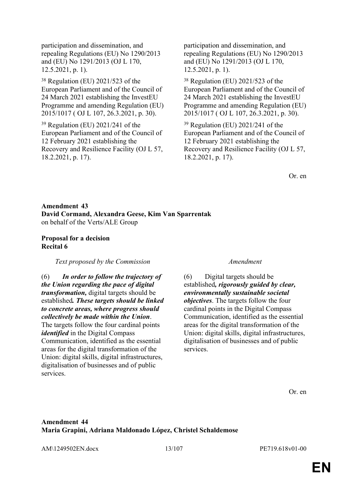participation and dissemination, and repealing Regulations (EU) No 1290/2013 and (EU) No 1291/2013 (OJ L 170, 12.5.2021, p. 1).

<sup>38</sup> Regulation (EU) 2021/523 of the European Parliament and of the Council of 24 March 2021 establishing the InvestEU Programme and amending Regulation (EU) 2015/1017 ( OJ L 107, 26.3.2021, p. 30).

<sup>39</sup> Regulation (EU) 2021/241 of the European Parliament and of the Council of 12 February 2021 establishing the Recovery and Resilience Facility (OJ L 57, 18.2.2021, p. 17).

participation and dissemination, and repealing Regulations (EU) No 1290/2013 and (EU) No 1291/2013 (OJ L 170, 12.5.2021, p. 1).

<sup>38</sup> Regulation (EU) 2021/523 of the European Parliament and of the Council of 24 March 2021 establishing the InvestEU Programme and amending Regulation (EU) 2015/1017 ( OJ L 107, 26.3.2021, p. 30).

<sup>39</sup> Regulation (EU) 2021/241 of the European Parliament and of the Council of 12 February 2021 establishing the Recovery and Resilience Facility (OJ L 57, 18.2.2021, p. 17).

Or. en

### **Amendment 43 David Cormand, Alexandra Geese, Kim Van Sparrentak** on behalf of the Verts/ALE Group

#### **Proposal for a decision Recital 6**

#### *Text proposed by the Commission Amendment*

(6) *In order to follow the trajectory of the Union regarding the pace of digital transformation,* digital targets should be established*. These targets should be linked to concrete areas, where progress should collectively be made within the Union*. The targets follow the four cardinal points *identified* in the Digital Compass Communication, identified as the essential areas for the digital transformation of the Union: digital skills, digital infrastructures, digitalisation of businesses and of public services.

(6) Digital targets should be established*, rigorously guided by clear, environmentally sustainable societal objectives*. The targets follow the four cardinal points in the Digital Compass Communication, identified as the essential areas for the digital transformation of the Union: digital skills, digital infrastructures, digitalisation of businesses and of public services.

Or. en

### **Amendment 44 Maria Grapini, Adriana Maldonado López, Christel Schaldemose**

AM\1249502EN.docx 13/107 PE719.618v01-00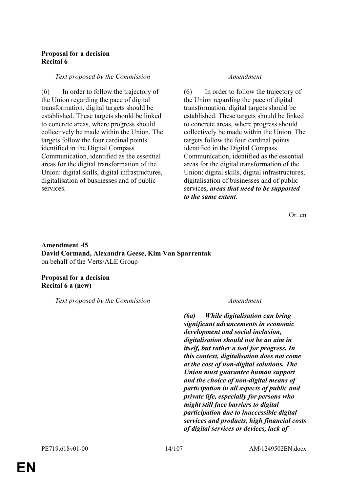#### **Proposal for a decision Recital 6**

#### *Text proposed by the Commission Amendment*

(6) In order to follow the trajectory of the Union regarding the pace of digital transformation, digital targets should be established. These targets should be linked to concrete areas, where progress should collectively be made within the Union. The targets follow the four cardinal points identified in the Digital Compass Communication, identified as the essential areas for the digital transformation of the Union: digital skills, digital infrastructures, digitalisation of businesses and of public services.

(6) In order to follow the trajectory of the Union regarding the pace of digital transformation, digital targets should be established. These targets should be linked to concrete areas, where progress should collectively be made within the Union. The targets follow the four cardinal points identified in the Digital Compass Communication, identified as the essential areas for the digital transformation of the Union: digital skills, digital infrastructures, digitalisation of businesses and of public services*, areas that need to be supported to the same extent*.

Or. en

**Amendment 45 David Cormand, Alexandra Geese, Kim Van Sparrentak** on behalf of the Verts/ALE Group

#### **Proposal for a decision Recital 6 a (new)**

*Text proposed by the Commission Amendment*

*(6a) While digitalisation can bring significant advancements in economic development and social inclusion, digitalisation should not be an aim in itself, but rather a tool for progress. In this context, digitalisation does not come at the cost of non-digital solutions. The Union must guarantee human support and the choice of non-digital means of participation in all aspects of public and private life, especially for persons who might still face barriers to digital participation due to inaccessible digital services and products, high financial costs of digital services or devices, lack of*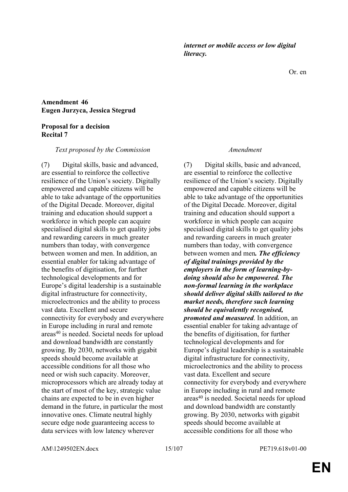AM\1249502EN.docx 15/107 PE719.618v01-00

*literacy.*

**Amendment 46 Eugen Jurzyca, Jessica Stegrud**

#### **Proposal for a decision Recital 7**

#### *Text proposed by the Commission Amendment*

(7) Digital skills, basic and advanced, are essential to reinforce the collective resilience of the Union's society. Digitally empowered and capable citizens will be able to take advantage of the opportunities of the Digital Decade. Moreover, digital training and education should support a workforce in which people can acquire specialised digital skills to get quality jobs and rewarding careers in much greater numbers than today, with convergence between women and men. In addition, an essential enabler for taking advantage of the benefits of digitisation, for further technological developments and for Europe's digital leadership is a sustainable digital infrastructure for connectivity, microelectronics and the ability to process vast data. Excellent and secure connectivity for everybody and everywhere in Europe including in rural and remote areas<sup>40</sup> is needed. Societal needs for upload and download bandwidth are constantly growing. By 2030, networks with gigabit speeds should become available at accessible conditions for all those who need or wish such capacity. Moreover, microprocessors which are already today at the start of most of the key, strategic value chains are expected to be in even higher demand in the future, in particular the most innovative ones. Climate neutral highly secure edge node guaranteeing access to data services with low latency wherever

*internet or mobile access or low digital* 

(7) Digital skills, basic and advanced, are essential to reinforce the collective resilience of the Union's society. Digitally empowered and capable citizens will be able to take advantage of the opportunities of the Digital Decade. Moreover, digital training and education should support a workforce in which people can acquire specialised digital skills to get quality jobs and rewarding careers in much greater numbers than today, with convergence between women and men*. The efficiency of digital trainings provided by the employers in the form of learning-bydoing should also be empowered. The non-formal learning in the workplace should deliver digital skills tailored to the market needs, therefore such learning should be equivalently recognised, promoted and measured*. In addition, an essential enabler for taking advantage of the benefits of digitisation, for further technological developments and for Europe's digital leadership is a sustainable digital infrastructure for connectivity, microelectronics and the ability to process vast data. Excellent and secure connectivity for everybody and everywhere in Europe including in rural and remote areas<sup>40</sup> is needed. Societal needs for upload and download bandwidth are constantly growing. By 2030, networks with gigabit speeds should become available at accessible conditions for all those who

Or. en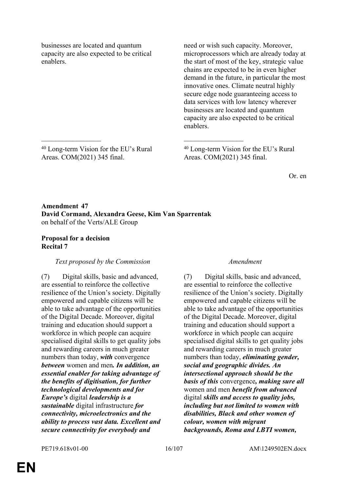businesses are located and quantum capacity are also expected to be critical enablers.

need or wish such capacity. Moreover, microprocessors which are already today at the start of most of the key, strategic value chains are expected to be in even higher demand in the future, in particular the most innovative ones. Climate neutral highly secure edge node guaranteeing access to data services with low latency wherever businesses are located and quantum capacity are also expected to be critical enablers.

<sup>40</sup> Long-term Vision for the EU's Rural Areas. COM(2021) 345 final.

<sup>40</sup> Long-term Vision for the EU's Rural Areas. COM(2021) 345 final.

Or. en

### **Amendment 47 David Cormand, Alexandra Geese, Kim Van Sparrentak** on behalf of the Verts/ALE Group

\_\_\_\_\_\_\_\_\_\_\_\_\_\_\_\_\_ \_\_\_\_\_\_\_\_\_\_\_\_\_\_\_\_\_

### **Proposal for a decision Recital 7**

### *Text proposed by the Commission Amendment*

(7) Digital skills, basic and advanced, are essential to reinforce the collective resilience of the Union's society. Digitally empowered and capable citizens will be able to take advantage of the opportunities of the Digital Decade. Moreover, digital training and education should support a workforce in which people can acquire specialised digital skills to get quality jobs and rewarding careers in much greater numbers than today, *with* convergence *between* women and men*. In addition, an essential enabler for taking advantage of the benefits of digitisation, for further technological developments and for Europe's* digital *leadership is a sustainable* digital infrastructure *for connectivity, microelectronics and the ability to process vast data. Excellent and secure connectivity for everybody and* 

(7) Digital skills, basic and advanced, are essential to reinforce the collective resilience of the Union's society. Digitally empowered and capable citizens will be able to take advantage of the opportunities of the Digital Decade. Moreover, digital training and education should support a workforce in which people can acquire specialised digital skills to get quality jobs and rewarding careers in much greater numbers than today, *eliminating gender, social and geographic divides. An intersectional approach should be the basis of this* convergence*, making sure all* women and men *benefit from advanced* digital *skills and access to quality jobs, including but not limited to women with disabilities, Black and other women of colour, women with migrant backgrounds, Roma and LBTI women,*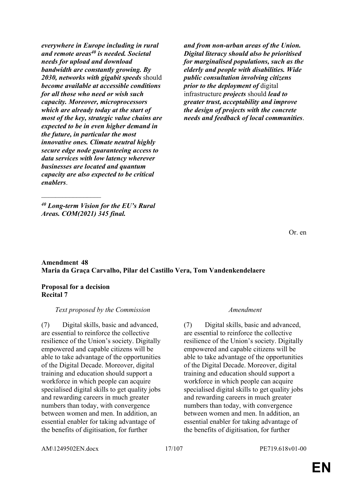*everywhere in Europe including in rural and remote areas<sup>40</sup> is needed. Societal needs for upload and download bandwidth are constantly growing. By 2030, networks with gigabit speeds* should *become available at accessible conditions for all those who need or wish such capacity. Moreover, microprocessors which are already today at the start of most of the key, strategic value chains are expected to be in even higher demand in the future, in particular the most innovative ones. Climate neutral highly secure edge node guaranteeing access to data services with low latency wherever businesses are located and quantum capacity are also expected to be critical enablers*.

 $\frac{1}{2}$ *<sup>40</sup> Long-term Vision for the EU's Rural Areas. COM(2021) 345 final.*

*and from non-urban areas of the Union. Digital literacy should also be prioritised for marginalised populations, such as the elderly and people with disabilities. Wide public consultation involving citizens prior to the deployment of* digital infrastructure *projects* should *lead to greater trust, acceptability and improve the design of projects with the concrete needs and feedback of local communities*.

Or. en

### **Amendment 48 Maria da Graça Carvalho, Pilar del Castillo Vera, Tom Vandenkendelaere**

### **Proposal for a decision Recital 7**

### *Text proposed by the Commission Amendment*

(7) Digital skills, basic and advanced, are essential to reinforce the collective resilience of the Union's society. Digitally empowered and capable citizens will be able to take advantage of the opportunities of the Digital Decade. Moreover, digital training and education should support a workforce in which people can acquire specialised digital skills to get quality jobs and rewarding careers in much greater numbers than today, with convergence between women and men. In addition, an essential enabler for taking advantage of the benefits of digitisation, for further

(7) Digital skills, basic and advanced, are essential to reinforce the collective resilience of the Union's society. Digitally empowered and capable citizens will be able to take advantage of the opportunities of the Digital Decade. Moreover, digital training and education should support a workforce in which people can acquire specialised digital skills to get quality jobs and rewarding careers in much greater numbers than today, with convergence between women and men. In addition, an essential enabler for taking advantage of the benefits of digitisation, for further

AM\1249502EN.docx 17/107 PE719.618v01-00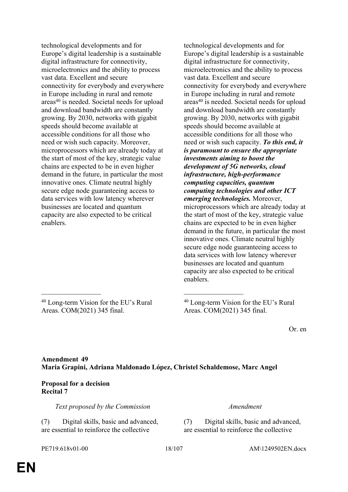technological developments and for Europe's digital leadership is a sustainable digital infrastructure for connectivity, microelectronics and the ability to process vast data. Excellent and secure connectivity for everybody and everywhere in Europe including in rural and remote areas<sup>40</sup> is needed. Societal needs for upload and download bandwidth are constantly growing. By 2030, networks with gigabit speeds should become available at accessible conditions for all those who need or wish such capacity. Moreover, microprocessors which are already today at the start of most of the key, strategic value chains are expected to be in even higher demand in the future, in particular the most innovative ones. Climate neutral highly secure edge node guaranteeing access to data services with low latency wherever businesses are located and quantum capacity are also expected to be critical enablers.

technological developments and for Europe's digital leadership is a sustainable digital infrastructure for connectivity, microelectronics and the ability to process vast data. Excellent and secure connectivity for everybody and everywhere in Europe including in rural and remote areas<sup>40</sup> is needed. Societal needs for upload and download bandwidth are constantly growing. By 2030, networks with gigabit speeds should become available at accessible conditions for all those who need or wish such capacity. *To this end, it is paramount to ensure the appropriate investments aiming to boost the development of 5G networks, cloud infrastructure, high-performance computing capacities, quantum computing technologies and other ICT emerging technologies.* Moreover, microprocessors which are already today at the start of most of the key, strategic value chains are expected to be in even higher demand in the future, in particular the most innovative ones. Climate neutral highly secure edge node guaranteeing access to data services with low latency wherever businesses are located and quantum capacity are also expected to be critical enablers.

<sup>40</sup> Long-term Vision for the EU's Rural Areas. COM(2021) 345 final.

<sup>40</sup> Long-term Vision for the EU's Rural Areas. COM(2021) 345 final.

Or. en

### **Amendment 49 Maria Grapini, Adriana Maldonado López, Christel Schaldemose, Marc Angel**

\_\_\_\_\_\_\_\_\_\_\_\_\_\_\_\_\_ \_\_\_\_\_\_\_\_\_\_\_\_\_\_\_\_\_

### **Proposal for a decision Recital 7**

*Text proposed by the Commission Amendment*

(7) Digital skills, basic and advanced, are essential to reinforce the collective

(7) Digital skills, basic and advanced, are essential to reinforce the collective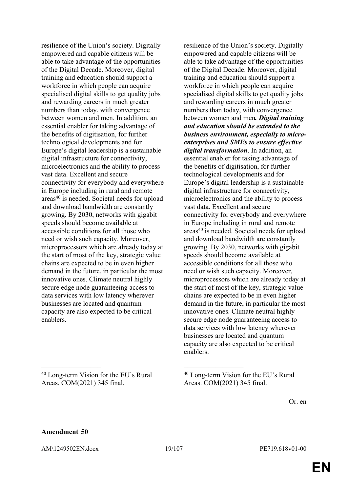resilience of the Union's society. Digitally empowered and capable citizens will be able to take advantage of the opportunities of the Digital Decade. Moreover, digital training and education should support a workforce in which people can acquire specialised digital skills to get quality jobs and rewarding careers in much greater numbers than today, with convergence between women and men. In addition, an essential enabler for taking advantage of the benefits of digitisation, for further technological developments and for Europe's digital leadership is a sustainable digital infrastructure for connectivity, microelectronics and the ability to process vast data. Excellent and secure connectivity for everybody and everywhere in Europe including in rural and remote areas<sup>40</sup> is needed. Societal needs for upload and download bandwidth are constantly growing. By 2030, networks with gigabit speeds should become available at accessible conditions for all those who need or wish such capacity. Moreover, microprocessors which are already today at the start of most of the key, strategic value chains are expected to be in even higher demand in the future, in particular the most innovative ones. Climate neutral highly secure edge node guaranteeing access to data services with low latency wherever businesses are located and quantum capacity are also expected to be critical enablers.

<sup>40</sup> Long-term Vision for the EU's Rural Areas. COM(2021) 345 final.

 $\mathcal{L}_\text{max}$  and  $\mathcal{L}_\text{max}$  and  $\mathcal{L}_\text{max}$  and  $\mathcal{L}_\text{max}$ 

resilience of the Union's society. Digitally empowered and capable citizens will be able to take advantage of the opportunities of the Digital Decade. Moreover, digital training and education should support a workforce in which people can acquire specialised digital skills to get quality jobs and rewarding careers in much greater numbers than today, with convergence between women and men*. Digital training and education should be extended to the business environment, especially to microenterprises and SMEs to ensure effective digital transformation*. In addition, an essential enabler for taking advantage of the benefits of digitisation, for further technological developments and for Europe's digital leadership is a sustainable digital infrastructure for connectivity, microelectronics and the ability to process vast data. Excellent and secure connectivity for everybody and everywhere in Europe including in rural and remote areas<sup>40</sup> is needed. Societal needs for upload and download bandwidth are constantly growing. By 2030, networks with gigabit speeds should become available at accessible conditions for all those who need or wish such capacity. Moreover, microprocessors which are already today at the start of most of the key, strategic value chains are expected to be in even higher demand in the future, in particular the most innovative ones. Climate neutral highly secure edge node guaranteeing access to data services with low latency wherever businesses are located and quantum capacity are also expected to be critical

Or. en

### **Amendment 50**

AM\1249502EN.docx 19/107 PE719.618v01-00

enablers.

<sup>40</sup> Long-term Vision for the EU's Rural Areas. COM(2021) 345 final.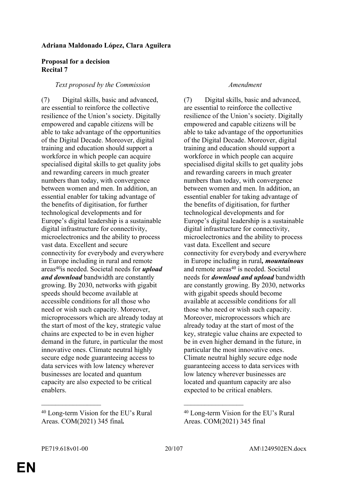#### **Adriana Maldonado López, Clara Aguilera**

#### **Proposal for a decision Recital 7**

#### *Text proposed by the Commission Amendment*

(7) Digital skills, basic and advanced, are essential to reinforce the collective resilience of the Union's society. Digitally empowered and capable citizens will be able to take advantage of the opportunities of the Digital Decade. Moreover, digital training and education should support a workforce in which people can acquire specialised digital skills to get quality jobs and rewarding careers in much greater numbers than today, with convergence between women and men. In addition, an essential enabler for taking advantage of the benefits of digitisation, for further technological developments and for Europe's digital leadership is a sustainable digital infrastructure for connectivity, microelectronics and the ability to process vast data. Excellent and secure connectivity for everybody and everywhere in Europe including in rural and remote areas<sup>40</sup>is needed. Societal needs for *upload and download* bandwidth are constantly growing. By 2030, networks with gigabit speeds should become available at accessible conditions for all those who need or wish such capacity. Moreover, microprocessors which are already today at the start of most of the key, strategic value chains are expected to be in even higher demand in the future, in particular the most innovative ones. Climate neutral highly secure edge node guaranteeing access to data services with low latency wherever businesses are located and quantum capacity are also expected to be critical enablers.

(7) Digital skills, basic and advanced, are essential to reinforce the collective resilience of the Union's society. Digitally empowered and capable citizens will be able to take advantage of the opportunities of the Digital Decade. Moreover, digital training and education should support a workforce in which people can acquire specialised digital skills to get quality jobs and rewarding careers in much greater numbers than today, with convergence between women and men. In addition, an essential enabler for taking advantage of the benefits of digitisation, for further technological developments and for Europe's digital leadership is a sustainable digital infrastructure for connectivity, microelectronics and the ability to process vast data. Excellent and secure connectivity for everybody and everywhere in Europe including in rural*, mountainous* and remote  $\arccos^{40}$  is needed. Societal needs for *download and upload* bandwidth are constantly growing. By 2030, networks with gigabit speeds should become available at accessible conditions for all those who need or wish such capacity. Moreover, microprocessors which are already today at the start of most of the key, strategic value chains are expected to be in even higher demand in the future, in particular the most innovative ones. Climate neutral highly secure edge node guaranteeing access to data services with low latency wherever businesses are located and quantum capacity are also expected to be critical enablers.

\_\_\_\_\_\_\_\_\_\_\_\_\_\_\_\_\_ \_\_\_\_\_\_\_\_\_\_\_\_\_\_\_\_\_

<sup>40</sup> Long-term Vision for the EU's Rural Areas. COM(2021) 345 final*.*

<sup>40</sup> Long-term Vision for the EU's Rural Areas. COM(2021) 345 final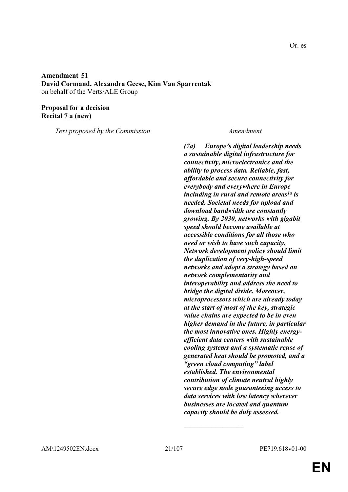#### **Amendment 51 David Cormand, Alexandra Geese, Kim Van Sparrentak** on behalf of the Verts/ALE Group

#### **Proposal for a decision Recital 7 a (new)**

*Text proposed by the Commission Amendment*

*(7a) Europe's digital leadership needs a sustainable digital infrastructure for connectivity, microelectronics and the ability to process data. Reliable, fast, affordable and secure connectivity for everybody and everywhere in Europe including in rural and remote areas1a is needed. Societal needs for upload and download bandwidth are constantly growing. By 2030, networks with gigabit speed should become available at accessible conditions for all those who need or wish to have such capacity. Network development policy should limit the duplication of very-high-speed networks and adopt a strategy based on network complementarity and interoperability and address the need to bridge the digital divide. Moreover, microprocessors which are already today at the start of most of the key, strategic value chains are expected to be in even higher demand in the future, in particular the most innovative ones. Highly energyefficient data centers with sustainable cooling systems and a systematic reuse of generated heat should be promoted, and a "green cloud computing" label established. The environmental contribution of climate neutral highly secure edge node guaranteeing access to data services with low latency wherever businesses are located and quantum capacity should be duly assessed.*

 $\frac{1}{2}$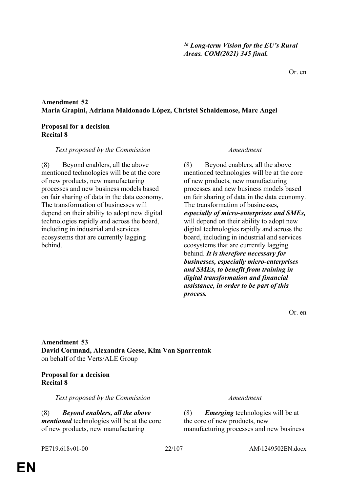# **EN**

#### **Amendment 52 Maria Grapini, Adriana Maldonado López, Christel Schaldemose, Marc Angel**

#### **Proposal for a decision Recital 8**

#### *Text proposed by the Commission Amendment*

(8) Beyond enablers, all the above mentioned technologies will be at the core of new products, new manufacturing processes and new business models based on fair sharing of data in the data economy. The transformation of businesses will depend on their ability to adopt new digital technologies rapidly and across the board, including in industrial and services ecosystems that are currently lagging behind.

(8) Beyond enablers, all the above mentioned technologies will be at the core of new products, new manufacturing processes and new business models based on fair sharing of data in the data economy. The transformation of businesses*, especially of micro-enterprises and SMEs,* will depend on their ability to adopt new digital technologies rapidly and across the board, including in industrial and services ecosystems that are currently lagging behind. *It is therefore necessary for businesses, especially micro-enterprises and SMEs, to benefit from training in digital transformation and financial assistance, in order to be part of this process.*

Or. en

**Amendment 53 David Cormand, Alexandra Geese, Kim Van Sparrentak** on behalf of the Verts/ALE Group

### **Proposal for a decision Recital 8**

*Text proposed by the Commission Amendment*

(8) *Beyond enablers, all the above mentioned* technologies will be at the core of new products, new manufacturing

(8) *Emerging* technologies will be at the core of new products, new manufacturing processes and new business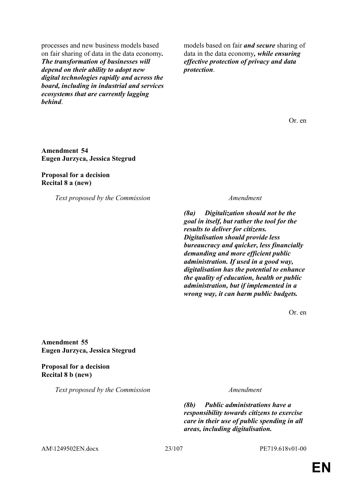processes and new business models based on fair sharing of data in the data economy*. The transformation of businesses will depend on their ability to adopt new digital technologies rapidly and across the board, including in industrial and services ecosystems that are currently lagging behind*.

models based on fair *and secure* sharing of data in the data economy*, while ensuring effective protection of privacy and data protection*.

Or. en

#### **Amendment 54 Eugen Jurzyca, Jessica Stegrud**

**Proposal for a decision Recital 8 a (new)**

*Text proposed by the Commission Amendment*

*(8a) Digitalization should not be the goal in itself, but rather the tool for the results to deliver for citizens. Digitalisation should provide less bureaucracy and quicker, less financially demanding and more efficient public administration. If used in a good way, digitalisation has the potential to enhance the quality of education, health or public administration, but if implemented in a wrong way, it can harm public budgets.*

Or. en

**Amendment 55 Eugen Jurzyca, Jessica Stegrud**

**Proposal for a decision Recital 8 b (new)**

*Text proposed by the Commission Amendment*

*(8b) Public administrations have a responsibility towards citizens to exercise care in their use of public spending in all areas, including digitalisation.*

AM\1249502EN.docx 23/107 PE719.618v01-00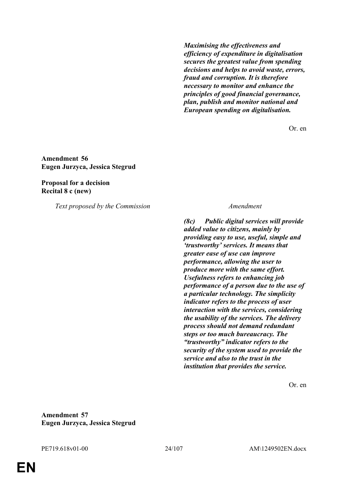*Maximising the effectiveness and efficiency of expenditure in digitalisation secures the greatest value from spending decisions and helps to avoid waste, errors, fraud and corruption. It is therefore necessary to monitor and enhance the principles of good financial governance, plan, publish and monitor national and European spending on digitalisation.*

Or. en

**Amendment 56 Eugen Jurzyca, Jessica Stegrud**

**Proposal for a decision Recital 8 c (new)**

*Text proposed by the Commission Amendment*

*(8c) Public digital services will provide added value to citizens, mainly by providing easy to use, useful, simple and 'trustworthy' services. It means that greater ease of use can improve performance, allowing the user to produce more with the same effort. Usefulness refers to enhancing job performance of a person due to the use of a particular technology. The simplicity indicator refers to the process of user interaction with the services, considering the usability of the services. The delivery process should not demand redundant steps or too much bureaucracy. The "trustworthy" indicator refers to the security of the system used to provide the service and also to the trust in the institution that provides the service.*

Or. en

**Amendment 57 Eugen Jurzyca, Jessica Stegrud**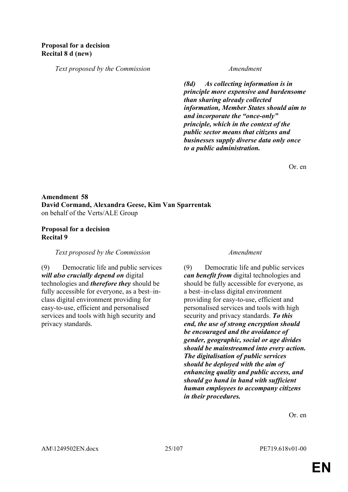*Text proposed by the Commission Amendment*

*(8d) As collecting information is in principle more expensive and burdensome than sharing already collected information, Member States should aim to and incorporate the "once-only" principle, which in the context of the public sector means that citizens and businesses supply diverse data only once to a public administration.*

Or. en

### **Amendment 58 David Cormand, Alexandra Geese, Kim Van Sparrentak** on behalf of the Verts/ALE Group

#### **Proposal for a decision Recital 9**

*Text proposed by the Commission Amendment*

(9) Democratic life and public services *will also crucially depend on* digital technologies and *therefore they* should be fully accessible for everyone, as a best–inclass digital environment providing for easy-to-use, efficient and personalised services and tools with high security and privacy standards.

(9) Democratic life and public services *can benefit from* digital technologies and should be fully accessible for everyone, as a best–in-class digital environment providing for easy-to-use, efficient and personalised services and tools with high security and privacy standards. *To this end, the use of strong encryption should be encouraged and the avoidance of gender, geographic, social or age divides should be mainstreamed into every action. The digitalisation of public services should be deployed with the aim of enhancing quality and public access, and should go hand in hand with sufficient human employees to accompany citizens in their procedures.*

Or. en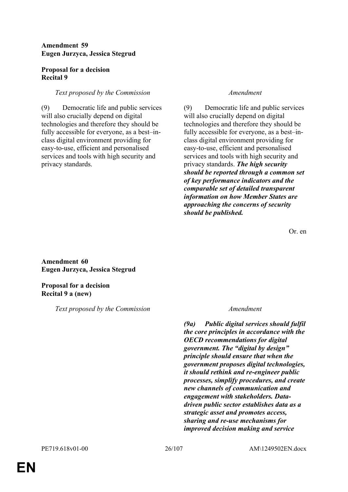#### **Amendment 59 Eugen Jurzyca, Jessica Stegrud**

### **Proposal for a decision Recital 9**

### *Text proposed by the Commission Amendment*

(9) Democratic life and public services will also crucially depend on digital technologies and therefore they should be fully accessible for everyone, as a best–inclass digital environment providing for easy-to-use, efficient and personalised services and tools with high security and privacy standards.

(9) Democratic life and public services will also crucially depend on digital technologies and therefore they should be fully accessible for everyone, as a best–inclass digital environment providing for easy-to-use, efficient and personalised services and tools with high security and privacy standards. *The high security should be reported through a common set of key performance indicators and the comparable set of detailed transparent information on how Member States are approaching the concerns of security should be published.*

Or. en

**Amendment 60 Eugen Jurzyca, Jessica Stegrud**

**Proposal for a decision Recital 9 a (new)**

*Text proposed by the Commission Amendment*

*(9a) Public digital services should fulfil the core principles in accordance with the OECD recommendations for digital government. The "digital by design" principle should ensure that when the government proposes digital technologies, it should rethink and re-engineer public processes, simplify procedures, and create new channels of communication and engagement with stakeholders. Datadriven public sector establishes data as a strategic asset and promotes access, sharing and re-use mechanisms for improved decision making and service*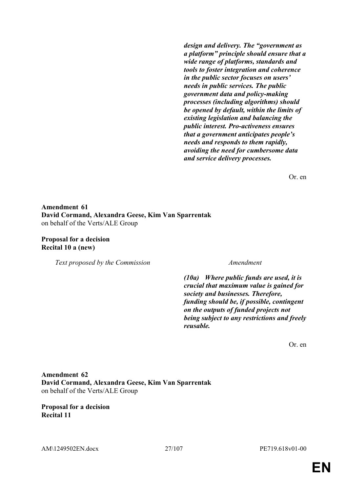*design and delivery. The "government as a platform" principle should ensure that a wide range of platforms, standards and tools to foster integration and coherence in the public sector focuses on users' needs in public services. The public government data and policy-making processes (including algorithms) should be opened by default, within the limits of existing legislation and balancing the public interest. Pro-activeness ensures that a government anticipates people's needs and responds to them rapidly, avoiding the need for cumbersome data and service delivery processes.*

Or. en

### **Amendment 61 David Cormand, Alexandra Geese, Kim Van Sparrentak** on behalf of the Verts/ALE Group

**Proposal for a decision Recital 10 a (new)**

*Text proposed by the Commission Amendment*

*(10a) Where public funds are used, it is crucial that maximum value is gained for society and businesses. Therefore, funding should be, if possible, contingent on the outputs of funded projects not being subject to any restrictions and freely reusable.*

Or. en

### **Amendment 62 David Cormand, Alexandra Geese, Kim Van Sparrentak** on behalf of the Verts/ALE Group

**Proposal for a decision Recital 11**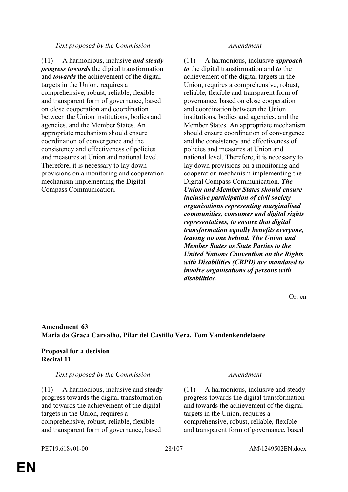#### *Text proposed by the Commission Amendment*

(11) A harmonious, inclusive *and steady progress towards* the digital transformation and *towards* the achievement of the digital targets in the Union, requires a comprehensive, robust, reliable, flexible and transparent form of governance, based on close cooperation and coordination between the Union institutions, bodies and agencies, and the Member States. An appropriate mechanism should ensure coordination of convergence and the consistency and effectiveness of policies and measures at Union and national level. Therefore, it is necessary to lay down provisions on a monitoring and cooperation mechanism implementing the Digital Compass Communication.

(11) A harmonious, inclusive *approach to* the digital transformation and *to* the achievement of the digital targets in the Union, requires a comprehensive, robust, reliable, flexible and transparent form of governance, based on close cooperation and coordination between the Union institutions, bodies and agencies, and the Member States. An appropriate mechanism should ensure coordination of convergence and the consistency and effectiveness of policies and measures at Union and national level. Therefore, it is necessary to lay down provisions on a monitoring and cooperation mechanism implementing the Digital Compass Communication. *The Union and Member States should ensure inclusive participation of civil society organisations representing marginalised communities, consumer and digital rights representatives, to ensure that digital transformation equally benefits everyone, leaving no one behind. The Union and Member States as State Parties to the United Nations Convention on the Rights with Disabilities (CRPD) are mandated to involve organisations of persons with disabilities.*

Or. en

### **Amendment 63 Maria da Graça Carvalho, Pilar del Castillo Vera, Tom Vandenkendelaere**

### **Proposal for a decision Recital 11**

### *Text proposed by the Commission Amendment*

(11) A harmonious, inclusive and steady progress towards the digital transformation and towards the achievement of the digital targets in the Union, requires a comprehensive, robust, reliable, flexible and transparent form of governance, based

(11) A harmonious, inclusive and steady progress towards the digital transformation and towards the achievement of the digital targets in the Union, requires a comprehensive, robust, reliable, flexible and transparent form of governance, based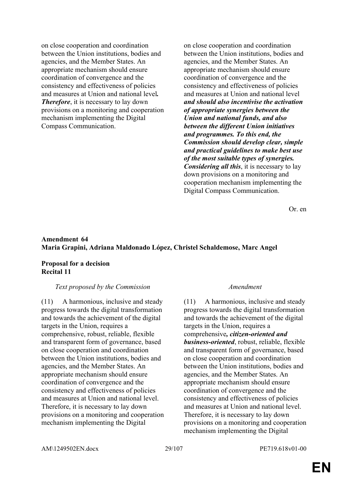on close cooperation and coordination between the Union institutions, bodies and agencies, and the Member States. An appropriate mechanism should ensure coordination of convergence and the consistency and effectiveness of policies and measures at Union and national level*. Therefore*, it is necessary to lay down provisions on a monitoring and cooperation mechanism implementing the Digital Compass Communication.

on close cooperation and coordination between the Union institutions, bodies and agencies, and the Member States. An appropriate mechanism should ensure coordination of convergence and the consistency and effectiveness of policies and measures at Union and national level *and should also incentivise the activation of appropriate synergies between the Union and national funds, and also between the different Union initiatives and programmes. To this end, the Commission should develop clear, simple and practical guidelines to make best use of the most suitable types of synergies. Considering all this*, it is necessary to lay down provisions on a monitoring and cooperation mechanism implementing the Digital Compass Communication.

Or. en

### **Amendment 64 Maria Grapini, Adriana Maldonado López, Christel Schaldemose, Marc Angel**

#### **Proposal for a decision Recital 11**

#### *Text proposed by the Commission Amendment*

(11) A harmonious, inclusive and steady progress towards the digital transformation and towards the achievement of the digital targets in the Union, requires a comprehensive, robust, reliable, flexible and transparent form of governance, based on close cooperation and coordination between the Union institutions, bodies and agencies, and the Member States. An appropriate mechanism should ensure coordination of convergence and the consistency and effectiveness of policies and measures at Union and national level. Therefore, it is necessary to lay down provisions on a monitoring and cooperation mechanism implementing the Digital

(11) A harmonious, inclusive and steady progress towards the digital transformation and towards the achievement of the digital targets in the Union, requires a comprehensive*, citizen-oriented and business-oriented*, robust, reliable, flexible and transparent form of governance, based on close cooperation and coordination between the Union institutions, bodies and agencies, and the Member States. An appropriate mechanism should ensure coordination of convergence and the consistency and effectiveness of policies and measures at Union and national level. Therefore, it is necessary to lay down provisions on a monitoring and cooperation mechanism implementing the Digital

AM\1249502EN.docx 29/107 PE719.618v01-00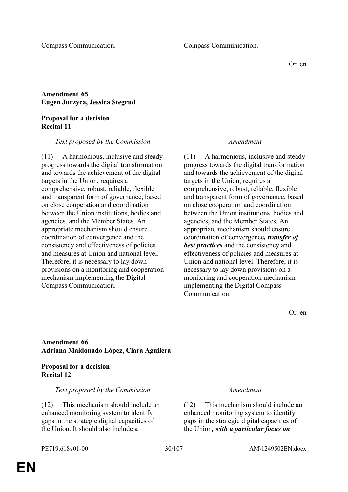Or. en

### **Amendment 65 Eugen Jurzyca, Jessica Stegrud**

#### **Proposal for a decision Recital 11**

#### *Text proposed by the Commission Amendment*

(11) A harmonious, inclusive and steady progress towards the digital transformation and towards the achievement of the digital targets in the Union, requires a comprehensive, robust, reliable, flexible and transparent form of governance, based on close cooperation and coordination between the Union institutions, bodies and agencies, and the Member States. An appropriate mechanism should ensure coordination of convergence and the consistency and effectiveness of policies and measures at Union and national level. Therefore, it is necessary to lay down provisions on a monitoring and cooperation mechanism implementing the Digital Compass Communication.

(11) A harmonious, inclusive and steady progress towards the digital transformation and towards the achievement of the digital targets in the Union, requires a comprehensive, robust, reliable, flexible and transparent form of governance, based on close cooperation and coordination between the Union institutions, bodies and agencies, and the Member States. An appropriate mechanism should ensure coordination of convergence*, transfer of best practices* and the consistency and effectiveness of policies and measures at Union and national level. Therefore, it is necessary to lay down provisions on a monitoring and cooperation mechanism implementing the Digital Compass Communication.

Or. en

### **Amendment 66 Adriana Maldonado López, Clara Aguilera**

#### **Proposal for a decision Recital 12**

#### *Text proposed by the Commission Amendment*

(12) This mechanism should include an enhanced monitoring system to identify gaps in the strategic digital capacities of the Union. It should also include a

(12) This mechanism should include an enhanced monitoring system to identify gaps in the strategic digital capacities of the Union*, with a particular focus on*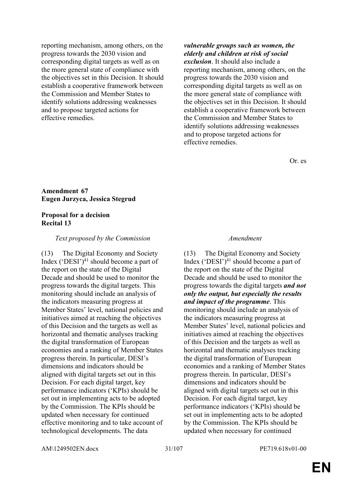reporting mechanism, among others, on the progress towards the 2030 vision and corresponding digital targets as well as on the more general state of compliance with the objectives set in this Decision. It should establish a cooperative framework between the Commission and Member States to identify solutions addressing weaknesses and to propose targeted actions for effective remedies.

*vulnerable groups such as women, the elderly and children at risk of social exclusion*. It should also include a reporting mechanism, among others, on the progress towards the 2030 vision and corresponding digital targets as well as on the more general state of compliance with the objectives set in this Decision. It should establish a cooperative framework between the Commission and Member States to identify solutions addressing weaknesses and to propose targeted actions for effective remedies.

Or. es

#### **Amendment 67 Eugen Jurzyca, Jessica Stegrud**

#### **Proposal for a decision Recital 13**

#### *Text proposed by the Commission Amendment*

(13) The Digital Economy and Society Index  $(^{\circ}$ DESI'<sup>21</sup> should become a part of the report on the state of the Digital Decade and should be used to monitor the progress towards the digital targets. This monitoring should include an analysis of the indicators measuring progress at Member States' level, national policies and initiatives aimed at reaching the objectives of this Decision and the targets as well as horizontal and thematic analyses tracking the digital transformation of European economies and a ranking of Member States progress therein. In particular, DESI's dimensions and indicators should be aligned with digital targets set out in this Decision. For each digital target, key performance indicators ('KPIs) should be set out in implementing acts to be adopted by the Commission. The KPIs should be updated when necessary for continued effective monitoring and to take account of technological developments. The data

(13) The Digital Economy and Society Index  $(^{\circ}$ DESI'<sup>21</sup> should become a part of the report on the state of the Digital Decade and should be used to monitor the progress towards the digital targets *and not only the output, but especially the results and impact of the programme*. This monitoring should include an analysis of the indicators measuring progress at Member States' level, national policies and initiatives aimed at reaching the objectives of this Decision and the targets as well as horizontal and thematic analyses tracking the digital transformation of European economies and a ranking of Member States progress therein. In particular, DESI's dimensions and indicators should be aligned with digital targets set out in this Decision. For each digital target, key performance indicators ('KPIs) should be set out in implementing acts to be adopted by the Commission. The KPIs should be updated when necessary for continued

AM\1249502EN.docx 31/107 PE719.618v01-00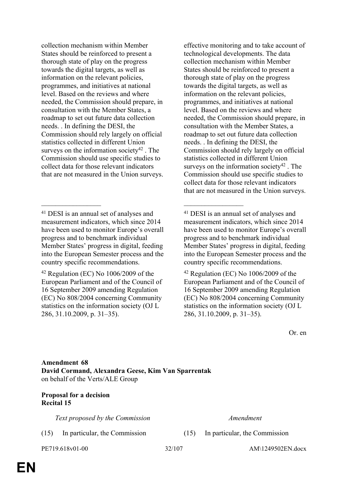collection mechanism within Member States should be reinforced to present a thorough state of play on the progress towards the digital targets, as well as information on the relevant policies, programmes, and initiatives at national level. Based on the reviews and where needed, the Commission should prepare, in consultation with the Member States, a roadmap to set out future data collection needs. . In defining the DESI, the Commission should rely largely on official statistics collected in different Union surveys on the information society $42$ . The Commission should use specific studies to collect data for those relevant indicators that are not measured in the Union surveys.

\_\_\_\_\_\_\_\_\_\_\_\_\_\_\_\_\_ \_\_\_\_\_\_\_\_\_\_\_\_\_\_\_\_\_

<sup>42</sup> Regulation (EC) No 1006/2009 of the European Parliament and of the Council of 16 September 2009 amending Regulation (EC) No 808/2004 concerning Community statistics on the information society (OJ L 286, 31.10.2009, p. 31–35).

effective monitoring and to take account of technological developments. The data collection mechanism within Member States should be reinforced to present a thorough state of play on the progress towards the digital targets, as well as information on the relevant policies, programmes, and initiatives at national level. Based on the reviews and where needed, the Commission should prepare, in consultation with the Member States, a roadmap to set out future data collection needs. . In defining the DESI, the Commission should rely largely on official statistics collected in different Union surveys on the information society $42$ . The Commission should use specific studies to collect data for those relevant indicators that are not measured in the Union surveys.

Or. en

**Amendment 68 David Cormand, Alexandra Geese, Kim Van Sparrentak** on behalf of the Verts/ALE Group

### **Proposal for a decision Recital 15**

*Text proposed by the Commission Amendment*

(15) In particular, the Commission (15) In particular, the Commission

PE719.618v01-00 32/107 AM\1249502EN.docx

<sup>41</sup> DESI is an annual set of analyses and measurement indicators, which since 2014 have been used to monitor Europe's overall progress and to benchmark individual Member States' progress in digital, feeding into the European Semester process and the country specific recommendations.

<sup>41</sup> DESI is an annual set of analyses and measurement indicators, which since 2014 have been used to monitor Europe's overall progress and to benchmark individual Member States' progress in digital, feeding into the European Semester process and the country specific recommendations.

 $42$  Regulation (EC) No  $1006/2009$  of the European Parliament and of the Council of 16 September 2009 amending Regulation (EC) No 808/2004 concerning Community statistics on the information society (OJ L 286, 31.10.2009, p. 31–35).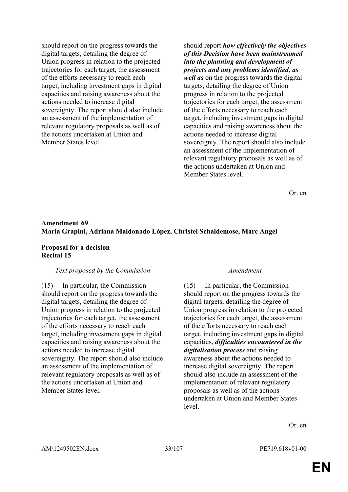should report on the progress towards the digital targets, detailing the degree of Union progress in relation to the projected trajectories for each target, the assessment of the efforts necessary to reach each target, including investment gaps in digital capacities and raising awareness about the actions needed to increase digital sovereignty. The report should also include an assessment of the implementation of relevant regulatory proposals as well as of the actions undertaken at Union and Member States level.

should report *how effectively the objectives of this Decision have been mainstreamed into the planning and development of projects and any problems identified, as well as* on the progress towards the digital targets, detailing the degree of Union progress in relation to the projected trajectories for each target, the assessment of the efforts necessary to reach each target, including investment gaps in digital capacities and raising awareness about the actions needed to increase digital sovereignty. The report should also include an assessment of the implementation of relevant regulatory proposals as well as of the actions undertaken at Union and Member States level.

Or. en

#### **Amendment 69 Maria Grapini, Adriana Maldonado López, Christel Schaldemose, Marc Angel**

#### **Proposal for a decision Recital 15**

#### *Text proposed by the Commission Amendment*

(15) In particular, the Commission should report on the progress towards the digital targets, detailing the degree of Union progress in relation to the projected trajectories for each target, the assessment of the efforts necessary to reach each target, including investment gaps in digital capacities and raising awareness about the actions needed to increase digital sovereignty. The report should also include an assessment of the implementation of relevant regulatory proposals as well as of the actions undertaken at Union and Member States level.

(15) In particular, the Commission should report on the progress towards the digital targets, detailing the degree of Union progress in relation to the projected trajectories for each target, the assessment of the efforts necessary to reach each target, including investment gaps in digital capacities*, difficulties encountered in the digitalisation process* and raising awareness about the actions needed to increase digital sovereignty. The report should also include an assessment of the implementation of relevant regulatory proposals as well as of the actions undertaken at Union and Member States level.

Or. en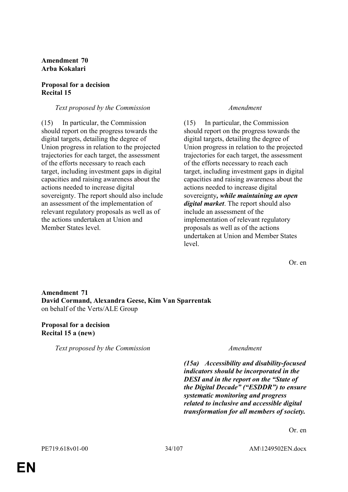### **Amendment 70 Arba Kokalari**

#### **Proposal for a decision Recital 15**

#### *Text proposed by the Commission Amendment*

(15) In particular, the Commission should report on the progress towards the digital targets, detailing the degree of Union progress in relation to the projected trajectories for each target, the assessment of the efforts necessary to reach each target, including investment gaps in digital capacities and raising awareness about the actions needed to increase digital sovereignty. The report should also include an assessment of the implementation of relevant regulatory proposals as well as of the actions undertaken at Union and Member States level.

(15) In particular, the Commission should report on the progress towards the digital targets, detailing the degree of Union progress in relation to the projected trajectories for each target, the assessment of the efforts necessary to reach each target, including investment gaps in digital capacities and raising awareness about the actions needed to increase digital sovereignty*, while maintaining an open digital market*. The report should also include an assessment of the implementation of relevant regulatory proposals as well as of the actions undertaken at Union and Member States level.

Or. en

**Amendment 71 David Cormand, Alexandra Geese, Kim Van Sparrentak** on behalf of the Verts/ALE Group

#### **Proposal for a decision Recital 15 a (new)**

*Text proposed by the Commission Amendment*

*(15a) Accessibility and disability-focused indicators should be incorporated in the DESI and in the report on the "State of the Digital Decade" ("ESDDR") to ensure systematic monitoring and progress related to inclusive and accessible digital transformation for all members of society.*

Or. en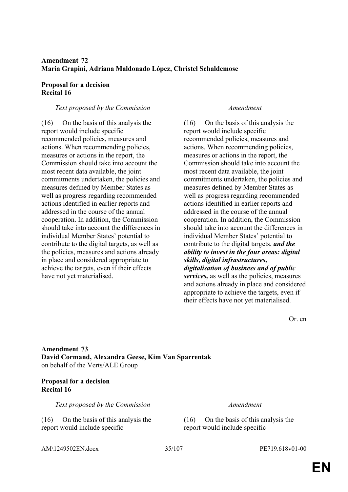### **Amendment 72 Maria Grapini, Adriana Maldonado López, Christel Schaldemose**

#### **Proposal for a decision Recital 16**

#### *Text proposed by the Commission Amendment*

(16) On the basis of this analysis the report would include specific recommended policies, measures and actions. When recommending policies, measures or actions in the report, the Commission should take into account the most recent data available, the joint commitments undertaken, the policies and measures defined by Member States as well as progress regarding recommended actions identified in earlier reports and addressed in the course of the annual cooperation. In addition, the Commission should take into account the differences in individual Member States' potential to contribute to the digital targets, as well as the policies, measures and actions already in place and considered appropriate to achieve the targets, even if their effects have not yet materialised.

(16) On the basis of this analysis the report would include specific recommended policies, measures and actions. When recommending policies, measures or actions in the report, the Commission should take into account the most recent data available, the joint commitments undertaken, the policies and measures defined by Member States as well as progress regarding recommended actions identified in earlier reports and addressed in the course of the annual cooperation. In addition, the Commission should take into account the differences in individual Member States' potential to contribute to the digital targets, *and the ability to invest in the four areas: digital skills, digital infrastructures, digitalisation of business and of public services,* as well as the policies, measures and actions already in place and considered appropriate to achieve the targets, even if their effects have not yet materialised.

Or. en

### **Amendment 73 David Cormand, Alexandra Geese, Kim Van Sparrentak** on behalf of the Verts/ALE Group

### **Proposal for a decision Recital 16**

*Text proposed by the Commission Amendment*

(16) On the basis of this analysis the report would include specific

(16) On the basis of this analysis the report would include specific

AM\1249502EN.docx 35/107 PE719.618v01-00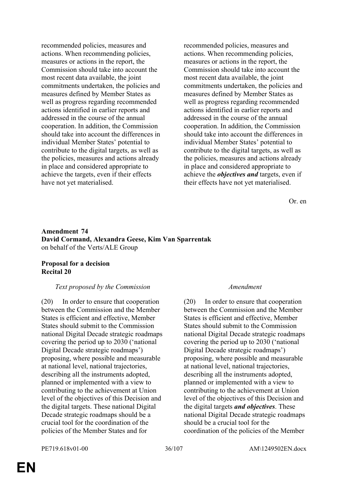recommended policies, measures and actions. When recommending policies, measures or actions in the report, the Commission should take into account the most recent data available, the joint commitments undertaken, the policies and measures defined by Member States as well as progress regarding recommended actions identified in earlier reports and addressed in the course of the annual cooperation. In addition, the Commission should take into account the differences in individual Member States' potential to contribute to the digital targets, as well as the policies, measures and actions already in place and considered appropriate to achieve the targets, even if their effects have not yet materialised.

recommended policies, measures and actions. When recommending policies, measures or actions in the report, the Commission should take into account the most recent data available, the joint commitments undertaken, the policies and measures defined by Member States as well as progress regarding recommended actions identified in earlier reports and addressed in the course of the annual cooperation. In addition, the Commission should take into account the differences in individual Member States' potential to contribute to the digital targets, as well as the policies, measures and actions already in place and considered appropriate to achieve the *objectives and* targets, even if their effects have not yet materialised.

Or. en

### **Amendment 74 David Cormand, Alexandra Geese, Kim Van Sparrentak** on behalf of the Verts/ALE Group

### **Proposal for a decision Recital 20**

### *Text proposed by the Commission Amendment*

(20) In order to ensure that cooperation between the Commission and the Member States is efficient and effective, Member States should submit to the Commission national Digital Decade strategic roadmaps covering the period up to 2030 ('national Digital Decade strategic roadmaps') proposing, where possible and measurable at national level, national trajectories, describing all the instruments adopted, planned or implemented with a view to contributing to the achievement at Union level of the objectives of this Decision and the digital targets. These national Digital Decade strategic roadmaps should be a crucial tool for the coordination of the policies of the Member States and for

(20) In order to ensure that cooperation between the Commission and the Member States is efficient and effective, Member States should submit to the Commission national Digital Decade strategic roadmaps covering the period up to 2030 ('national Digital Decade strategic roadmaps') proposing, where possible and measurable at national level, national trajectories, describing all the instruments adopted, planned or implemented with a view to contributing to the achievement at Union level of the objectives of this Decision and the digital targets *and objectives*. These national Digital Decade strategic roadmaps should be a crucial tool for the coordination of the policies of the Member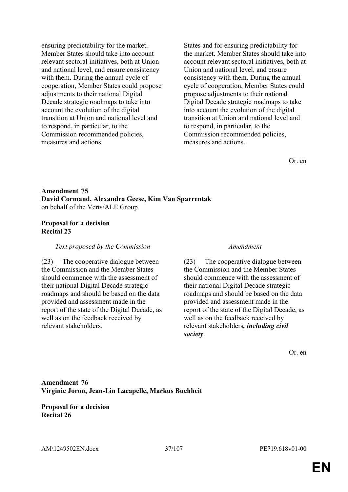ensuring predictability for the market. Member States should take into account relevant sectoral initiatives, both at Union and national level, and ensure consistency with them. During the annual cycle of cooperation, Member States could propose adjustments to their national Digital Decade strategic roadmaps to take into account the evolution of the digital transition at Union and national level and to respond, in particular, to the Commission recommended policies, measures and actions.

States and for ensuring predictability for the market. Member States should take into account relevant sectoral initiatives, both at Union and national level, and ensure consistency with them. During the annual cycle of cooperation, Member States could propose adjustments to their national Digital Decade strategic roadmaps to take into account the evolution of the digital transition at Union and national level and to respond, in particular, to the Commission recommended policies, measures and actions.

Or. en

## **Amendment 75 David Cormand, Alexandra Geese, Kim Van Sparrentak** on behalf of the Verts/ALE Group

## **Proposal for a decision Recital 23**

*Text proposed by the Commission Amendment*

(23) The cooperative dialogue between the Commission and the Member States should commence with the assessment of their national Digital Decade strategic roadmaps and should be based on the data provided and assessment made in the report of the state of the Digital Decade, as well as on the feedback received by relevant stakeholders.

(23) The cooperative dialogue between the Commission and the Member States should commence with the assessment of their national Digital Decade strategic roadmaps and should be based on the data provided and assessment made in the report of the state of the Digital Decade, as well as on the feedback received by relevant stakeholders*, including civil society*.

Or. en

# **Amendment 76 Virginie Joron, Jean-Lin Lacapelle, Markus Buchheit**

**Proposal for a decision Recital 26**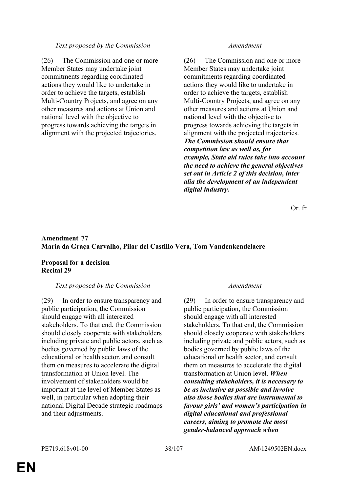### *Text proposed by the Commission Amendment*

(26) The Commission and one or more Member States may undertake joint commitments regarding coordinated actions they would like to undertake in order to achieve the targets, establish Multi-Country Projects, and agree on any other measures and actions at Union and national level with the objective to progress towards achieving the targets in alignment with the projected trajectories.

(26) The Commission and one or more Member States may undertake joint commitments regarding coordinated actions they would like to undertake in order to achieve the targets, establish Multi-Country Projects, and agree on any other measures and actions at Union and national level with the objective to progress towards achieving the targets in alignment with the projected trajectories. *The Commission should ensure that competition law as well as, for example, State aid rules take into account the need to achieve the general objectives set out in Article 2 of this decision, inter alia the development of an independent digital industry.*

Or. fr

## **Amendment 77 Maria da Graça Carvalho, Pilar del Castillo Vera, Tom Vandenkendelaere**

## **Proposal for a decision Recital 29**

### *Text proposed by the Commission Amendment*

(29) In order to ensure transparency and public participation, the Commission should engage with all interested stakeholders. To that end, the Commission should closely cooperate with stakeholders including private and public actors, such as bodies governed by public laws of the educational or health sector, and consult them on measures to accelerate the digital transformation at Union level. The involvement of stakeholders would be important at the level of Member States as well, in particular when adopting their national Digital Decade strategic roadmaps and their adjustments.

(29) In order to ensure transparency and public participation, the Commission should engage with all interested stakeholders. To that end, the Commission should closely cooperate with stakeholders including private and public actors, such as bodies governed by public laws of the educational or health sector, and consult them on measures to accelerate the digital transformation at Union level. *When consulting stakeholders, it is necessary to be as inclusive as possible and involve also those bodies that are instrumental to favour girls' and women's participation in digital educational and professional careers, aiming to promote the most gender-balanced approach when*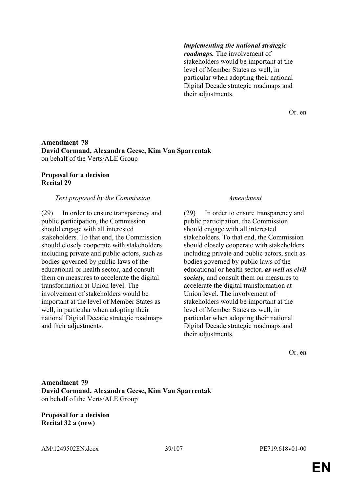### *implementing the national strategic*

*roadmaps.* The involvement of stakeholders would be important at the level of Member States as well, in particular when adopting their national Digital Decade strategic roadmaps and their adjustments.

Or. en

## **Amendment 78 David Cormand, Alexandra Geese, Kim Van Sparrentak** on behalf of the Verts/ALE Group

# **Proposal for a decision Recital 29**

## *Text proposed by the Commission Amendment*

(29) In order to ensure transparency and public participation, the Commission should engage with all interested stakeholders. To that end, the Commission should closely cooperate with stakeholders including private and public actors, such as bodies governed by public laws of the educational or health sector, and consult them on measures to accelerate the digital transformation at Union level. The involvement of stakeholders would be important at the level of Member States as well, in particular when adopting their national Digital Decade strategic roadmaps and their adjustments.

(29) In order to ensure transparency and public participation, the Commission should engage with all interested stakeholders. To that end, the Commission should closely cooperate with stakeholders including private and public actors, such as bodies governed by public laws of the educational or health sector, *as well as civil society,* and consult them on measures to accelerate the digital transformation at Union level. The involvement of stakeholders would be important at the level of Member States as well, in particular when adopting their national Digital Decade strategic roadmaps and their adjustments.

Or. en

**Amendment 79 David Cormand, Alexandra Geese, Kim Van Sparrentak** on behalf of the Verts/ALE Group

**Proposal for a decision Recital 32 a (new)**

AM\1249502EN.docx 39/107 PE719.618v01-00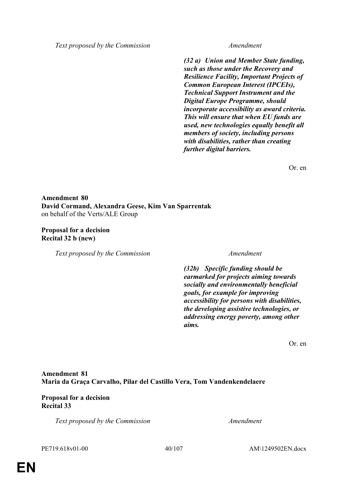*Text proposed by the Commission Amendment*

*(32 a) Union and Member State funding, such as those under the Recovery and Resilience Facility, Important Projects of Common European Interest (IPCEIs), Technical Support Instrument and the Digital Europe Programme, should incorporate accessibility as award criteria. This will ensure that when EU funds are used, new technologies equally benefit all members of society, including persons with disabilities, rather than creating further digital barriers.*

Or. en

**Amendment 80 David Cormand, Alexandra Geese, Kim Van Sparrentak** on behalf of the Verts/ALE Group

**Proposal for a decision Recital 32 b (new)**

*Text proposed by the Commission Amendment*

*(32b) Specific funding should be earmarked for projects aiming towards socially and environmentally beneficial goals, for example for improving accessibility for persons with disabilities, the developing assistive technologies, or addressing energy poverty, among other aims.*

Or. en

# **Amendment 81 Maria da Graça Carvalho, Pilar del Castillo Vera, Tom Vandenkendelaere**

# **Proposal for a decision Recital 33**

*Text proposed by the Commission Amendment*

PE719.618v01-00 40/107 AM\1249502EN.docx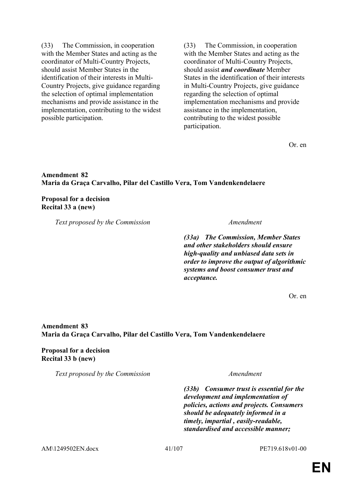(33) The Commission, in cooperation with the Member States and acting as the coordinator of Multi-Country Projects, should assist Member States in the identification of their interests in Multi-Country Projects, give guidance regarding the selection of optimal implementation mechanisms and provide assistance in the implementation, contributing to the widest possible participation.

(33) The Commission, in cooperation with the Member States and acting as the coordinator of Multi-Country Projects, should assist *and coordinate* Member States in the identification of their interests in Multi-Country Projects, give guidance regarding the selection of optimal implementation mechanisms and provide assistance in the implementation, contributing to the widest possible participation.

Or. en

## **Amendment 82 Maria da Graça Carvalho, Pilar del Castillo Vera, Tom Vandenkendelaere**

## **Proposal for a decision Recital 33 a (new)**

*Text proposed by the Commission Amendment*

*(33a) The Commission, Member States and other stakeholders should ensure high-quality and unbiased data sets in order to improve the output of algorithmic systems and boost consumer trust and acceptance.*

Or. en

# **Amendment 83 Maria da Graça Carvalho, Pilar del Castillo Vera, Tom Vandenkendelaere**

**Proposal for a decision Recital 33 b (new)**

*Text proposed by the Commission Amendment*

*(33b) Consumer trust is essential for the development and implementation of policies, actions and projects. Consumers should be adequately informed in a timely, impartial , easily-readable, standardised and accessible manner;*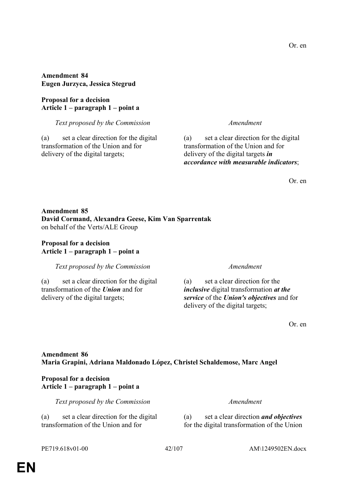**Amendment 84 Eugen Jurzyca, Jessica Stegrud**

**Proposal for a decision Article 1 – paragraph 1 – point a**

*Text proposed by the Commission Amendment*

(a) set a clear direction for the digital transformation of the Union and for delivery of the digital targets;

(a) set a clear direction for the digital transformation of the Union and for delivery of the digital targets *in accordance with measurable indicators*;

Or. en

## **Amendment 85 David Cormand, Alexandra Geese, Kim Van Sparrentak** on behalf of the Verts/ALE Group

## **Proposal for a decision Article 1 – paragraph 1 – point a**

*Text proposed by the Commission Amendment*

(a) set a clear direction for the digital transformation of the *Union* and for delivery of the digital targets;

(a) set a clear direction for the *inclusive* digital transformation *at the service* of the *Union's objectives* and for delivery of the digital targets;

Or. en

## **Amendment 86 Maria Grapini, Adriana Maldonado López, Christel Schaldemose, Marc Angel**

## **Proposal for a decision Article 1 – paragraph 1 – point a**

*Text proposed by the Commission Amendment*

(a) set a clear direction for the digital transformation of the Union and for

(a) set a clear direction *and objectives* for the digital transformation of the Union

**EN**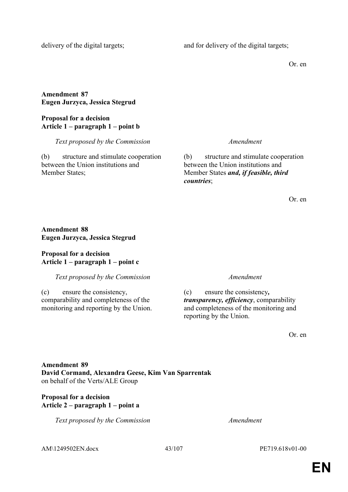delivery of the digital targets; and for delivery of the digital targets;

Or. en

# **Amendment 87 Eugen Jurzyca, Jessica Stegrud**

## **Proposal for a decision Article 1 – paragraph 1 – point b**

*Text proposed by the Commission Amendment*

(b) structure and stimulate cooperation between the Union institutions and Member States;

(b) structure and stimulate cooperation between the Union institutions and Member States *and, if feasible, third countries*;

Or. en

# **Amendment 88 Eugen Jurzyca, Jessica Stegrud**

## **Proposal for a decision Article 1 – paragraph 1 – point c**

# *Text proposed by the Commission Amendment*

(c) ensure the consistency, comparability and completeness of the monitoring and reporting by the Union.

(c) ensure the consistency*, transparency, efficiency*, comparability and completeness of the monitoring and reporting by the Union.

Or. en

# **Amendment 89 David Cormand, Alexandra Geese, Kim Van Sparrentak** on behalf of the Verts/ALE Group

# **Proposal for a decision Article 2 – paragraph 1 – point a**

*Text proposed by the Commission Amendment*

AM\1249502EN.docx 43/107 PE719.618v01-00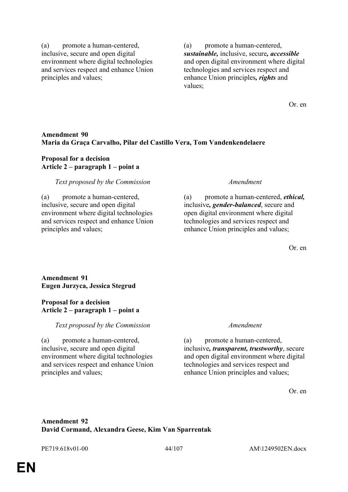(a) promote a human-centered, inclusive, secure and open digital environment where digital technologies and services respect and enhance Union principles and values;

(a) promote a human-centered, *sustainable,* inclusive, secure*, accessible* and open digital environment where digital technologies and services respect and enhance Union principles*, rights* and values;

Or. en

## **Amendment 90 Maria da Graça Carvalho, Pilar del Castillo Vera, Tom Vandenkendelaere**

## **Proposal for a decision Article 2 – paragraph 1 – point a**

### *Text proposed by the Commission Amendment*

(a) promote a human-centered, inclusive, secure and open digital environment where digital technologies and services respect and enhance Union principles and values;

(a) promote a human-centered, *ethical,* inclusive*, gender-balanced*, secure and open digital environment where digital technologies and services respect and enhance Union principles and values;

Or. en

## **Amendment 91 Eugen Jurzyca, Jessica Stegrud**

### **Proposal for a decision Article 2 – paragraph 1 – point a**

*Text proposed by the Commission Amendment*

(a) promote a human-centered, inclusive, secure and open digital environment where digital technologies and services respect and enhance Union principles and values;

(a) promote a human-centered, inclusive*, transparent, trustworthy*, secure and open digital environment where digital technologies and services respect and enhance Union principles and values;

Or. en

# **Amendment 92 David Cormand, Alexandra Geese, Kim Van Sparrentak**

PE719.618v01-00 44/107 AM\1249502EN.docx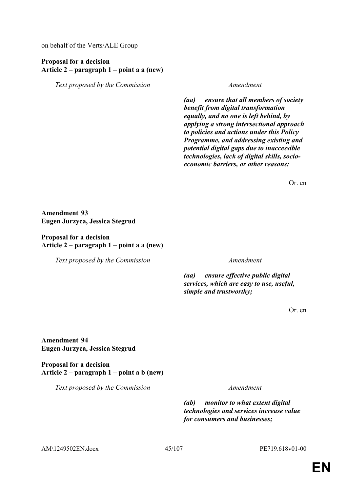on behalf of the Verts/ALE Group

## **Proposal for a decision Article 2 – paragraph 1 – point a a (new)**

*Text proposed by the Commission Amendment*

*(aa) ensure that all members of society benefit from digital transformation equally, and no one is left behind, by applying a strong intersectional approach to policies and actions under this Policy Programme, and addressing existing and potential digital gaps due to inaccessible technologies, lack of digital skills, socioeconomic barriers, or other reasons;*

Or. en

**Amendment 93 Eugen Jurzyca, Jessica Stegrud**

### **Proposal for a decision Article 2 – paragraph 1 – point a a (new)**

*Text proposed by the Commission Amendment*

*(aa) ensure effective public digital services, which are easy to use, useful, simple and trustworthy;*

Or. en

**Amendment 94 Eugen Jurzyca, Jessica Stegrud**

**Proposal for a decision Article 2 – paragraph 1 – point a b (new)**

*Text proposed by the Commission Amendment*

*(ab) monitor to what extent digital technologies and services increase value for consumers and businesses;*

AM\1249502EN.docx 45/107 PE719.618v01-00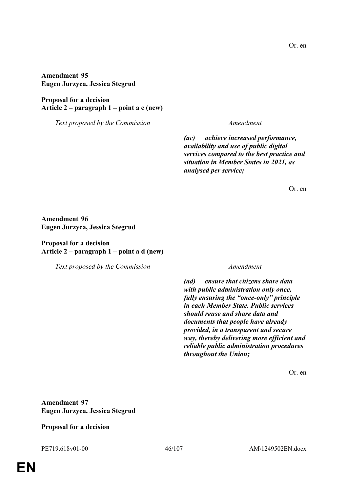**Amendment 95 Eugen Jurzyca, Jessica Stegrud**

**Proposal for a decision Article 2 – paragraph 1 – point a c (new)**

*Text proposed by the Commission Amendment*

*(ac) achieve increased performance, availability and use of public digital services compared to the best practice and situation in Member States in 2021, as analysed per service;*

Or. en

## **Amendment 96 Eugen Jurzyca, Jessica Stegrud**

# **Proposal for a decision Article 2 – paragraph 1 – point a d (new)**

*Text proposed by the Commission Amendment*

*(ad) ensure that citizens share data with public administration only once, fully ensuring the "once-only" principle in each Member State. Public services should reuse and share data and documents that people have already provided, in a transparent and secure way, thereby delivering more efficient and reliable public administration procedures throughout the Union;*

Or. en

**Amendment 97 Eugen Jurzyca, Jessica Stegrud**

## **Proposal for a decision**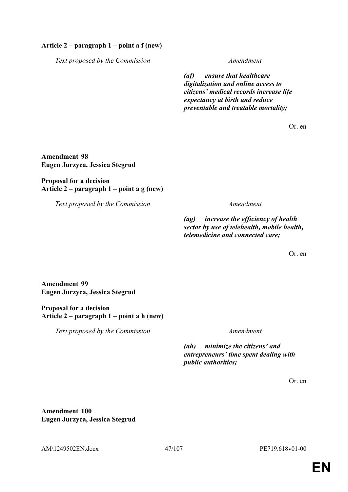## **Article 2 – paragraph 1 – point a f (new)**

*Text proposed by the Commission Amendment*

*(af) ensure that healthcare digitalization and online access to citizens' medical records increase life expectancy at birth and reduce preventable and treatable mortality;*

Or. en

**Amendment 98 Eugen Jurzyca, Jessica Stegrud**

## **Proposal for a decision Article 2 – paragraph 1 – point a g (new)**

*Text proposed by the Commission Amendment*

*(ag) increase the efficiency of health sector by use of telehealth, mobile health, telemedicine and connected care;*

Or. en

**Amendment 99 Eugen Jurzyca, Jessica Stegrud**

## **Proposal for a decision Article 2 – paragraph 1 – point a h (new)**

*Text proposed by the Commission Amendment*

*(ah) minimize the citizens' and entrepreneurs' time spent dealing with public authorities;*

Or. en

**Amendment 100 Eugen Jurzyca, Jessica Stegrud**

AM\1249502EN.docx 47/107 PE719.618v01-00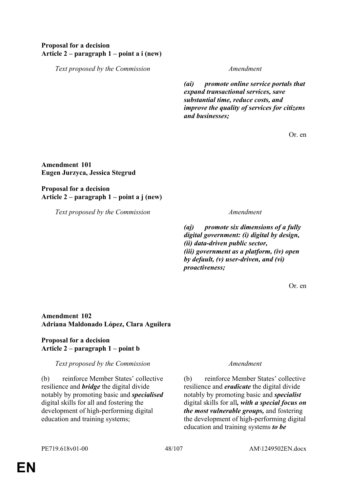# **Proposal for a decision Article 2 – paragraph 1 – point a i (new)**

*Text proposed by the Commission Amendment*

*(ai) promote online service portals that expand transactional services, save substantial time, reduce costs, and improve the quality of services for citizens and businesses;*

Or. en

## **Amendment 101 Eugen Jurzyca, Jessica Stegrud**

# **Proposal for a decision Article 2 – paragraph 1 – point a j (new)**

*Text proposed by the Commission Amendment*

*(aj) promote six dimensions of a fully digital government: (i) digital by design, (ii) data-driven public sector, (iii) government as a platform, (iv) open by default, (v) user-driven, and (vi) proactiveness;*

Or. en

## **Amendment 102 Adriana Maldonado López, Clara Aguilera**

# **Proposal for a decision Article 2 – paragraph 1 – point b**

# *Text proposed by the Commission Amendment*

(b) reinforce Member States' collective resilience and *bridge* the digital divide notably by promoting basic and *specialised* digital skills for all and fostering the development of high-performing digital education and training systems;

(b) reinforce Member States' collective resilience and *eradicate* the digital divide notably by promoting basic and *specialist* digital skills for all*, with a special focus on the most vulnerable groups,* and fostering the development of high-performing digital education and training systems *to be*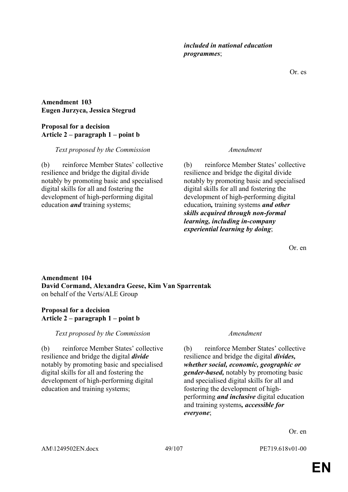Or. es

**Amendment 103 Eugen Jurzyca, Jessica Stegrud**

# **Proposal for a decision Article 2 – paragraph 1 – point b**

# *Text proposed by the Commission Amendment*

(b) reinforce Member States' collective resilience and bridge the digital divide notably by promoting basic and specialised digital skills for all and fostering the development of high-performing digital education *and* training systems;

*included in national education* 

*programmes*;

(b) reinforce Member States' collective resilience and bridge the digital divide notably by promoting basic and specialised digital skills for all and fostering the development of high-performing digital education*,* training systems *and other skills acquired through non-formal learning, including in-company experiential learning by doing*;

Or. en

# **Amendment 104 David Cormand, Alexandra Geese, Kim Van Sparrentak** on behalf of the Verts/ALE Group

# **Proposal for a decision Article 2 – paragraph 1 – point b**

*Text proposed by the Commission Amendment*

(b) reinforce Member States' collective resilience and bridge the digital *divide* notably by promoting basic and specialised digital skills for all and fostering the development of high-performing digital education and training systems;

(b) reinforce Member States' collective resilience and bridge the digital *divides, whether social, economic, geographic or gender-based,* notably by promoting basic and specialised digital skills for all and fostering the development of highperforming *and inclusive* digital education and training systems*, accessible for everyone*;

Or. en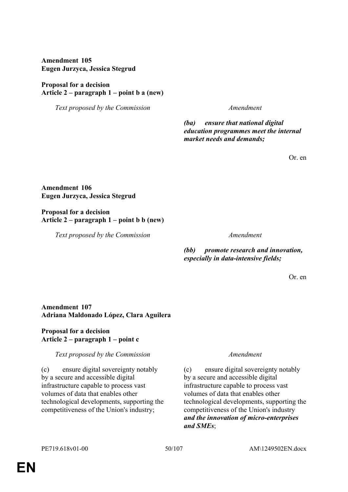**Amendment 105 Eugen Jurzyca, Jessica Stegrud**

# **Proposal for a decision Article 2 – paragraph 1 – point b a (new)**

*Text proposed by the Commission Amendment*

*(ba) ensure that national digital education programmes meet the internal market needs and demands;*

Or. en

**Amendment 106 Eugen Jurzyca, Jessica Stegrud**

**Proposal for a decision Article 2 – paragraph 1 – point b b (new)**

*Text proposed by the Commission Amendment*

*(bb) promote research and innovation, especially in data-intensive fields;*

Or. en

# **Amendment 107 Adriana Maldonado López, Clara Aguilera**

# **Proposal for a decision Article 2 – paragraph 1 – point c**

# *Text proposed by the Commission Amendment*

(c) ensure digital sovereignty notably by a secure and accessible digital infrastructure capable to process vast volumes of data that enables other technological developments, supporting the competitiveness of the Union's industry;

(c) ensure digital sovereignty notably by a secure and accessible digital infrastructure capable to process vast volumes of data that enables other technological developments, supporting the competitiveness of the Union's industry *and the innovation of micro-enterprises and SMEs*;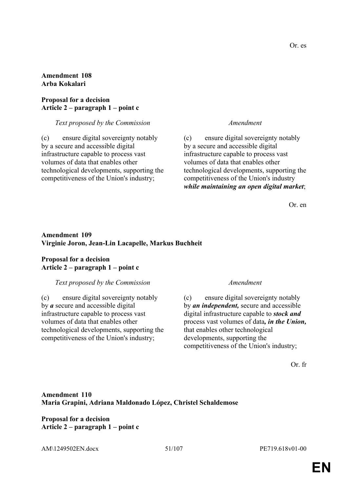## **Amendment 108 Arba Kokalari**

## **Proposal for a decision Article 2 – paragraph 1 – point c**

### *Text proposed by the Commission Amendment*

(c) ensure digital sovereignty notably by a secure and accessible digital infrastructure capable to process vast volumes of data that enables other technological developments, supporting the competitiveness of the Union's industry;

(c) ensure digital sovereignty notably by a secure and accessible digital infrastructure capable to process vast volumes of data that enables other technological developments, supporting the competitiveness of the Union's industry *while maintaining an open digital market*;

Or. en

## **Amendment 109 Virginie Joron, Jean-Lin Lacapelle, Markus Buchheit**

## **Proposal for a decision Article 2 – paragraph 1 – point c**

## *Text proposed by the Commission Amendment*

(c) ensure digital sovereignty notably by *a* secure and accessible digital infrastructure capable to process vast volumes of data that enables other technological developments, supporting the competitiveness of the Union's industry;

(c) ensure digital sovereignty notably by *an independent,* secure and accessible digital infrastructure capable to *stock and* process vast volumes of data*, in the Union,* that enables other technological developments, supporting the competitiveness of the Union's industry;

Or. fr

# **Amendment 110 Maria Grapini, Adriana Maldonado López, Christel Schaldemose**

**Proposal for a decision Article 2 – paragraph 1 – point c**

AM\1249502EN.docx 51/107 PE719.618v01-00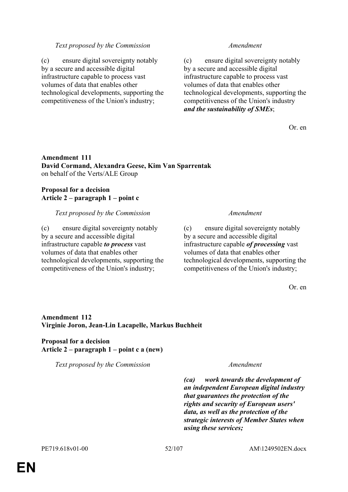### *Text proposed by the Commission Amendment*

(c) ensure digital sovereignty notably by a secure and accessible digital infrastructure capable to process vast volumes of data that enables other technological developments, supporting the competitiveness of the Union's industry;

(c) ensure digital sovereignty notably by a secure and accessible digital infrastructure capable to process vast volumes of data that enables other technological developments, supporting the competitiveness of the Union's industry *and the sustainability of SMEs*;

Or. en

## **Amendment 111 David Cormand, Alexandra Geese, Kim Van Sparrentak** on behalf of the Verts/ALE Group

## **Proposal for a decision Article 2 – paragraph 1 – point c**

### *Text proposed by the Commission Amendment*

(c) ensure digital sovereignty notably by a secure and accessible digital infrastructure capable *to process* vast volumes of data that enables other technological developments, supporting the competitiveness of the Union's industry;

(c) ensure digital sovereignty notably by a secure and accessible digital infrastructure capable *of processing* vast volumes of data that enables other technological developments, supporting the competitiveness of the Union's industry;

Or. en

# **Amendment 112 Virginie Joron, Jean-Lin Lacapelle, Markus Buchheit**

## **Proposal for a decision Article 2 – paragraph 1 – point c a (new)**

*Text proposed by the Commission Amendment*

*(ca) work towards the development of an independent European digital industry that guarantees the protection of the rights and security of European users' data, as well as the protection of the strategic interests of Member States when using these services;*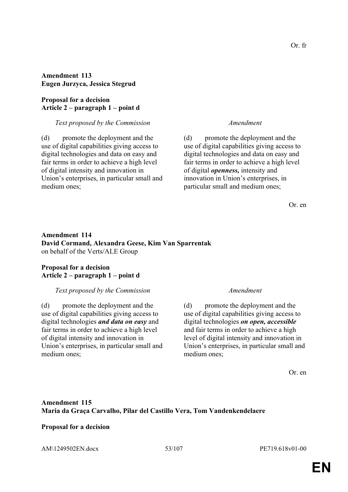## **Amendment 113 Eugen Jurzyca, Jessica Stegrud**

## **Proposal for a decision Article 2 – paragraph 1 – point d**

### *Text proposed by the Commission Amendment*

(d) promote the deployment and the use of digital capabilities giving access to digital technologies and data on easy and fair terms in order to achieve a high level of digital intensity and innovation in Union's enterprises, in particular small and medium ones;

(d) promote the deployment and the use of digital capabilities giving access to digital technologies and data on easy and fair terms in order to achieve a high level of digital *openness,* intensity and innovation in Union's enterprises, in particular small and medium ones;

Or. en

# **Amendment 114 David Cormand, Alexandra Geese, Kim Van Sparrentak** on behalf of the Verts/ALE Group

## **Proposal for a decision Article 2 – paragraph 1 – point d**

## *Text proposed by the Commission Amendment*

(d) promote the deployment and the use of digital capabilities giving access to digital technologies *and data on easy* and fair terms in order to achieve a high level of digital intensity and innovation in Union's enterprises, in particular small and medium ones;

(d) promote the deployment and the use of digital capabilities giving access to digital technologies *on open, accessible* and fair terms in order to achieve a high level of digital intensity and innovation in Union's enterprises, in particular small and medium ones;

Or. en

# **Amendment 115 Maria da Graça Carvalho, Pilar del Castillo Vera, Tom Vandenkendelaere**

# **Proposal for a decision**

AM\1249502EN.docx 53/107 PE719.618v01-00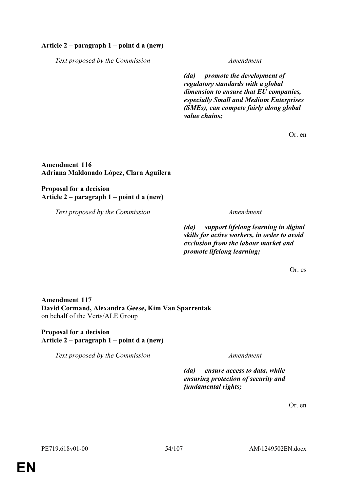## **Article 2 – paragraph 1 – point d a (new)**

*Text proposed by the Commission Amendment*

*(da) promote the development of regulatory standards with a global dimension to ensure that EU companies, especially Small and Medium Enterprises (SMEs), can compete fairly along global value chains;*

Or. en

**Amendment 116 Adriana Maldonado López, Clara Aguilera**

**Proposal for a decision Article 2 – paragraph 1 – point d a (new)**

*Text proposed by the Commission Amendment*

*(da) support lifelong learning in digital skills for active workers, in order to avoid exclusion from the labour market and promote lifelong learning;*

Or. es

**Amendment 117 David Cormand, Alexandra Geese, Kim Van Sparrentak** on behalf of the Verts/ALE Group

# **Proposal for a decision Article 2 – paragraph 1 – point d a (new)**

*Text proposed by the Commission Amendment*

*(da) ensure access to data, while ensuring protection of security and fundamental rights;*

Or. en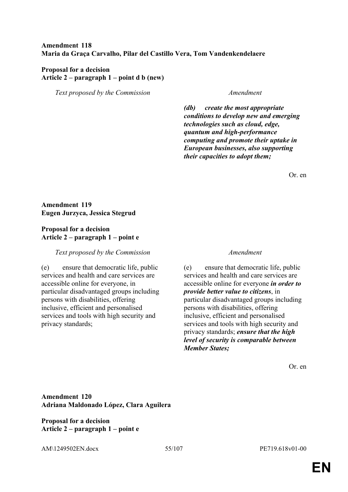# **Amendment 118 Maria da Graça Carvalho, Pilar del Castillo Vera, Tom Vandenkendelaere**

## **Proposal for a decision Article 2 – paragraph 1 – point d b (new)**

*Text proposed by the Commission Amendment*

*(db) create the most appropriate conditions to develop new and emerging technologies such as cloud, edge, quantum and high-performance computing and promote their uptake in European businesses, also supporting their capacities to adopt them;*

Or. en

# **Amendment 119 Eugen Jurzyca, Jessica Stegrud**

# **Proposal for a decision Article 2 – paragraph 1 – point e**

## *Text proposed by the Commission Amendment*

(e) ensure that democratic life, public services and health and care services are accessible online for everyone, in particular disadvantaged groups including persons with disabilities, offering inclusive, efficient and personalised services and tools with high security and privacy standards;

(e) ensure that democratic life, public services and health and care services are accessible online for everyone *in order to provide better value to citizens*, in particular disadvantaged groups including persons with disabilities, offering inclusive, efficient and personalised services and tools with high security and privacy standards; *ensure that the high level of security is comparable between Member States;*

Or. en

**Amendment 120 Adriana Maldonado López, Clara Aguilera**

**Proposal for a decision Article 2 – paragraph 1 – point e**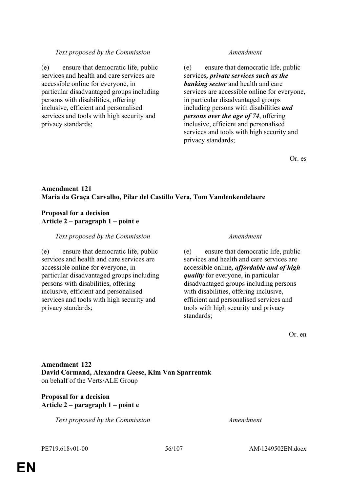## *Text proposed by the Commission Amendment*

(e) ensure that democratic life, public services and health and care services are accessible online for everyone, in particular disadvantaged groups including persons with disabilities, offering inclusive, efficient and personalised services and tools with high security and privacy standards;

(e) ensure that democratic life, public services*, private services such as the banking sector* and health and care services are accessible online for everyone, in particular disadvantaged groups including persons with disabilities *and persons over the age of 74*, offering inclusive, efficient and personalised services and tools with high security and privacy standards;

Or. es

# **Amendment 121 Maria da Graça Carvalho, Pilar del Castillo Vera, Tom Vandenkendelaere**

## **Proposal for a decision Article 2 – paragraph 1 – point e**

## *Text proposed by the Commission Amendment*

(e) ensure that democratic life, public services and health and care services are accessible online for everyone, in particular disadvantaged groups including persons with disabilities, offering inclusive, efficient and personalised services and tools with high security and privacy standards;

(e) ensure that democratic life, public services and health and care services are accessible online*, affordable and of high quality* for everyone, in particular disadvantaged groups including persons with disabilities, offering inclusive. efficient and personalised services and tools with high security and privacy standards;

Or. en

# **Amendment 122 David Cormand, Alexandra Geese, Kim Van Sparrentak** on behalf of the Verts/ALE Group

## **Proposal for a decision Article 2 – paragraph 1 – point e**

*Text proposed by the Commission Amendment*

PE719.618v01-00 56/107 AM\1249502EN.docx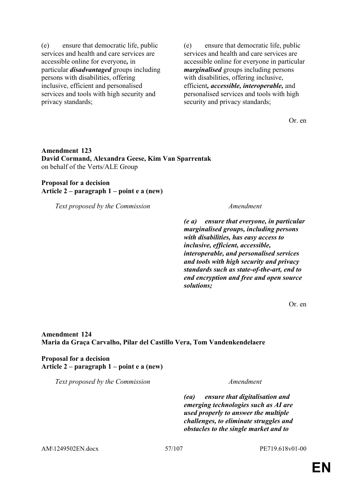(e) ensure that democratic life, public services and health and care services are accessible online for everyone*,* in particular *disadvantaged* groups including persons with disabilities, offering inclusive, efficient and personalised services and tools with high security and privacy standards;

(e) ensure that democratic life, public services and health and care services are accessible online for everyone in particular *marginalised* groups including persons with disabilities, offering inclusive, efficient*, accessible, interoperable,* and personalised services and tools with high security and privacy standards;

Or. en

# **Amendment 123 David Cormand, Alexandra Geese, Kim Van Sparrentak** on behalf of the Verts/ALE Group

## **Proposal for a decision Article 2 – paragraph 1 – point e a (new)**

*Text proposed by the Commission Amendment*

*(e a) ensure that everyone, in particular marginalised groups, including persons with disabilities, has easy access to inclusive, efficient, accessible, interoperable, and personalised services and tools with high security and privacy standards such as state-of-the-art, end to end encryption and free and open source solutions;*

Or. en

**Amendment 124 Maria da Graça Carvalho, Pilar del Castillo Vera, Tom Vandenkendelaere**

**Proposal for a decision Article 2 – paragraph 1 – point e a (new)**

*Text proposed by the Commission Amendment*

*(ea) ensure that digitalisation and emerging technologies such as AI are used properly to answer the multiple challenges, to eliminate struggles and obstacles to the single market and to* 

AM\1249502EN.docx 57/107 PE719.618v01-00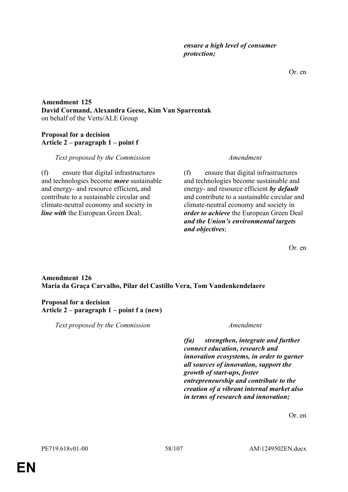Or. en

# **Amendment 125 David Cormand, Alexandra Geese, Kim Van Sparrentak** on behalf of the Verts/ALE Group

# **Proposal for a decision Article 2 – paragraph 1 – point f**

# *Text proposed by the Commission Amendment*

(f) ensure that digital infrastructures and technologies become *more* sustainable and energy- and resource efficient*,* and contribute to a sustainable circular and climate-neutral economy and society in *line with* the European Green Deal;

(f) ensure that digital infrastructures and technologies become sustainable and energy- and resource efficient *by default* and contribute to a sustainable circular and climate-neutral economy and society in *order to achieve* the European Green Deal *and the Union's environmental targets and objectives*;

Or. en

# **Amendment 126 Maria da Graça Carvalho, Pilar del Castillo Vera, Tom Vandenkendelaere**

# **Proposal for a decision Article 2 – paragraph 1 – point f a (new)**

*Text proposed by the Commission Amendment*

*(fa) strengthen, integrate and further connect education, research and innovation ecosystems, in order to garner all sources of innovation, support the growth of start-ups, foster entrepreneurship and contribute to the creation of a vibrant internal market also in terms of research and innovation;*

Or. en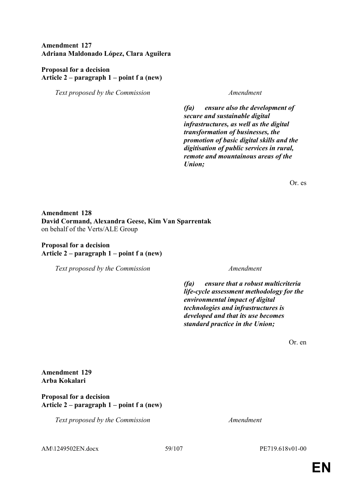**Amendment 127 Adriana Maldonado López, Clara Aguilera**

## **Proposal for a decision Article 2 – paragraph 1 – point f a (new)**

*Text proposed by the Commission Amendment*

*(fa) ensure also the development of secure and sustainable digital infrastructures, as well as the digital transformation of businesses, the promotion of basic digital skills and the digitisation of public services in rural, remote and mountainous areas of the Union;*

Or. es

# **Amendment 128 David Cormand, Alexandra Geese, Kim Van Sparrentak** on behalf of the Verts/ALE Group

## **Proposal for a decision Article 2 – paragraph 1 – point f a (new)**

*Text proposed by the Commission Amendment*

*(fa) ensure that a robust multicriteria life-cycle assessment methodology for the environmental impact of digital technologies and infrastructures is developed and that its use becomes standard practice in the Union;*

Or. en

**Amendment 129 Arba Kokalari**

**Proposal for a decision Article 2 – paragraph 1 – point f a (new)**

*Text proposed by the Commission Amendment*

AM\1249502EN.docx 59/107 PE719.618v01-00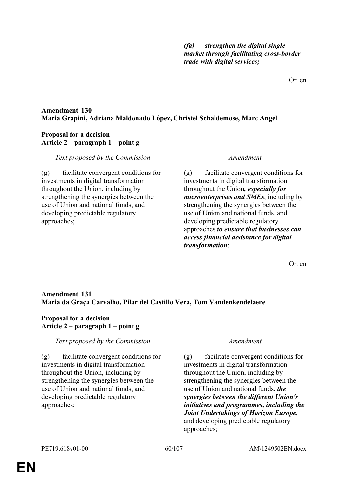*(fa) strengthen the digital single market through facilitating cross-border trade with digital services;*

Or. en

# **Amendment 130 Maria Grapini, Adriana Maldonado López, Christel Schaldemose, Marc Angel**

# **Proposal for a decision Article 2 – paragraph 1 – point g**

## *Text proposed by the Commission Amendment*

(g) facilitate convergent conditions for investments in digital transformation throughout the Union, including by strengthening the synergies between the use of Union and national funds, and developing predictable regulatory approaches;

(g) facilitate convergent conditions for investments in digital transformation throughout the Union*, especially for microenterprises and SMEs*, including by strengthening the synergies between the use of Union and national funds, and developing predictable regulatory approaches *to ensure that businesses can access financial assistance for digital transformation*;

Or. en

# **Amendment 131 Maria da Graça Carvalho, Pilar del Castillo Vera, Tom Vandenkendelaere**

# **Proposal for a decision Article 2 – paragraph 1 – point g**

# *Text proposed by the Commission Amendment*

(g) facilitate convergent conditions for investments in digital transformation throughout the Union, including by strengthening the synergies between the use of Union and national funds, and developing predictable regulatory approaches;

(g) facilitate convergent conditions for investments in digital transformation throughout the Union, including by strengthening the synergies between the use of Union and national funds, *the synergies between the different Union's initiatives and programmes, including the Joint Undertakings of Horizon Europe,* and developing predictable regulatory approaches;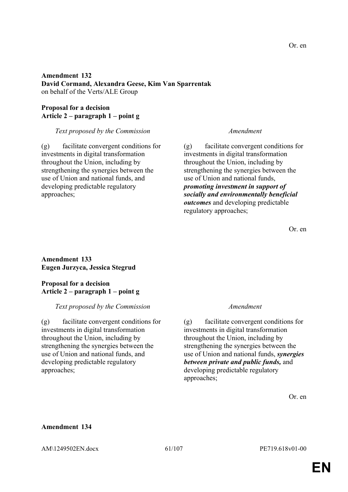### Or. en

## **Amendment 132 David Cormand, Alexandra Geese, Kim Van Sparrentak** on behalf of the Verts/ALE Group

# **Proposal for a decision Article 2 – paragraph 1 – point g**

## *Text proposed by the Commission Amendment*

(g) facilitate convergent conditions for investments in digital transformation throughout the Union, including by strengthening the synergies between the use of Union and national funds, and developing predictable regulatory approaches;

(g) facilitate convergent conditions for investments in digital transformation throughout the Union, including by strengthening the synergies between the use of Union and national funds, *promoting investment in support of socially and environmentally beneficial outcomes* and developing predictable regulatory approaches;

Or. en

# **Amendment 133 Eugen Jurzyca, Jessica Stegrud**

# **Proposal for a decision Article 2 – paragraph 1 – point g**

# *Text proposed by the Commission Amendment*

(g) facilitate convergent conditions for investments in digital transformation throughout the Union, including by strengthening the synergies between the use of Union and national funds, and developing predictable regulatory approaches;

(g) facilitate convergent conditions for investments in digital transformation throughout the Union, including by strengthening the synergies between the use of Union and national funds, *synergies between private and public funds,* and developing predictable regulatory approaches;

Or. en

## **Amendment 134**

AM\1249502EN.docx 61/107 PE719.618v01-00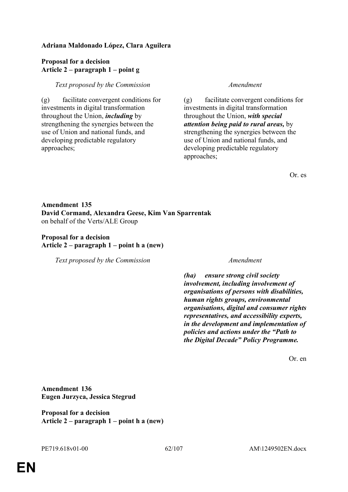# **Adriana Maldonado López, Clara Aguilera**

## **Proposal for a decision Article 2 – paragraph 1 – point g**

## *Text proposed by the Commission Amendment*

(g) facilitate convergent conditions for investments in digital transformation throughout the Union, *including* by strengthening the synergies between the use of Union and national funds, and developing predictable regulatory approaches;

(g) facilitate convergent conditions for investments in digital transformation throughout the Union, *with special attention being paid to rural areas,* by strengthening the synergies between the use of Union and national funds, and developing predictable regulatory approaches;

Or. es

# **Amendment 135 David Cormand, Alexandra Geese, Kim Van Sparrentak** on behalf of the Verts/ALE Group

## **Proposal for a decision Article 2 – paragraph 1 – point h a (new)**

*Text proposed by the Commission Amendment*

*(ha) ensure strong civil society involvement, including involvement of organisations of persons with disabilities, human rights groups, environmental organisations, digital and consumer rights representatives, and accessibility experts, in the development and implementation of policies and actions under the "Path to the Digital Decade" Policy Programme.*

Or. en

**Amendment 136 Eugen Jurzyca, Jessica Stegrud**

**Proposal for a decision Article 2 – paragraph 1 – point h a (new)**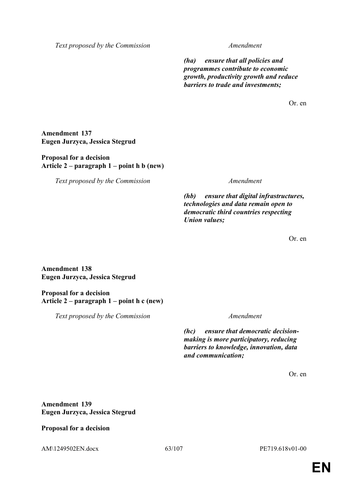*Text proposed by the Commission Amendment*

*(ha) ensure that all policies and programmes contribute to economic growth, productivity growth and reduce barriers to trade and investments;*

Or. en

## **Amendment 137 Eugen Jurzyca, Jessica Stegrud**

## **Proposal for a decision Article 2 – paragraph 1 – point h b (new)**

*Text proposed by the Commission Amendment*

*(hb) ensure that digital infrastructures, technologies and data remain open to democratic third countries respecting Union values;*

Or. en

**Amendment 138 Eugen Jurzyca, Jessica Stegrud**

**Proposal for a decision Article 2 – paragraph 1 – point h c (new)**

*Text proposed by the Commission Amendment*

*(hc) ensure that democratic decisionmaking is more participatory, reducing barriers to knowledge, innovation, data and communication;*

Or. en

# **Amendment 139 Eugen Jurzyca, Jessica Stegrud**

**Proposal for a decision**

AM\1249502EN.docx 63/107 PE719.618v01-00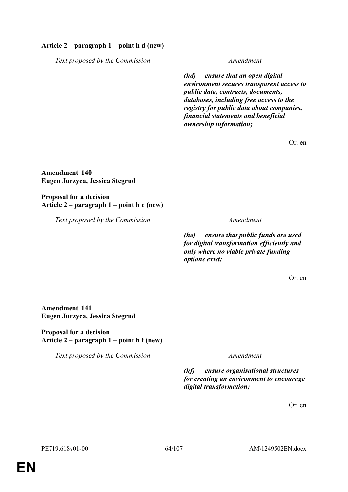## **Article 2 – paragraph 1 – point h d (new)**

*Text proposed by the Commission Amendment*

*(hd) ensure that an open digital environment secures transparent access to public data, contracts, documents, databases, including free access to the registry for public data about companies, financial statements and beneficial ownership information;*

Or. en

**Amendment 140 Eugen Jurzyca, Jessica Stegrud**

**Proposal for a decision Article 2 – paragraph 1 – point h e (new)**

*Text proposed by the Commission Amendment*

*(he) ensure that public funds are used for digital transformation efficiently and only where no viable private funding options exist;*

Or. en

# **Amendment 141 Eugen Jurzyca, Jessica Stegrud**

**Proposal for a decision Article 2 – paragraph 1 – point h f (new)**

*Text proposed by the Commission Amendment*

*(hf) ensure organisational structures for creating an environment to encourage digital transformation;*

Or. en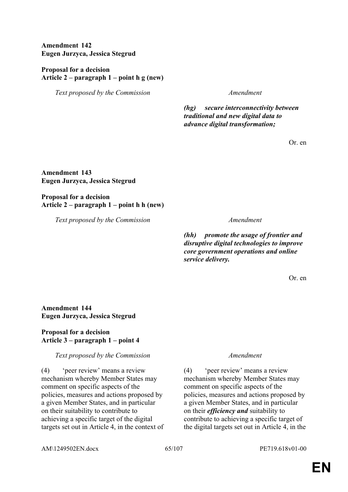**Amendment 142 Eugen Jurzyca, Jessica Stegrud**

**Proposal for a decision Article 2 – paragraph 1 – point h g (new)**

*Text proposed by the Commission Amendment*

*(hg) secure interconnectivity between traditional and new digital data to advance digital transformation;*

Or. en

**Amendment 143 Eugen Jurzyca, Jessica Stegrud**

**Proposal for a decision Article 2 – paragraph 1 – point h h (new)**

*Text proposed by the Commission Amendment*

*(hh) promote the usage of frontier and disruptive digital technologies to improve core government operations and online service delivery.*

Or. en

# **Amendment 144 Eugen Jurzyca, Jessica Stegrud**

# **Proposal for a decision Article 3 – paragraph 1 – point 4**

*Text proposed by the Commission Amendment*

(4) 'peer review' means a review mechanism whereby Member States may comment on specific aspects of the policies, measures and actions proposed by a given Member States, and in particular on their suitability to contribute to achieving a specific target of the digital targets set out in Article 4, in the context of

(4) 'peer review' means a review mechanism whereby Member States may comment on specific aspects of the policies, measures and actions proposed by a given Member States, and in particular on their *efficiency and* suitability to contribute to achieving a specific target of the digital targets set out in Article 4, in the

AM\1249502EN.docx 65/107 PE719.618v01-00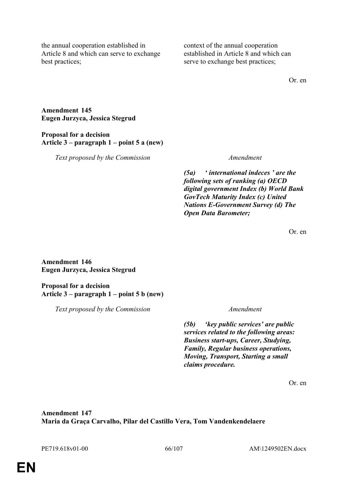the annual cooperation established in Article 8 and which can serve to exchange best practices;

context of the annual cooperation established in Article 8 and which can serve to exchange best practices;

Or. en

### **Amendment 145 Eugen Jurzyca, Jessica Stegrud**

# **Proposal for a decision Article 3 – paragraph 1 – point 5 a (new)**

*Text proposed by the Commission Amendment*

*(5a) ' international indeces ' are the following sets of ranking (a) OECD digital government Index (b) World Bank GovTech Maturity Index (c) United Nations E-Government Survey (d) The Open Data Barometer;*

Or. en

**Amendment 146 Eugen Jurzyca, Jessica Stegrud**

## **Proposal for a decision Article 3 – paragraph 1 – point 5 b (new)**

*Text proposed by the Commission Amendment*

*(5b) 'key public services' are public services related to the following areas: Business start-ups, Career, Studying, Family, Regular business operations, Moving, Transport, Starting a small claims procedure.*

Or. en

# **Amendment 147 Maria da Graça Carvalho, Pilar del Castillo Vera, Tom Vandenkendelaere**

PE719.618v01-00 66/107 AM\1249502EN.docx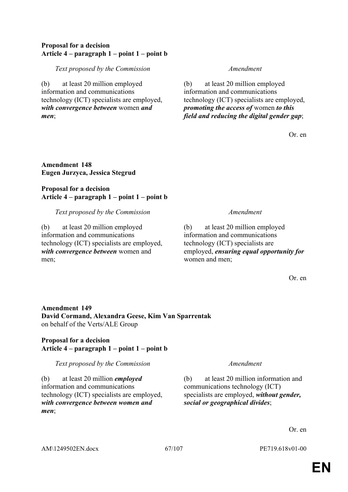# **Proposal for a decision Article 4 – paragraph 1 – point 1 – point b**

*Text proposed by the Commission Amendment*

(b) at least 20 million employed information and communications technology (ICT) specialists are employed, *with convergence between* women *and men*;

(b) at least 20 million employed information and communications technology (ICT) specialists are employed, *promoting the access of* women *to this field and reducing the digital gender gap*;

Or. en

**Amendment 148 Eugen Jurzyca, Jessica Stegrud**

**Proposal for a decision Article 4 – paragraph 1 – point 1 – point b**

*Text proposed by the Commission Amendment*

(b) at least 20 million employed information and communications technology (ICT) specialists are employed, *with convergence between* women and men;

(b) at least 20 million employed information and communications technology (ICT) specialists are employed, *ensuring equal opportunity for* women and men;

Or. en

# **Amendment 149 David Cormand, Alexandra Geese, Kim Van Sparrentak** on behalf of the Verts/ALE Group

# **Proposal for a decision Article 4 – paragraph 1 – point 1 – point b**

*Text proposed by the Commission Amendment*

(b) at least 20 million *employed* information and communications technology (ICT) specialists are employed, *with convergence between women and men*;

(b) at least 20 million information and communications technology (ICT) specialists are employed, *without gender, social or geographical divides*;

Or. en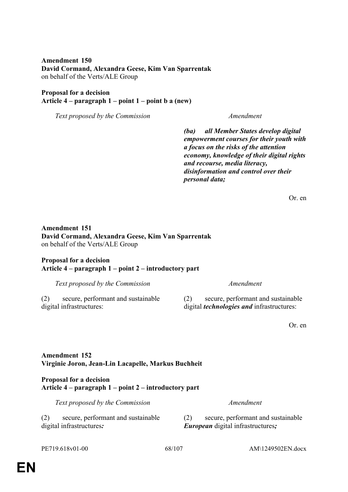**Amendment 150 David Cormand, Alexandra Geese, Kim Van Sparrentak** on behalf of the Verts/ALE Group

### **Proposal for a decision Article 4 – paragraph 1 – point 1 – point b a (new)**

*Text proposed by the Commission Amendment*

*(ba) all Member States develop digital empowerment courses for their youth with a focus on the risks of the attention economy, knowledge of their digital rights and recourse, media literacy, disinformation and control over their personal data;*

Or. en

# **Amendment 151 David Cormand, Alexandra Geese, Kim Van Sparrentak** on behalf of the Verts/ALE Group

### **Proposal for a decision Article 4 – paragraph 1 – point 2 – introductory part**

*Text proposed by the Commission Amendment*

(2) secure, performant and sustainable

digital infrastructures:

(2) secure, performant and sustainable digital *technologies and* infrastructures:

Or. en

# **Amendment 152 Virginie Joron, Jean-Lin Lacapelle, Markus Buchheit**

## **Proposal for a decision Article 4 – paragraph 1 – point 2 – introductory part**

*Text proposed by the Commission Amendment*

(2) secure, performant and sustainable digital infrastructures*:*

(2) secure, performant and sustainable *European* digital infrastructures*;*

PE719.618v01-00 68/107 AM\1249502EN.docx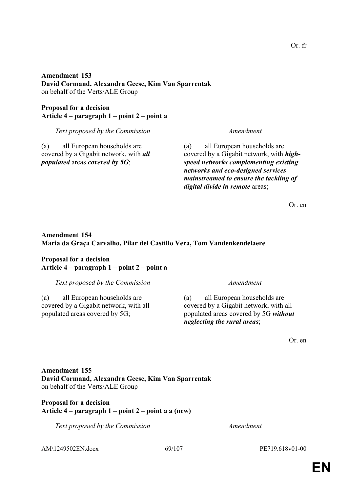# **Amendment 153 David Cormand, Alexandra Geese, Kim Van Sparrentak** on behalf of the Verts/ALE Group

**Proposal for a decision Article 4 – paragraph 1 – point 2 – point a**

*Text proposed by the Commission Amendment*

(a) all European households are covered by a Gigabit network, with *all populated* areas *covered by 5G*;

(a) all European households are covered by a Gigabit network, with *highspeed networks complementing existing networks and eco-designed services mainstreamed to ensure the tackling of digital divide in remote* areas;

Or. en

# **Amendment 154 Maria da Graça Carvalho, Pilar del Castillo Vera, Tom Vandenkendelaere**

## **Proposal for a decision Article 4 – paragraph 1 – point 2 – point a**

*Text proposed by the Commission Amendment*

(a) all European households are covered by a Gigabit network, with all populated areas covered by 5G;

(a) all European households are covered by a Gigabit network, with all populated areas covered by 5G *without neglecting the rural areas*;

Or. en

**Amendment 155 David Cormand, Alexandra Geese, Kim Van Sparrentak** on behalf of the Verts/ALE Group

# **Proposal for a decision Article 4 – paragraph 1 – point 2 – point a a (new)**

*Text proposed by the Commission Amendment*

AM\1249502EN.docx 69/107 PE719.618v01-00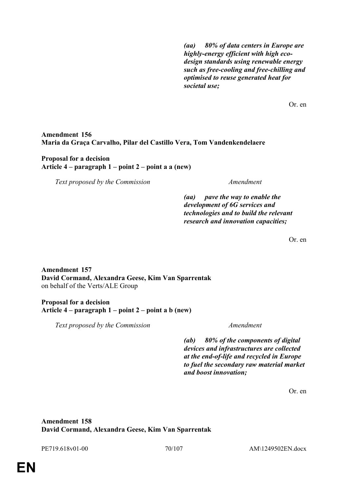*(aa) 80% of data centers in Europe are highly-energy efficient with high ecodesign standards using renewable energy such as free-cooling and free-chilling and optimised to reuse generated heat for societal use;*

Or. en

# **Amendment 156 Maria da Graça Carvalho, Pilar del Castillo Vera, Tom Vandenkendelaere**

## **Proposal for a decision Article 4 – paragraph 1 – point 2 – point a a (new)**

*Text proposed by the Commission Amendment*

*(aa) pave the way to enable the development of 6G services and technologies and to build the relevant research and innovation capacities;*

Or. en

# **Amendment 157 David Cormand, Alexandra Geese, Kim Van Sparrentak** on behalf of the Verts/ALE Group

## **Proposal for a decision Article 4 – paragraph 1 – point 2 – point a b (new)**

*Text proposed by the Commission Amendment*

*(ab) 80% of the components of digital devices and infrastructures are collected at the end-of-life and recycled in Europe to fuel the secondary raw material market and boost innovation;*

Or. en

# **Amendment 158 David Cormand, Alexandra Geese, Kim Van Sparrentak**

PE719.618v01-00 70/107 AM\1249502EN.docx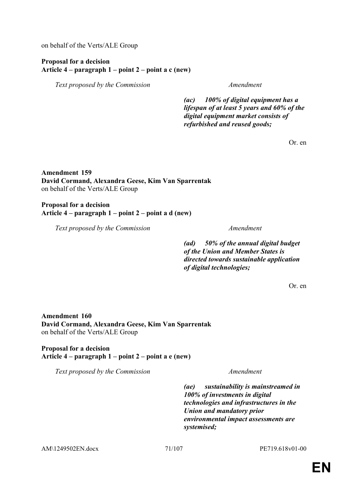on behalf of the Verts/ALE Group

## **Proposal for a decision Article 4 – paragraph 1 – point 2 – point a c (new)**

*Text proposed by the Commission Amendment*

*(ac) 100% of digital equipment has a lifespan of at least 5 years and 60% of the digital equipment market consists of refurbished and reused goods;*

Or. en

# **Amendment 159 David Cormand, Alexandra Geese, Kim Van Sparrentak** on behalf of the Verts/ALE Group

**Proposal for a decision Article 4 – paragraph 1 – point 2 – point a d (new)**

*Text proposed by the Commission Amendment*

*(ad) 50% of the annual digital budget of the Union and Member States is directed towards sustainable application of digital technologies;*

Or. en

**Amendment 160 David Cormand, Alexandra Geese, Kim Van Sparrentak** on behalf of the Verts/ALE Group

**Proposal for a decision Article 4 – paragraph 1 – point 2 – point a e (new)**

*Text proposed by the Commission Amendment*

*(ae) sustainability is mainstreamed in 100% of investments in digital technologies and infrastructures in the Union and mandatory prior environmental impact assessments are systemised;*

AM\1249502EN.docx 71/107 PE719.618v01-00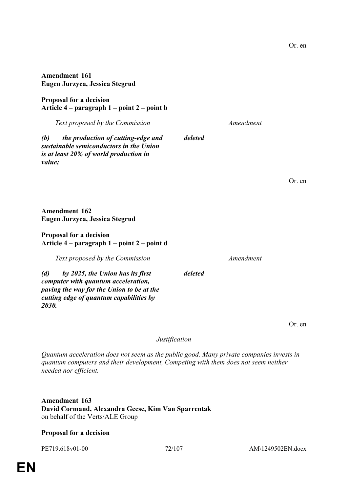**Amendment 161 Eugen Jurzyca, Jessica Stegrud**

**Proposal for a decision Article 4 – paragraph 1 – point 2 – point b**

*(b) the production of cutting-edge and sustainable semiconductors in the Union is at least 20% of world production in value;*

*Text proposed by the Commission Amendment*

*deleted*

*deleted*

**Amendment 162 Eugen Jurzyca, Jessica Stegrud**

### **Proposal for a decision Article 4 – paragraph 1 – point 2 – point d**

*Text proposed by the Commission Amendment*

*(d) by 2025, the Union has its first computer with quantum acceleration, paving the way for the Union to be at the cutting edge of quantum capabilities by 2030.*

Or. en

*Justification*

*Quantum acceleration does not seem as the public good. Many private companies invests in quantum computers and their development, Competing with them does not seem neither needed nor efficient.*

**Amendment 163 David Cormand, Alexandra Geese, Kim Van Sparrentak** on behalf of the Verts/ALE Group

# **Proposal for a decision**

Or. en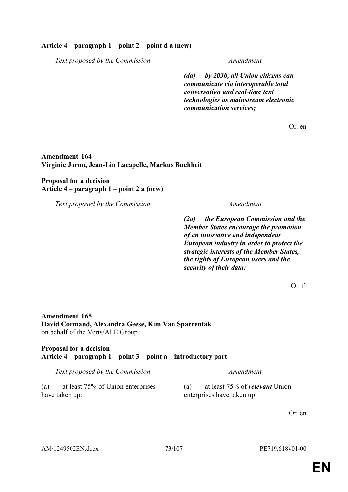## **Article 4 – paragraph 1 – point 2 – point d a (new)**

*Text proposed by the Commission Amendment*

*(da) by 2030, all Union citizens can communicate via interoperable total conversation and real-time text technologies as mainstream electronic communication services;*

Or. en

### **Amendment 164 Virginie Joron, Jean-Lin Lacapelle, Markus Buchheit**

**Proposal for a decision Article 4 – paragraph 1 – point 2 a (new)**

*Text proposed by the Commission Amendment*

*(2a) the European Commission and the Member States encourage the promotion of an innovative and independent European industry in order to protect the strategic interests of the Member States, the rights of European users and the security of their data;*

Or. fr

**Amendment 165 David Cormand, Alexandra Geese, Kim Van Sparrentak** on behalf of the Verts/ALE Group

# **Proposal for a decision Article 4 – paragraph 1 – point 3 – point a – introductory part**

*Text proposed by the Commission Amendment*

(a) at least 75% of Union enterprises have taken up:

(a) at least 75% of *relevant* Union enterprises have taken up: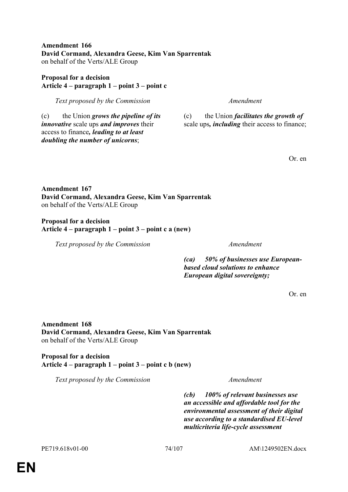**EN**

**Amendment 166 David Cormand, Alexandra Geese, Kim Van Sparrentak** on behalf of the Verts/ALE Group

# **Proposal for a decision Article 4 – paragraph 1 – point 3 – point c**

*Text proposed by the Commission Amendment*

(c) the Union *grows the pipeline of its innovative* scale ups *and improves* their access to finance*, leading to at least doubling the number of unicorns*;

(c) the Union *facilitates the growth of* scale ups*, including* their access to finance;

Or. en

# **Amendment 167 David Cormand, Alexandra Geese, Kim Van Sparrentak** on behalf of the Verts/ALE Group

**Proposal for a decision Article 4 – paragraph 1 – point 3 – point c a (new)**

*Text proposed by the Commission Amendment*

*(ca) 50% of businesses use Europeanbased cloud solutions to enhance European digital sovereignty;*

Or. en

**Amendment 168 David Cormand, Alexandra Geese, Kim Van Sparrentak** on behalf of the Verts/ALE Group

**Proposal for a decision Article 4 – paragraph 1 – point 3 – point c b (new)**

*Text proposed by the Commission Amendment*

*(cb) 100% of relevant businesses use an accessible and affordable tool for the environmental assessment of their digital use according to a standardised EU-level multicriteria life-cycle assessment*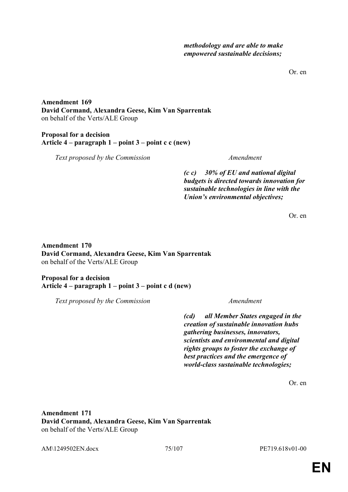Or. en

**Amendment 169 David Cormand, Alexandra Geese, Kim Van Sparrentak** on behalf of the Verts/ALE Group

# **Proposal for a decision Article 4 – paragraph 1 – point 3 – point c c (new)**

*Text proposed by the Commission Amendment*

*(c c) 30% of EU and national digital budgets is directed towards innovation for sustainable technologies in line with the Union's environmental objectives;*

Or. en

**Amendment 170 David Cormand, Alexandra Geese, Kim Van Sparrentak** on behalf of the Verts/ALE Group

**Proposal for a decision Article 4 – paragraph 1 – point 3 – point c d (new)**

*Text proposed by the Commission Amendment*

*(cd) all Member States engaged in the creation of sustainable innovation hubs gathering businesses, innovators, scientists and environmental and digital rights groups to foster the exchange of best practices and the emergence of world-class sustainable technologies;*

Or. en

**Amendment 171 David Cormand, Alexandra Geese, Kim Van Sparrentak** on behalf of the Verts/ALE Group

AM\1249502EN.docx 75/107 PE719.618v01-00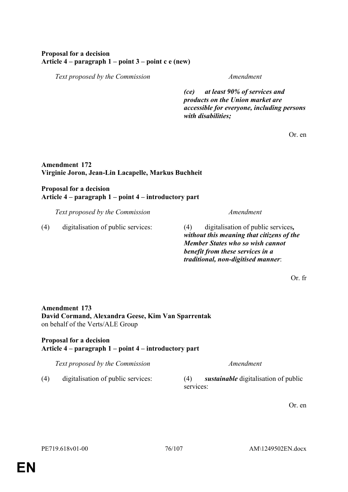# **Proposal for a decision Article 4 – paragraph 1 – point 3 – point c e (new)**

*Text proposed by the Commission Amendment*

*(ce) at least 90% of services and products on the Union market are accessible for everyone, including persons with disabilities;*

Or. en

# **Amendment 172 Virginie Joron, Jean-Lin Lacapelle, Markus Buchheit**

# **Proposal for a decision Article 4 – paragraph 1 – point 4 – introductory part**

*Text proposed by the Commission Amendment*

(4) digitalisation of public services: (4) digitalisation of public services*,* 

*without this meaning that citizens of the Member States who so wish cannot benefit from these services in a traditional, non-digitised manner*:

Or. fr

# **Amendment 173 David Cormand, Alexandra Geese, Kim Van Sparrentak** on behalf of the Verts/ALE Group

# **Proposal for a decision Article 4 – paragraph 1 – point 4 – introductory part**

*Text proposed by the Commission Amendment*

- 
- (4) digitalisation of public services: (4) *sustainable* digitalisation of public services: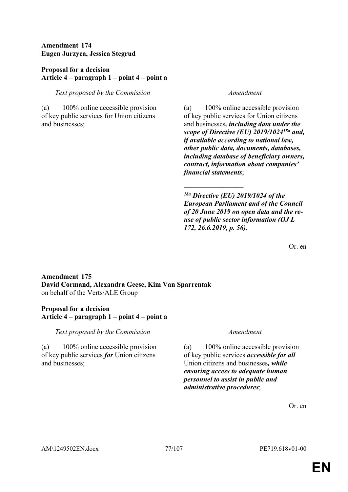# **Amendment 174 Eugen Jurzyca, Jessica Stegrud**

# **Proposal for a decision Article 4 – paragraph 1 – point 4 – point a**

# *Text proposed by the Commission Amendment*

(a) 100% online accessible provision of key public services for Union citizens and businesses;

(a) 100% online accessible provision of key public services for Union citizens and businesses*, including data under the scope of Directive (EU) 2019/102418a and, if available according to national law, other public data, documents, databases, including database of beneficiary owners, contract, information about companies' financial statements*;

*18a Directive (EU) 2019/1024 of the European Parliament and of the Council of 20 June 2019 on open data and the reuse of public sector information (OJ L 172, 26.6.2019, p. 56).*

 $\frac{1}{2}$ 

Or. en

## **Amendment 175 David Cormand, Alexandra Geese, Kim Van Sparrentak** on behalf of the Verts/ALE Group

## **Proposal for a decision Article 4 – paragraph 1 – point 4 – point a**

*Text proposed by the Commission Amendment*

(a) 100% online accessible provision of key public services *for* Union citizens and businesses;

(a) 100% online accessible provision of key public services *accessible for all* Union citizens and businesses*, while ensuring access to adequate human personnel to assist in public and administrative procedures*;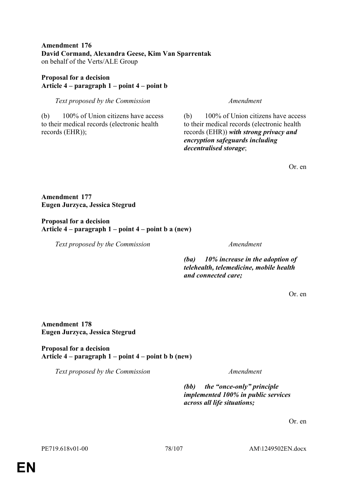## **Amendment 176 David Cormand, Alexandra Geese, Kim Van Sparrentak** on behalf of the Verts/ALE Group

# **Proposal for a decision Article 4 – paragraph 1 – point 4 – point b**

*Text proposed by the Commission Amendment*

(b) 100% of Union citizens have access to their medical records (electronic health records (EHR));

(b) 100% of Union citizens have access to their medical records (electronic health records (EHR)) *with strong privacy and encryption safeguards including decentralised storage*;

Or. en

**Amendment 177 Eugen Jurzyca, Jessica Stegrud**

**Proposal for a decision Article 4 – paragraph 1 – point 4 – point b a (new)**

*Text proposed by the Commission Amendment*

*(ba) 10% increase in the adoption of telehealth, telemedicine, mobile health and connected care;*

Or. en

**Amendment 178 Eugen Jurzyca, Jessica Stegrud**

**Proposal for a decision Article 4 – paragraph 1 – point 4 – point b b (new)**

*Text proposed by the Commission Amendment*

*(bb) the "once-only" principle implemented 100% in public services across all life situations;*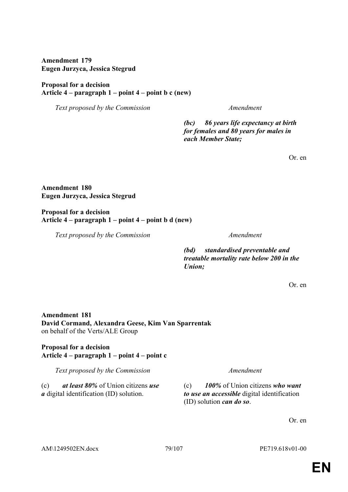**Amendment 179 Eugen Jurzyca, Jessica Stegrud**

# **Proposal for a decision Article 4 – paragraph 1 – point 4 – point b c (new)**

*Text proposed by the Commission Amendment*

*(bc) 86 years life expectancy at birth for females and 80 years for males in each Member State;*

Or. en

**Amendment 180 Eugen Jurzyca, Jessica Stegrud**

**Proposal for a decision Article 4 – paragraph 1 – point 4 – point b d (new)**

*Text proposed by the Commission Amendment*

*(bd) standardised preventable and treatable mortality rate below 200 in the Union;*

Or. en

**Amendment 181 David Cormand, Alexandra Geese, Kim Van Sparrentak** on behalf of the Verts/ALE Group

**Proposal for a decision Article 4 – paragraph 1 – point 4 – point c**

*Text proposed by the Commission Amendment*

(c) *at least 80%* of Union citizens *use a* digital identification (ID) solution.

(c) *100%* of Union citizens *who want to use an accessible* digital identification (ID) solution *can do so*.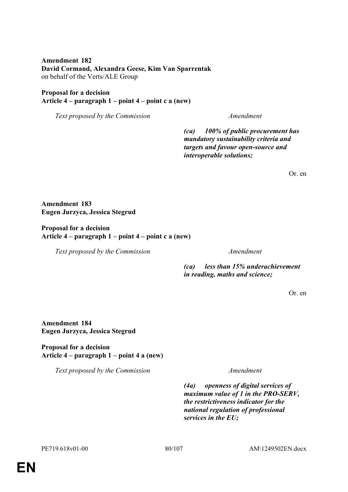**Amendment 182 David Cormand, Alexandra Geese, Kim Van Sparrentak** on behalf of the Verts/ALE Group

### **Proposal for a decision Article 4 – paragraph 1 – point 4 – point c a (new)**

*Text proposed by the Commission Amendment*

*(ca) 100% of public procurement has mandatory sustainability criteria and targets and favour open-source and interoperable solutions;*

Or. en

**Amendment 183 Eugen Jurzyca, Jessica Stegrud**

**Proposal for a decision Article 4 – paragraph 1 – point 4 – point c a (new)**

*Text proposed by the Commission Amendment*

*(ca) less than 15% underachievement in reading, maths and science;*

Or. en

**Amendment 184 Eugen Jurzyca, Jessica Stegrud**

**Proposal for a decision Article 4 – paragraph 1 – point 4 a (new)**

*Text proposed by the Commission Amendment*

*(4a) openness of digital services of maximum value of 1 in the PRO-SERV, the restrictiveness indicator for the national regulation of professional services in the EU;*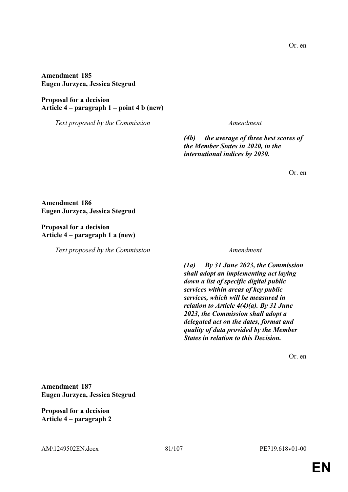**Amendment 185 Eugen Jurzyca, Jessica Stegrud**

**Proposal for a decision Article 4 – paragraph 1 – point 4 b (new)**

*Text proposed by the Commission Amendment*

*(4b) the average of three best scores of the Member States in 2020, in the international indices by 2030.*

Or. en

**Amendment 186 Eugen Jurzyca, Jessica Stegrud**

**Proposal for a decision Article 4 – paragraph 1 a (new)**

*Text proposed by the Commission Amendment*

*(1a) By 31 June 2023, the Commission shall adopt an implementing act laying down a list of specific digital public services within areas of key public services, which will be measured in relation to Article 4(4)(a). By 31 June 2023, the Commission shall adopt a delegated act on the dates, format and quality of data provided by the Member States in relation to this Decision.*

Or. en

**Amendment 187 Eugen Jurzyca, Jessica Stegrud**

**Proposal for a decision Article 4 – paragraph 2**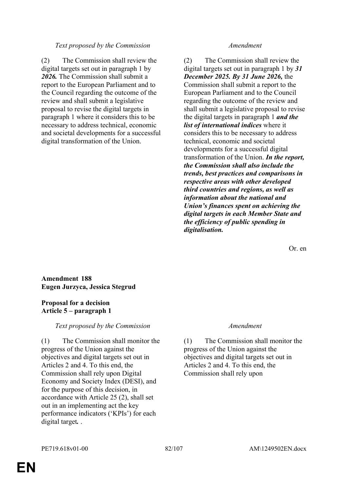### *Text proposed by the Commission Amendment*

(2) The Commission shall review the digital targets set out in paragraph 1 by *2026.* The Commission shall submit a report to the European Parliament and to the Council regarding the outcome of the review and shall submit a legislative proposal to revise the digital targets in paragraph 1 where it considers this to be necessary to address technical, economic and societal developments for a successful digital transformation of the Union.

(2) The Commission shall review the digital targets set out in paragraph 1 by *31 December 2025. By 31 June 2026,* the Commission shall submit a report to the European Parliament and to the Council regarding the outcome of the review and shall submit a legislative proposal to revise the digital targets in paragraph 1 *and the list of international indices* where it considers this to be necessary to address technical, economic and societal developments for a successful digital transformation of the Union. *In the report, the Commission shall also include the trends, best practices and comparisons in respective areas with other developed third countries and regions, as well as information about the national and Union's finances spent on achieving the digital targets in each Member State and the efficiency of public spending in digitalisation.*

Or. en

**Amendment 188 Eugen Jurzyca, Jessica Stegrud**

# **Proposal for a decision Article 5 – paragraph 1**

*Text proposed by the Commission Amendment*

(1) The Commission shall monitor the progress of the Union against the objectives and digital targets set out in Articles 2 and 4. To this end, the Commission shall rely upon Digital Economy and Society Index (DESI), and for the purpose of this decision, in accordance with Article 25 (2), shall set out in an implementing act the key performance indicators ('KPIs') for each digital target*.* .

(1) The Commission shall monitor the progress of the Union against the objectives and digital targets set out in Articles 2 and 4. To this end, the Commission shall rely upon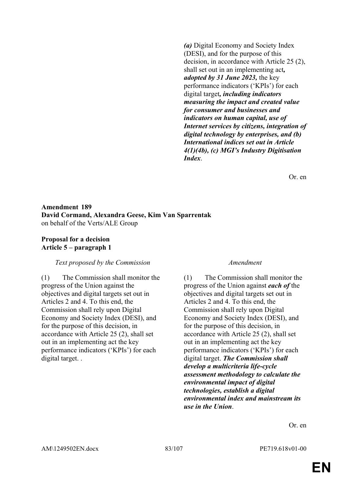*(a)* Digital Economy and Society Index (DESI), and for the purpose of this decision, in accordance with Article 25 (2), shall set out in an implementing act*, adopted by 31 June 2023,* the key performance indicators ('KPIs') for each digital target*, including indicators measuring the impact and created value for consumer and businesses and indicators on human capital, use of Internet services by citizens, integration of digital technology by enterprises, and (b) International indices set out in Article 4(1)(4b), (c) MGI's Industry Digitisation Index*.

Or. en

# **Amendment 189 David Cormand, Alexandra Geese, Kim Van Sparrentak** on behalf of the Verts/ALE Group

## **Proposal for a decision Article 5 – paragraph 1**

### *Text proposed by the Commission Amendment*

(1) The Commission shall monitor the progress of the Union against the objectives and digital targets set out in Articles 2 and 4. To this end, the Commission shall rely upon Digital Economy and Society Index (DESI), and for the purpose of this decision, in accordance with Article 25 (2), shall set out in an implementing act the key performance indicators ('KPIs') for each digital target. .

(1) The Commission shall monitor the progress of the Union against *each of* the objectives and digital targets set out in Articles 2 and 4. To this end, the Commission shall rely upon Digital Economy and Society Index (DESI), and for the purpose of this decision, in accordance with Article 25 (2), shall set out in an implementing act the key performance indicators ('KPIs') for each digital target. *The Commission shall develop a multicriteria life-cycle assessment methodology to calculate the environmental impact of digital technologies, establish a digital environmental index and mainstream its use in the Union*.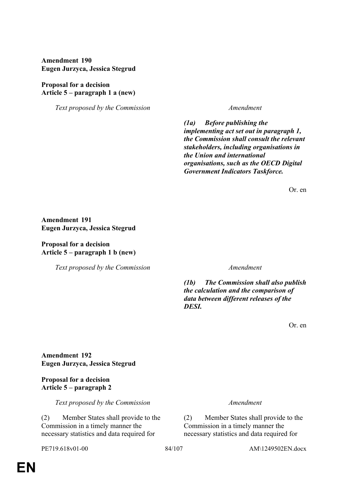**Amendment 190 Eugen Jurzyca, Jessica Stegrud**

## **Proposal for a decision Article 5 – paragraph 1 a (new)**

*Text proposed by the Commission Amendment*

*(1a) Before publishing the implementing act set out in paragraph 1, the Commission shall consult the relevant stakeholders, including organisations in the Union and international organisations, such as the OECD Digital Government Indicators Taskforce.*

Or. en

**Amendment 191 Eugen Jurzyca, Jessica Stegrud**

**Proposal for a decision Article 5 – paragraph 1 b (new)**

*Text proposed by the Commission Amendment*

*(1b) The Commission shall also publish the calculation and the comparison of data between different releases of the DESI.*

Or. en

**Amendment 192 Eugen Jurzyca, Jessica Stegrud**

# **Proposal for a decision Article 5 – paragraph 2**

*Text proposed by the Commission Amendment*

(2) Member States shall provide to the Commission in a timely manner the necessary statistics and data required for

(2) Member States shall provide to the Commission in a timely manner the necessary statistics and data required for

PE719.618v01-00 84/107 AM\1249502EN.docx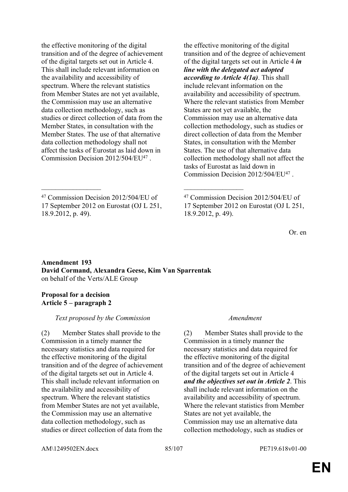the effective monitoring of the digital transition and of the degree of achievement of the digital targets set out in Article 4. This shall include relevant information on the availability and accessibility of spectrum. Where the relevant statistics from Member States are not yet available, the Commission may use an alternative data collection methodology, such as studies or direct collection of data from the Member States, in consultation with the Member States. The use of that alternative data collection methodology shall not affect the tasks of Eurostat as laid down in Commission Decision 2012/504/EU<sup>47</sup> .

the effective monitoring of the digital transition and of the degree of achievement of the digital targets set out in Article 4 *in line with the delegated act adopted according to Article 4(1a)*. This shall include relevant information on the availability and accessibility of spectrum. Where the relevant statistics from Member States are not yet available, the Commission may use an alternative data collection methodology, such as studies or direct collection of data from the Member States, in consultation with the Member States. The use of that alternative data collection methodology shall not affect the tasks of Eurostat as laid down in Commission Decision 2012/504/EU<sup>47</sup>.

Or. en

# **Amendment 193 David Cormand, Alexandra Geese, Kim Van Sparrentak** on behalf of the Verts/ALE Group

\_\_\_\_\_\_\_\_\_\_\_\_\_\_\_\_\_ \_\_\_\_\_\_\_\_\_\_\_\_\_\_\_\_\_

## **Proposal for a decision Article 5 – paragraph 2**

# *Text proposed by the Commission Amendment*

(2) Member States shall provide to the Commission in a timely manner the necessary statistics and data required for the effective monitoring of the digital transition and of the degree of achievement of the digital targets set out in Article 4. This shall include relevant information on the availability and accessibility of spectrum. Where the relevant statistics from Member States are not yet available, the Commission may use an alternative data collection methodology, such as studies or direct collection of data from the

(2) Member States shall provide to the Commission in a timely manner the necessary statistics and data required for the effective monitoring of the digital transition and of the degree of achievement of the digital targets set out in Article 4 *and the objectives set out in Article 2*. This shall include relevant information on the availability and accessibility of spectrum. Where the relevant statistics from Member States are not yet available, the Commission may use an alternative data collection methodology, such as studies or

AM\1249502EN.docx 85/107 PE719.618v01-00

<sup>47</sup> Commission Decision 2012/504/EU of 17 September 2012 on Eurostat (OJ L 251, 18.9.2012, p. 49).

<sup>47</sup> Commission Decision 2012/504/EU of 17 September 2012 on Eurostat (OJ L 251, 18.9.2012, p. 49).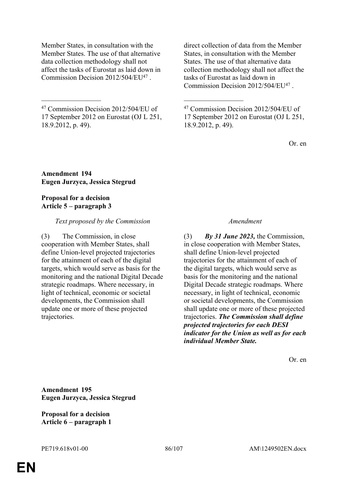Member States, in consultation with the Member States. The use of that alternative data collection methodology shall not affect the tasks of Eurostat as laid down in Commission Decision 2012/504/EU<sup>47</sup> .

<sup>47</sup> Commission Decision 2012/504/EU of 17 September 2012 on Eurostat (OJ L 251, 18.9.2012, p. 49).

\_\_\_\_\_\_\_\_\_\_\_\_\_\_\_\_\_ \_\_\_\_\_\_\_\_\_\_\_\_\_\_\_\_\_

direct collection of data from the Member States, in consultation with the Member States. The use of that alternative data collection methodology shall not affect the tasks of Eurostat as laid down in Commission Decision 2012/504/EU<sup>47</sup>.

<sup>47</sup> Commission Decision 2012/504/EU of 17 September 2012 on Eurostat (OJ L 251, 18.9.2012, p. 49).

Or. en

**Amendment 194 Eugen Jurzyca, Jessica Stegrud**

### **Proposal for a decision Article 5 – paragraph 3**

### *Text proposed by the Commission Amendment*

(3) The Commission, in close cooperation with Member States, shall define Union-level projected trajectories for the attainment of each of the digital targets, which would serve as basis for the monitoring and the national Digital Decade strategic roadmaps. Where necessary, in light of technical, economic or societal developments, the Commission shall update one or more of these projected trajectories.

(3) *By 31 June 2023,* the Commission, in close cooperation with Member States, shall define Union-level projected trajectories for the attainment of each of the digital targets, which would serve as basis for the monitoring and the national Digital Decade strategic roadmaps. Where necessary, in light of technical, economic or societal developments, the Commission shall update one or more of these projected trajectories. *The Commission shall define projected trajectories for each DESI indicator for the Union as well as for each individual Member State.*

Or. en

**Amendment 195 Eugen Jurzyca, Jessica Stegrud**

**Proposal for a decision Article 6 – paragraph 1**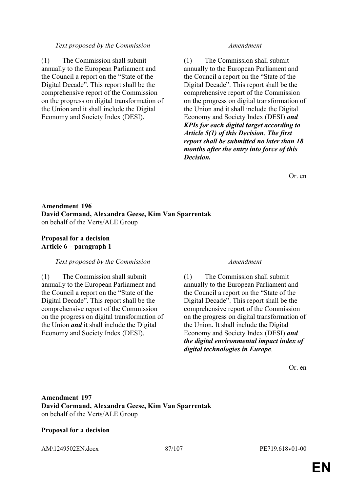### *Text proposed by the Commission Amendment*

(1) The Commission shall submit annually to the European Parliament and the Council a report on the "State of the Digital Decade". This report shall be the comprehensive report of the Commission on the progress on digital transformation of the Union and it shall include the Digital Economy and Society Index (DESI).

(1) The Commission shall submit annually to the European Parliament and the Council a report on the "State of the Digital Decade". This report shall be the comprehensive report of the Commission on the progress on digital transformation of the Union and it shall include the Digital Economy and Society Index (DESI) *and KPIs for each digital target according to Article 5(1) of this Decision*. *The first report shall be submitted no later than 18 months after the entry into force of this Decision.*

Or. en

# **Amendment 196 David Cormand, Alexandra Geese, Kim Van Sparrentak** on behalf of the Verts/ALE Group

# **Proposal for a decision Article 6 – paragraph 1**

### *Text proposed by the Commission Amendment*

(1) The Commission shall submit annually to the European Parliament and the Council a report on the "State of the Digital Decade". This report shall be the comprehensive report of the Commission on the progress on digital transformation of the Union *and* it shall include the Digital Economy and Society Index (DESI).

(1) The Commission shall submit annually to the European Parliament and the Council a report on the "State of the Digital Decade". This report shall be the comprehensive report of the Commission on the progress on digital transformation of the Union*.* It shall include the Digital Economy and Society Index (DESI) *and the digital environmental impact index of digital technologies in Europe*.

Or. en

# **Amendment 197 David Cormand, Alexandra Geese, Kim Van Sparrentak** on behalf of the Verts/ALE Group

### **Proposal for a decision**

AM\1249502EN.docx 87/107 PE719.618v01-00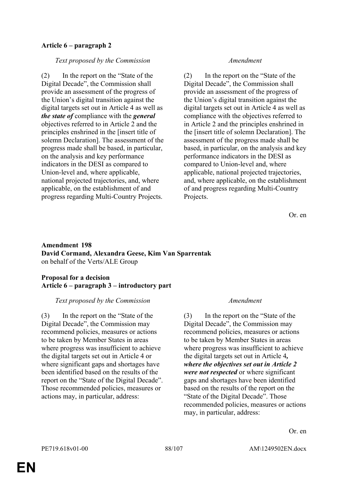# **Article 6 – paragraph 2**

### *Text proposed by the Commission Amendment*

(2) In the report on the "State of the Digital Decade", the Commission shall provide an assessment of the progress of the Union's digital transition against the digital targets set out in Article 4 as well as *the state of* compliance with the *general* objectives referred to in Article 2 and the principles enshrined in the [insert title of solemn Declaration]. The assessment of the progress made shall be based, in particular, on the analysis and key performance indicators in the DESI as compared to Union-level and, where applicable, national projected trajectories, and, where applicable, on the establishment of and progress regarding Multi-Country Projects.

(2) In the report on the "State of the Digital Decade", the Commission shall provide an assessment of the progress of the Union's digital transition against the digital targets set out in Article 4 as well as compliance with the objectives referred to in Article 2 and the principles enshrined in the [insert title of solemn Declaration]. The assessment of the progress made shall be based, in particular, on the analysis and key performance indicators in the DESI as compared to Union-level and, where applicable, national projected trajectories, and, where applicable, on the establishment of and progress regarding Multi-Country Projects.

Or. en

# **Amendment 198 David Cormand, Alexandra Geese, Kim Van Sparrentak** on behalf of the Verts/ALE Group

## **Proposal for a decision Article 6 – paragraph 3 – introductory part**

### *Text proposed by the Commission Amendment*

(3) In the report on the "State of the Digital Decade", the Commission may recommend policies, measures or actions to be taken by Member States in areas where progress was insufficient to achieve the digital targets set out in Article 4 or where significant gaps and shortages have been identified based on the results of the report on the "State of the Digital Decade". Those recommended policies, measures or actions may, in particular, address:

(3) In the report on the "State of the Digital Decade", the Commission may recommend policies, measures or actions to be taken by Member States in areas where progress was insufficient to achieve the digital targets set out in Article 4*, where the objectives set out in Article 2 were not respected* or where significant gaps and shortages have been identified based on the results of the report on the "State of the Digital Decade". Those recommended policies, measures or actions may, in particular, address: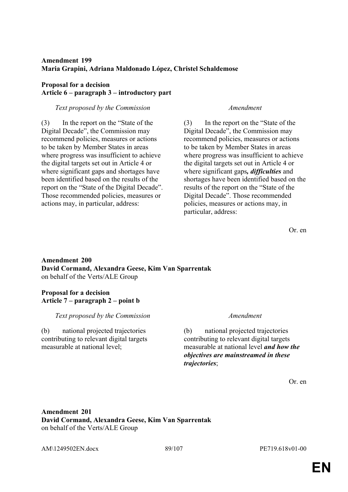# **Amendment 199 Maria Grapini, Adriana Maldonado López, Christel Schaldemose**

# **Proposal for a decision Article 6 – paragraph 3 – introductory part**

## *Text proposed by the Commission Amendment*

(3) In the report on the "State of the Digital Decade", the Commission may recommend policies, measures or actions to be taken by Member States in areas where progress was insufficient to achieve the digital targets set out in Article 4 or where significant gaps and shortages have been identified based on the results of the report on the "State of the Digital Decade". Those recommended policies, measures or actions may, in particular, address:

(3) In the report on the "State of the Digital Decade", the Commission may recommend policies, measures or actions to be taken by Member States in areas where progress was insufficient to achieve the digital targets set out in Article 4 or where significant gaps*, difficulties* and shortages have been identified based on the results of the report on the "State of the Digital Decade". Those recommended policies, measures or actions may, in particular, address:

Or. en

# **Amendment 200 David Cormand, Alexandra Geese, Kim Van Sparrentak** on behalf of the Verts/ALE Group

# **Proposal for a decision Article 7 – paragraph 2 – point b**

# *Text proposed by the Commission Amendment*

(b) national projected trajectories contributing to relevant digital targets measurable at national level;

(b) national projected trajectories contributing to relevant digital targets measurable at national level *and how the objectives are mainstreamed in these trajectories*;

Or. en

# **Amendment 201 David Cormand, Alexandra Geese, Kim Van Sparrentak** on behalf of the Verts/ALE Group

AM\1249502EN.docx 89/107 PE719.618v01-00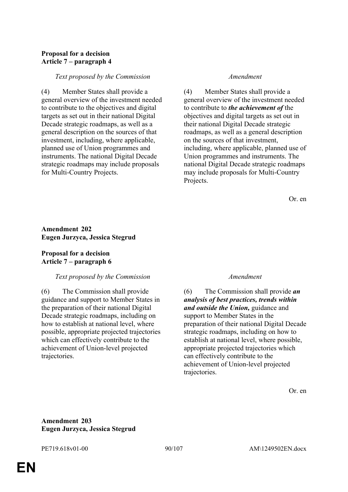# **Proposal for a decision Article 7 – paragraph 4**

### *Text proposed by the Commission Amendment*

(4) Member States shall provide a general overview of the investment needed to contribute to the objectives and digital targets as set out in their national Digital Decade strategic roadmaps, as well as a general description on the sources of that investment, including, where applicable, planned use of Union programmes and instruments. The national Digital Decade strategic roadmaps may include proposals for Multi-Country Projects.

(4) Member States shall provide a general overview of the investment needed to contribute to *the achievement of* the objectives and digital targets as set out in their national Digital Decade strategic roadmaps, as well as a general description on the sources of that investment, including, where applicable, planned use of Union programmes and instruments. The national Digital Decade strategic roadmaps may include proposals for Multi-Country Projects.

Or. en

# **Amendment 202 Eugen Jurzyca, Jessica Stegrud**

## **Proposal for a decision Article 7 – paragraph 6**

# *Text proposed by the Commission Amendment*

(6) The Commission shall provide guidance and support to Member States in the preparation of their national Digital Decade strategic roadmaps, including on how to establish at national level, where possible, appropriate projected trajectories which can effectively contribute to the achievement of Union-level projected trajectories.

(6) The Commission shall provide *an analysis of best practices, trends within and outside the Union,* guidance and support to Member States in the preparation of their national Digital Decade strategic roadmaps, including on how to establish at national level, where possible, appropriate projected trajectories which can effectively contribute to the achievement of Union-level projected trajectories.

Or. en

## **Amendment 203 Eugen Jurzyca, Jessica Stegrud**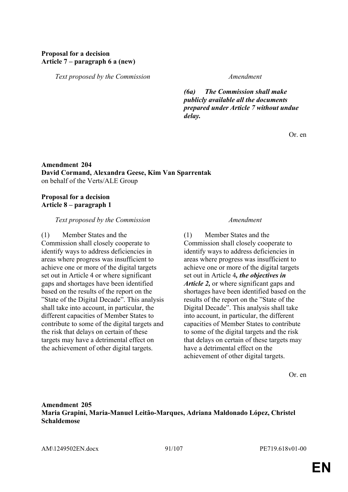# **Proposal for a decision Article 7 – paragraph 6 a (new)**

*Text proposed by the Commission Amendment*

*(6a) The Commission shall make publicly available all the documents prepared under Article 7 without undue delay.*

Or. en

# **Amendment 204 David Cormand, Alexandra Geese, Kim Van Sparrentak** on behalf of the Verts/ALE Group

### **Proposal for a decision Article 8 – paragraph 1**

### *Text proposed by the Commission Amendment*

(1) Member States and the Commission shall closely cooperate to identify ways to address deficiencies in areas where progress was insufficient to achieve one or more of the digital targets set out in Article 4 or where significant gaps and shortages have been identified based on the results of the report on the "State of the Digital Decade". This analysis shall take into account, in particular, the different capacities of Member States to contribute to some of the digital targets and the risk that delays on certain of these targets may have a detrimental effect on the achievement of other digital targets.

(1) Member States and the Commission shall closely cooperate to identify ways to address deficiencies in areas where progress was insufficient to achieve one or more of the digital targets set out in Article 4*, the objectives in Article 2,* or where significant gaps and shortages have been identified based on the results of the report on the "State of the Digital Decade". This analysis shall take into account, in particular, the different capacities of Member States to contribute to some of the digital targets and the risk that delays on certain of these targets may have a detrimental effect on the achievement of other digital targets.

Or. en

# **Amendment 205 Maria Grapini, Maria-Manuel Leitão-Marques, Adriana Maldonado López, Christel Schaldemose**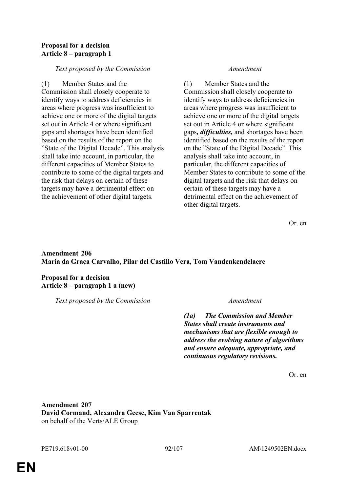## **Proposal for a decision Article 8 – paragraph 1**

# *Text proposed by the Commission Amendment*

(1) Member States and the Commission shall closely cooperate to identify ways to address deficiencies in areas where progress was insufficient to achieve one or more of the digital targets set out in Article 4 or where significant gaps and shortages have been identified based on the results of the report on the "State of the Digital Decade". This analysis shall take into account, in particular, the different capacities of Member States to contribute to some of the digital targets and the risk that delays on certain of these targets may have a detrimental effect on the achievement of other digital targets.

(1) Member States and the Commission shall closely cooperate to identify ways to address deficiencies in areas where progress was insufficient to achieve one or more of the digital targets set out in Article 4 or where significant gaps*, difficulties,* and shortages have been identified based on the results of the report on the "State of the Digital Decade". This analysis shall take into account, in particular, the different capacities of Member States to contribute to some of the digital targets and the risk that delays on certain of these targets may have a detrimental effect on the achievement of other digital targets.

Or. en

# **Amendment 206 Maria da Graça Carvalho, Pilar del Castillo Vera, Tom Vandenkendelaere**

**Proposal for a decision Article 8 – paragraph 1 a (new)**

*Text proposed by the Commission Amendment*

*(1a) The Commission and Member States shall create instruments and mechanisms that are flexible enough to address the evolving nature of algorithms and ensure adequate, appropriate, and continuous regulatory revisions.*

Or. en

**Amendment 207 David Cormand, Alexandra Geese, Kim Van Sparrentak** on behalf of the Verts/ALE Group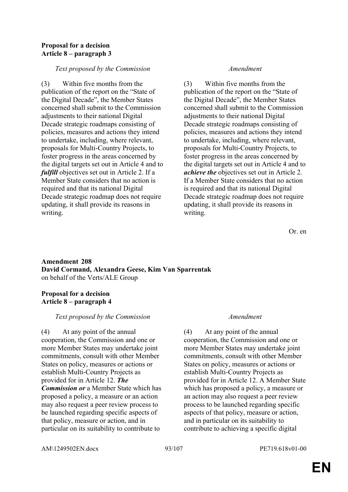## **Proposal for a decision Article 8 – paragraph 3**

## *Text proposed by the Commission Amendment*

(3) Within five months from the publication of the report on the "State of the Digital Decade", the Member States concerned shall submit to the Commission adjustments to their national Digital Decade strategic roadmaps consisting of policies, measures and actions they intend to undertake, including, where relevant, proposals for Multi-Country Projects, to foster progress in the areas concerned by the digital targets set out in Article 4 and to *fulfill* objectives set out in Article 2. If a Member State considers that no action is required and that its national Digital Decade strategic roadmap does not require updating, it shall provide its reasons in writing.

(3) Within five months from the publication of the report on the "State of the Digital Decade", the Member States concerned shall submit to the Commission adjustments to their national Digital Decade strategic roadmaps consisting of policies, measures and actions they intend to undertake, including, where relevant, proposals for Multi-Country Projects, to foster progress in the areas concerned by the digital targets set out in Article 4 and to *achieve the* objectives set out in Article 2. If a Member State considers that no action is required and that its national Digital Decade strategic roadmap does not require updating, it shall provide its reasons in writing.

Or. en

# **Amendment 208 David Cormand, Alexandra Geese, Kim Van Sparrentak** on behalf of the Verts/ALE Group

## **Proposal for a decision Article 8 – paragraph 4**

### *Text proposed by the Commission Amendment*

(4) At any point of the annual cooperation, the Commission and one or more Member States may undertake joint commitments, consult with other Member States on policy, measures or actions or establish Multi-Country Projects as provided for in Article 12. *The Commission or* a Member State which has proposed a policy, a measure or an action may also request a peer review process to be launched regarding specific aspects of that policy, measure or action, and in particular on its suitability to contribute to

(4) At any point of the annual cooperation, the Commission and one or more Member States may undertake joint commitments, consult with other Member States on policy, measures or actions or establish Multi-Country Projects as provided for in Article 12. A Member State which has proposed a policy, a measure or an action may also request a peer review process to be launched regarding specific aspects of that policy, measure or action, and in particular on its suitability to contribute to achieving a specific digital

AM\1249502EN.docx 93/107 PE719.618v01-00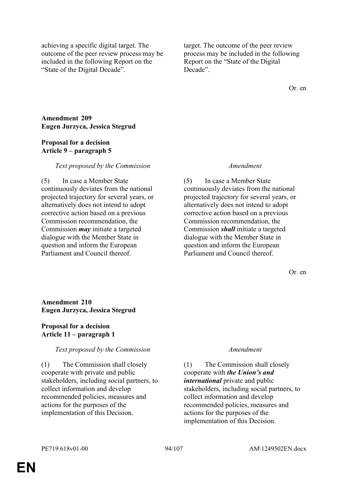achieving a specific digital target. The outcome of the peer review process may be included in the following Report on the "State of the Digital Decade".

target. The outcome of the peer review process may be included in the following Report on the "State of the Digital Decade".

Or. en

**Amendment 209 Eugen Jurzyca, Jessica Stegrud**

### **Proposal for a decision Article 9 – paragraph 5**

## *Text proposed by the Commission Amendment*

(5) In case a Member State continuously deviates from the national projected trajectory for several years, or alternatively does not intend to adopt corrective action based on a previous Commission recommendation, the Commission *may* initiate a targeted dialogue with the Member State in question and inform the European Parliament and Council thereof.

(5) In case a Member State continuously deviates from the national projected trajectory for several years, or alternatively does not intend to adopt corrective action based on a previous Commission recommendation, the Commission *shall* initiate a targeted dialogue with the Member State in question and inform the European Parliament and Council thereof.

Or. en

# **Amendment 210 Eugen Jurzyca, Jessica Stegrud**

### **Proposal for a decision Article 11 – paragraph 1**

# *Text proposed by the Commission Amendment*

(1) The Commission shall closely cooperate with private and public stakeholders, including social partners, to collect information and develop recommended policies, measures and actions for the purposes of the implementation of this Decision.

(1) The Commission shall closely cooperate with *the Union's and international* private and public stakeholders, including social partners, to collect information and develop recommended policies, measures and actions for the purposes of the implementation of this Decision.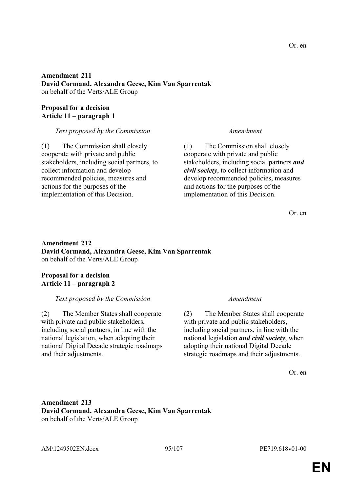# **Amendment 211 David Cormand, Alexandra Geese, Kim Van Sparrentak** on behalf of the Verts/ALE Group

# **Proposal for a decision Article 11 – paragraph 1**

# *Text proposed by the Commission Amendment*

(1) The Commission shall closely cooperate with private and public stakeholders, including social partners, to collect information and develop recommended policies, measures and actions for the purposes of the implementation of this Decision.

(1) The Commission shall closely cooperate with private and public stakeholders, including social partners *and civil society*, to collect information and develop recommended policies, measures and actions for the purposes of the implementation of this Decision.

Or. en

# **Amendment 212 David Cormand, Alexandra Geese, Kim Van Sparrentak** on behalf of the Verts/ALE Group

# **Proposal for a decision Article 11 – paragraph 2**

# *Text proposed by the Commission Amendment*

(2) The Member States shall cooperate with private and public stakeholders, including social partners, in line with the national legislation, when adopting their national Digital Decade strategic roadmaps and their adjustments.

(2) The Member States shall cooperate with private and public stakeholders, including social partners, in line with the national legislation *and civil society*, when adopting their national Digital Decade strategic roadmaps and their adjustments.

Or. en

# **Amendment 213 David Cormand, Alexandra Geese, Kim Van Sparrentak** on behalf of the Verts/ALE Group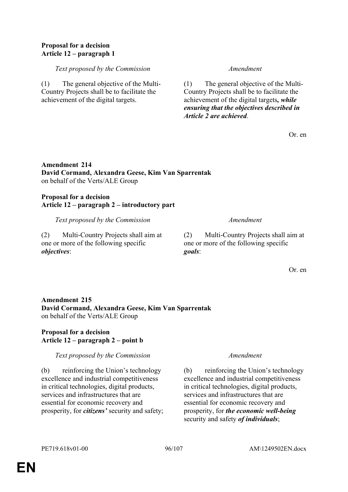# **Proposal for a decision Article 12 – paragraph 1**

# *Text proposed by the Commission Amendment*

(1) The general objective of the Multi-Country Projects shall be to facilitate the achievement of the digital targets.

(1) The general objective of the Multi-Country Projects shall be to facilitate the achievement of the digital targets*, while ensuring that the objectives described in Article 2 are achieved*.

Or. en

# **Amendment 214 David Cormand, Alexandra Geese, Kim Van Sparrentak** on behalf of the Verts/ALE Group

### **Proposal for a decision Article 12 – paragraph 2 – introductory part**

*Text proposed by the Commission Amendment*

(2) Multi-Country Projects shall aim at one or more of the following specific *objectives*:

(2) Multi-Country Projects shall aim at one or more of the following specific *goals*:

Or. en

# **Amendment 215 David Cormand, Alexandra Geese, Kim Van Sparrentak** on behalf of the Verts/ALE Group

# **Proposal for a decision Article 12 – paragraph 2 – point b**

# *Text proposed by the Commission Amendment*

(b) reinforcing the Union's technology excellence and industrial competitiveness in critical technologies, digital products, services and infrastructures that are essential for economic recovery and prosperity, for *citizens'* security and safety;

(b) reinforcing the Union's technology excellence and industrial competitiveness in critical technologies, digital products, services and infrastructures that are essential for economic recovery and prosperity, for *the economic well-being* security and safety *of individuals*;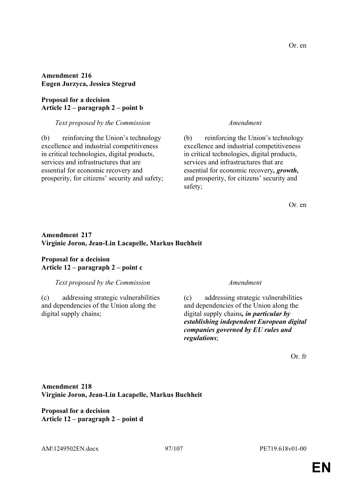**Amendment 216 Eugen Jurzyca, Jessica Stegrud**

### **Proposal for a decision Article 12 – paragraph 2 – point b**

*Text proposed by the Commission Amendment*

(b) reinforcing the Union's technology excellence and industrial competitiveness in critical technologies, digital products, services and infrastructures that are essential for economic recovery and prosperity, for citizens' security and safety;

(b) reinforcing the Union's technology excellence and industrial competitiveness in critical technologies, digital products, services and infrastructures that are essential for economic recovery*, growth,* and prosperity, for citizens' security and safety;

Or. en

# **Amendment 217 Virginie Joron, Jean-Lin Lacapelle, Markus Buchheit**

## **Proposal for a decision Article 12 – paragraph 2 – point c**

# *Text proposed by the Commission Amendment*

(c) addressing strategic vulnerabilities and dependencies of the Union along the digital supply chains;

(c) addressing strategic vulnerabilities and dependencies of the Union along the digital supply chains*, in particular by establishing independent European digital companies governed by EU rules and regulations*;

Or. fr

# **Amendment 218 Virginie Joron, Jean-Lin Lacapelle, Markus Buchheit**

**Proposal for a decision Article 12 – paragraph 2 – point d**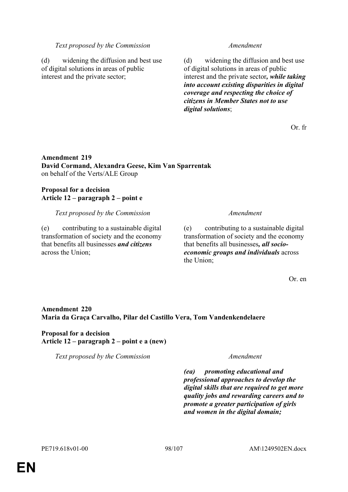### *Text proposed by the Commission Amendment*

(d) widening the diffusion and best use of digital solutions in areas of public interest and the private sector;

(d) widening the diffusion and best use of digital solutions in areas of public interest and the private sector*, while taking into account existing disparities in digital coverage and respecting the choice of citizens in Member States not to use digital solutions*;

Or. fr

## **Amendment 219 David Cormand, Alexandra Geese, Kim Van Sparrentak** on behalf of the Verts/ALE Group

# **Proposal for a decision Article 12 – paragraph 2 – point e**

*Text proposed by the Commission Amendment*

(e) contributing to a sustainable digital transformation of society and the economy that benefits all businesses *and citizens* across the Union;

(e) contributing to a sustainable digital transformation of society and the economy that benefits all businesses*, all socioeconomic groups and individuals* across the Union;

Or. en

# **Amendment 220 Maria da Graça Carvalho, Pilar del Castillo Vera, Tom Vandenkendelaere**

# **Proposal for a decision Article 12 – paragraph 2 – point e a (new)**

*Text proposed by the Commission Amendment*

*(ea) promoting educational and professional approaches to develop the digital skills that are required to get more quality jobs and rewarding careers and to promote a greater participation of girls and women in the digital domain;*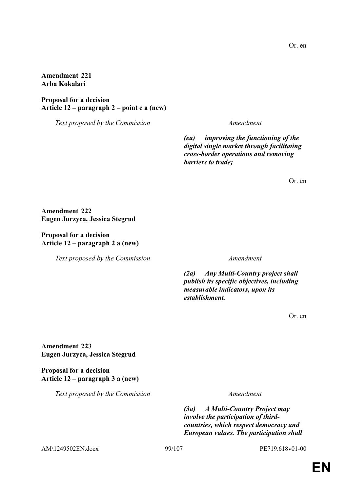**Amendment 221 Arba Kokalari**

**Proposal for a decision Article 12 – paragraph 2 – point e a (new)**

*Text proposed by the Commission Amendment*

*(ea) improving the functioning of the digital single market through facilitating cross-border operations and removing barriers to trade;*

Or. en

**Amendment 222 Eugen Jurzyca, Jessica Stegrud**

**Proposal for a decision Article 12 – paragraph 2 a (new)**

*Text proposed by the Commission Amendment*

*(2a) Any Multi-Country project shall publish its specific objectives, including measurable indicators, upon its establishment.*

Or. en

**Amendment 223 Eugen Jurzyca, Jessica Stegrud**

**Proposal for a decision Article 12 – paragraph 3 a (new)**

*Text proposed by the Commission Amendment*

*(3a) A Multi-Country Project may involve the participation of thirdcountries, which respect democracy and European values. The participation shall* 

AM\1249502EN.docx 99/107 PE719.618v01-00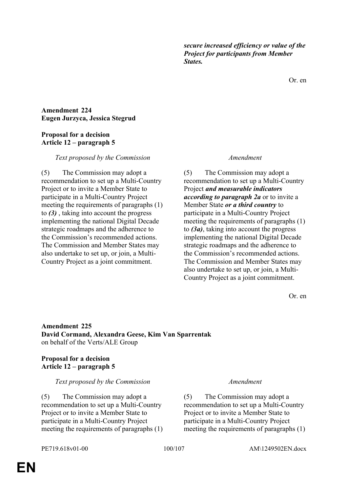*secure increased efficiency or value of the Project for participants from Member States.*

Or. en

### **Amendment 224 Eugen Jurzyca, Jessica Stegrud**

## **Proposal for a decision Article 12 – paragraph 5**

### *Text proposed by the Commission Amendment*

(5) The Commission may adopt a recommendation to set up a Multi-Country Project or to invite a Member State to participate in a Multi-Country Project meeting the requirements of paragraphs (1) to *(3)* , taking into account the progress implementing the national Digital Decade strategic roadmaps and the adherence to the Commission's recommended actions. The Commission and Member States may also undertake to set up, or join, a Multi-Country Project as a joint commitment.

(5) The Commission may adopt a recommendation to set up a Multi-Country Project *and measurable indicators according to paragraph 2a* or to invite a Member State *or a third country* to participate in a Multi-Country Project meeting the requirements of paragraphs (1) to *(3a)*, taking into account the progress implementing the national Digital Decade strategic roadmaps and the adherence to the Commission's recommended actions. The Commission and Member States may also undertake to set up, or join, a Multi-Country Project as a joint commitment.

Or. en

# **Amendment 225 David Cormand, Alexandra Geese, Kim Van Sparrentak** on behalf of the Verts/ALE Group

## **Proposal for a decision Article 12 – paragraph 5**

### *Text proposed by the Commission Amendment*

(5) The Commission may adopt a recommendation to set up a Multi-Country Project or to invite a Member State to participate in a Multi-Country Project meeting the requirements of paragraphs (1)

(5) The Commission may adopt a recommendation to set up a Multi-Country Project or to invite a Member State to participate in a Multi-Country Project meeting the requirements of paragraphs (1)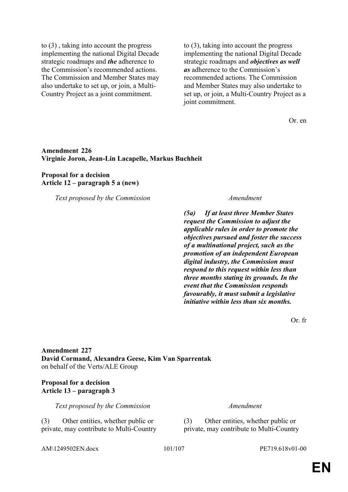to (3) , taking into account the progress implementing the national Digital Decade strategic roadmaps and *the* adherence to the Commission's recommended actions. The Commission and Member States may also undertake to set up, or join, a Multi-Country Project as a joint commitment.

to (3), taking into account the progress implementing the national Digital Decade strategic roadmaps and *objectives as well as* adherence to the Commission's recommended actions. The Commission and Member States may also undertake to set up, or join, a Multi-Country Project as a joint commitment.

Or. en

### **Amendment 226 Virginie Joron, Jean-Lin Lacapelle, Markus Buchheit**

### **Proposal for a decision Article 12 – paragraph 5 a (new)**

*Text proposed by the Commission Amendment*

*(5a) If at least three Member States request the Commission to adjust the applicable rules in order to promote the objectives pursued and foster the success of a multinational project, such as the promotion of an independent European digital industry, the Commission must respond to this request within less than three months stating its grounds. In the event that the Commission responds favourably, it must submit a legislative initiative within less than six months.*

Or. fr

**Amendment 227 David Cormand, Alexandra Geese, Kim Van Sparrentak** on behalf of the Verts/ALE Group

### **Proposal for a decision Article 13 – paragraph 3**

*Text proposed by the Commission Amendment*

(3) Other entities, whether public or private, may contribute to Multi-Country (3) Other entities, whether public or private, may contribute to Multi-Country

AM\1249502EN.docx 101/107 PE719.618v01-00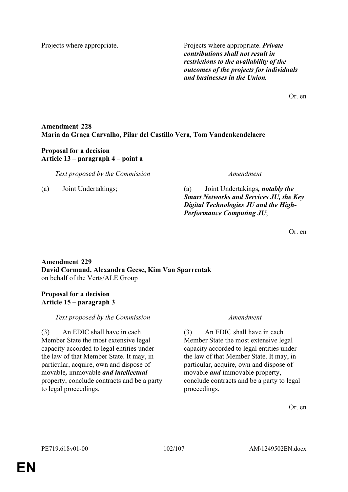Projects where appropriate. Projects where appropriate. *Private contributions shall not result in restrictions to the availability of the outcomes of the projects for individuals and businesses in the Union.*

Or. en

# **Amendment 228 Maria da Graça Carvalho, Pilar del Castillo Vera, Tom Vandenkendelaere**

## **Proposal for a decision Article 13 – paragraph 4 – point a**

*Text proposed by the Commission Amendment*

(a) Joint Undertakings; (a) Joint Undertakings*, notably the Smart Networks and Services JU, the Key Digital Technologies JU and the High-Performance Computing JU*;

Or. en

# **Amendment 229 David Cormand, Alexandra Geese, Kim Van Sparrentak** on behalf of the Verts/ALE Group

# **Proposal for a decision Article 15 – paragraph 3**

# *Text proposed by the Commission Amendment*

(3) An EDIC shall have in each Member State the most extensive legal capacity accorded to legal entities under the law of that Member State. It may, in particular, acquire, own and dispose of movable*,* immovable *and intellectual* property, conclude contracts and be a party to legal proceedings.

(3) An EDIC shall have in each Member State the most extensive legal capacity accorded to legal entities under the law of that Member State. It may, in particular, acquire, own and dispose of movable *and* immovable property, conclude contracts and be a party to legal proceedings.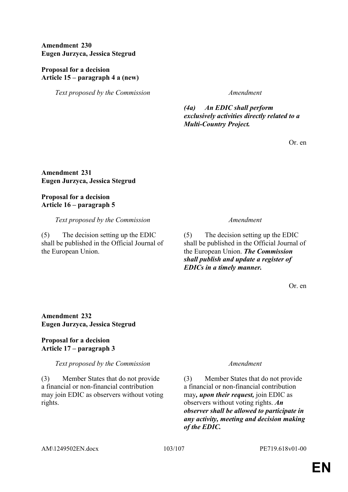**Amendment 230 Eugen Jurzyca, Jessica Stegrud**

## **Proposal for a decision Article 15 – paragraph 4 a (new)**

*Text proposed by the Commission Amendment*

*(4a) An EDIC shall perform exclusively activities directly related to a Multi-Country Project.*

Or. en

**Amendment 231 Eugen Jurzyca, Jessica Stegrud**

# **Proposal for a decision Article 16 – paragraph 5**

*Text proposed by the Commission Amendment*

(5) The decision setting up the EDIC shall be published in the Official Journal of the European Union.

(5) The decision setting up the EDIC shall be published in the Official Journal of the European Union. *The Commission shall publish and update a register of EDICs in a timely manner.*

Or. en

# **Amendment 232 Eugen Jurzyca, Jessica Stegrud**

# **Proposal for a decision Article 17 – paragraph 3**

*Text proposed by the Commission Amendment*

(3) Member States that do not provide a financial or non-financial contribution may join EDIC as observers without voting rights.

(3) Member States that do not provide a financial or non-financial contribution may*, upon their request,* join EDIC as observers without voting rights. *An observer shall be allowed to participate in any activity, meeting and decision making of the EDIC.*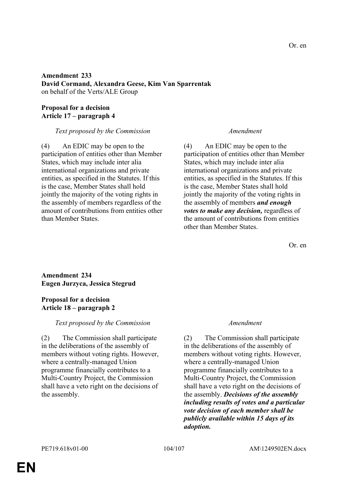## **Amendment 233 David Cormand, Alexandra Geese, Kim Van Sparrentak** on behalf of the Verts/ALE Group

# **Proposal for a decision Article 17 – paragraph 4**

## *Text proposed by the Commission Amendment*

(4) An EDIC may be open to the participation of entities other than Member States, which may include inter alia international organizations and private entities, as specified in the Statutes. If this is the case, Member States shall hold jointly the majority of the voting rights in the assembly of members regardless of the amount of contributions from entities other than Member States.

(4) An EDIC may be open to the participation of entities other than Member States, which may include inter alia international organizations and private entities, as specified in the Statutes. If this is the case, Member States shall hold jointly the majority of the voting rights in the assembly of members *and enough votes to make any decision,* regardless of the amount of contributions from entities other than Member States.

Or. en

## **Amendment 234 Eugen Jurzyca, Jessica Stegrud**

## **Proposal for a decision Article 18 – paragraph 2**

# *Text proposed by the Commission Amendment*

(2) The Commission shall participate in the deliberations of the assembly of members without voting rights. However, where a centrally-managed Union programme financially contributes to a Multi-Country Project, the Commission shall have a veto right on the decisions of the assembly.

(2) The Commission shall participate in the deliberations of the assembly of members without voting rights. However, where a centrally-managed Union programme financially contributes to a Multi-Country Project, the Commission shall have a veto right on the decisions of the assembly. *Decisions of the assembly including results of votes and a particular vote decision of each member shall be publicly available within 15 days of its adoption.*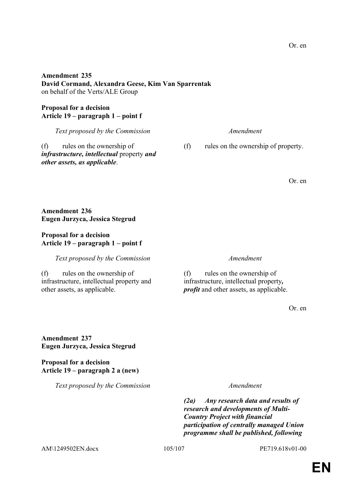*Text proposed by the Commission Amendment*

*(2a) Any research data and results of research and developments of Multi-Country Project with financial participation of centrally managed Union programme shall be published, following* 

**Amendment 237 Eugen Jurzyca, Jessica Stegrud**

**Article 19 – paragraph 2 a (new)**

**Proposal for a decision**

**Eugen Jurzyca, Jessica Stegrud**

**Article 19 – paragraph 1 – point f**

(f) rules on the ownership of

other assets, as applicable.

infrastructure, intellectual property and

(f) rules on the ownership of infrastructure, intellectual property*,* 

*profit* and other assets, as applicable.

Or. en

**Proposal for a decision Article 19 – paragraph 1 – point f** *Text proposed by the Commission Amendment*

on behalf of the Verts/ALE Group

**David Cormand, Alexandra Geese, Kim Van Sparrentak**

**Amendment 235**

**Amendment 236**

**Proposal for a decision**

(f) rules on the ownership of *infrastructure, intellectual* property *and other assets, as applicable*.

(f) rules on the ownership of property.

Or. en

Or. en

*Text proposed by the Commission Amendment*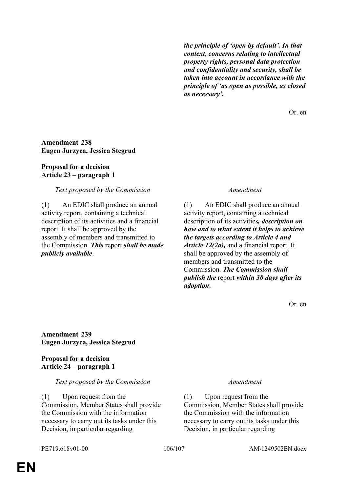*the principle of 'open by default'. In that context, concerns relating to intellectual property rights, personal data protection and confidentiality and security, shall be taken into account in accordance with the principle of 'as open as possible, as closed as necessary'.*

Or. en

## **Amendment 238 Eugen Jurzyca, Jessica Stegrud**

# **Proposal for a decision Article 23 – paragraph 1**

## *Text proposed by the Commission Amendment*

(1) An EDIC shall produce an annual activity report, containing a technical description of its activities and a financial report. It shall be approved by the assembly of members and transmitted to the Commission. *This* report *shall be made publicly available*.

(1) An EDIC shall produce an annual activity report, containing a technical description of its activities*, description on how and to what extent it helps to achieve the targets according to Article 4 and Article 12(2a),* and a financial report. It shall be approved by the assembly of members and transmitted to the Commission. *The Commission shall publish the* report *within 30 days after its adoption*.

Or. en

**Amendment 239 Eugen Jurzyca, Jessica Stegrud**

**Proposal for a decision Article 24 – paragraph 1**

# *Text proposed by the Commission Amendment*

(1) Upon request from the Commission, Member States shall provide the Commission with the information necessary to carry out its tasks under this Decision, in particular regarding

(1) Upon request from the Commission, Member States shall provide the Commission with the information necessary to carry out its tasks under this Decision, in particular regarding